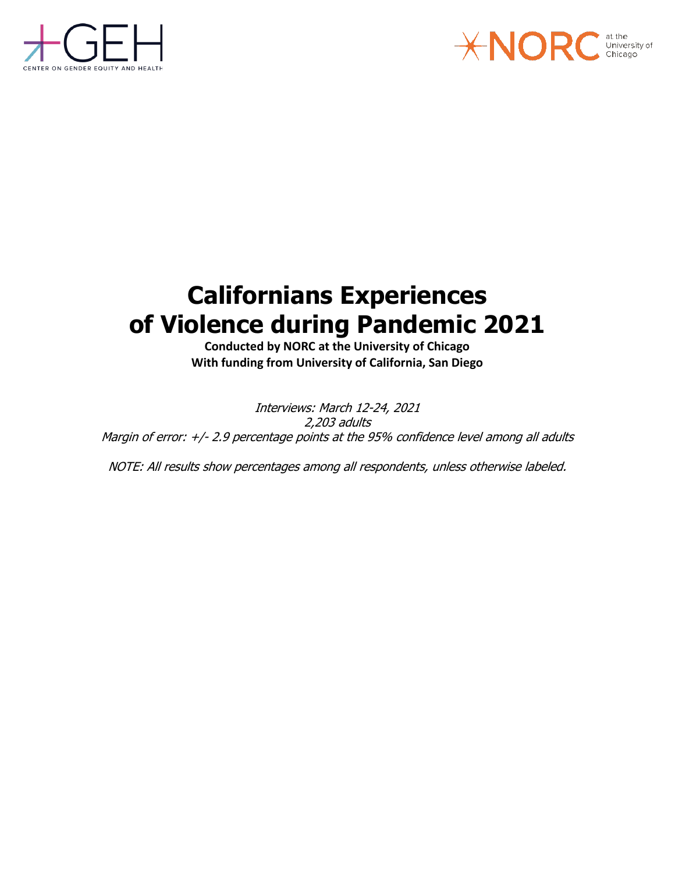



# **Californians Experiences of Violence during Pandemic 2021**

**Conducted by NORC at the University of Chicago With funding from University of California, San Diego**

Interviews: March 12-24, 2021 2,203 adults Margin of error: +/- 2.9 percentage points at the 95% confidence level among all adults

NOTE: All results show percentages among all respondents, unless otherwise labeled.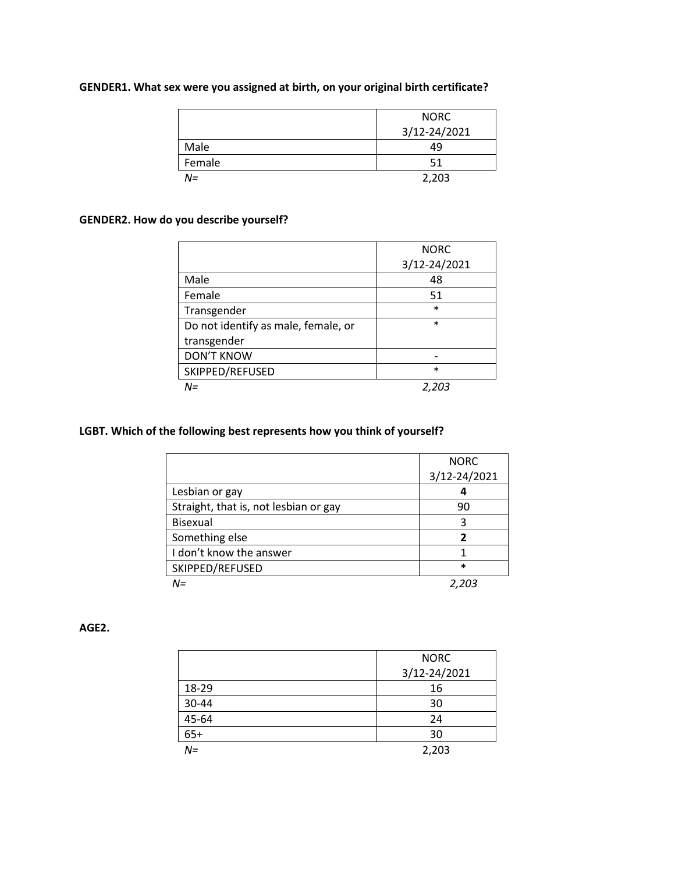|        | <b>NORC</b>  |
|--------|--------------|
|        | 3/12-24/2021 |
| Male   | 49           |
| Female | 51           |
| N=     | 2,203        |

### **GENDER1. What sex were you assigned at birth, on your original birth certificate?**

### **GENDER2. How do you describe yourself?**

|                                     | <b>NORC</b>  |
|-------------------------------------|--------------|
|                                     | 3/12-24/2021 |
| Male                                | 48           |
| Female                              | 51           |
| Transgender                         | $\ast$       |
| Do not identify as male, female, or | $\ast$       |
| transgender                         |              |
| <b>DON'T KNOW</b>                   |              |
| SKIPPED/REFUSED                     | $\ast$       |
| N=                                  | 2,203        |

### **LGBT. Which of the following best represents how you think of yourself?**

|                                       | <b>NORC</b>  |
|---------------------------------------|--------------|
|                                       | 3/12-24/2021 |
| Lesbian or gay                        |              |
| Straight, that is, not lesbian or gay | 90           |
| <b>Bisexual</b>                       | 3            |
| Something else                        | 7            |
| I don't know the answer               |              |
| SKIPPED/REFUSED                       | $\ast$       |
| N=                                    |              |

#### **AGE2.**

|       | <b>NORC</b>  |
|-------|--------------|
|       | 3/12-24/2021 |
| 18-29 | 16           |
| 30-44 | 30           |
| 45-64 | 24           |
| $65+$ | 30           |
| $N =$ | 2,203        |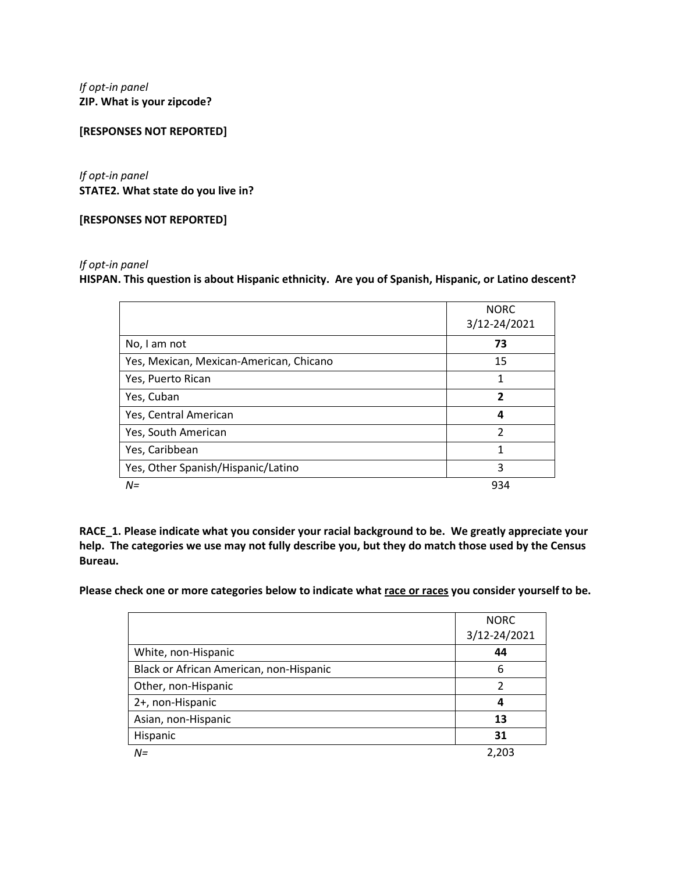*If opt-in panel* **ZIP. What is your zipcode?**

#### **[RESPONSES NOT REPORTED]**

*If opt-in panel* **STATE2. What state do you live in?**

**[RESPONSES NOT REPORTED]**

#### *If opt-in panel*

**HISPAN. This question is about Hispanic ethnicity. Are you of Spanish, Hispanic, or Latino descent?**

|                                         | <b>NORC</b><br>3/12-24/2021 |
|-----------------------------------------|-----------------------------|
| No, I am not                            | 73                          |
| Yes, Mexican, Mexican-American, Chicano | 15                          |
| Yes, Puerto Rican                       | 1                           |
| Yes, Cuban                              | 2                           |
| Yes, Central American                   | 4                           |
| Yes, South American                     | $\mathfrak{p}$              |
| Yes, Caribbean                          | 1                           |
| Yes, Other Spanish/Hispanic/Latino      | 3                           |
| $N =$                                   | 934                         |

**RACE\_1. Please indicate what you consider your racial background to be. We greatly appreciate your help. The categories we use may not fully describe you, but they do match those used by the Census Bureau.** 

**Please check one or more categories below to indicate what race or races you consider yourself to be.**

|                                         | <b>NORC</b>  |
|-----------------------------------------|--------------|
|                                         | 3/12-24/2021 |
| White, non-Hispanic                     | 44           |
| Black or African American, non-Hispanic | 6            |
| Other, non-Hispanic                     | っ            |
| 2+, non-Hispanic                        | 4            |
| Asian, non-Hispanic                     | 13           |
| Hispanic                                | 31           |
| $N =$                                   | 2,203        |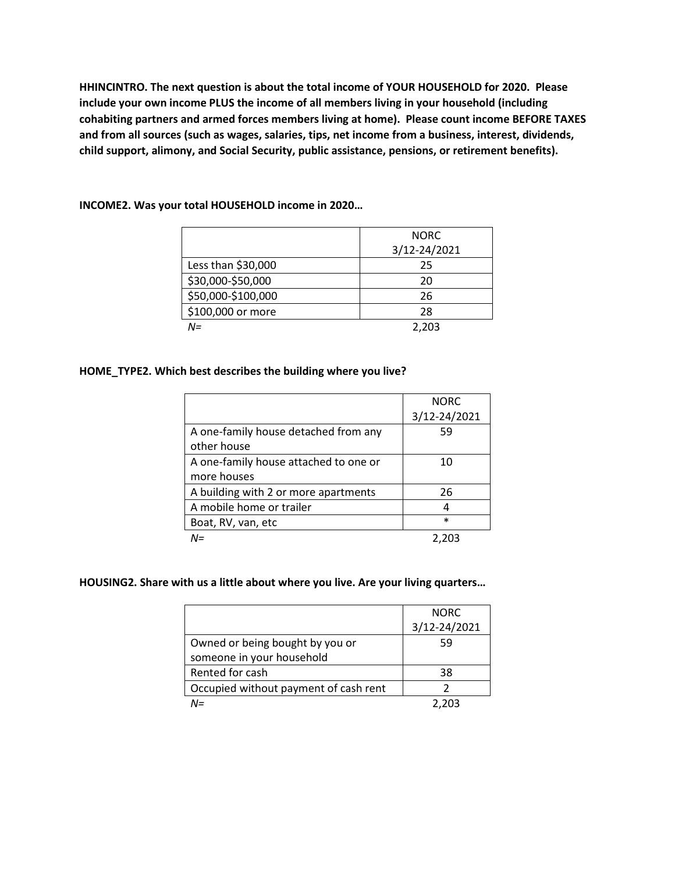**HHINCINTRO. The next question is about the total income of YOUR HOUSEHOLD for 2020. Please include your own income PLUS the income of all members living in your household (including cohabiting partners and armed forces members living at home). Please count income BEFORE TAXES and from all sources (such as wages, salaries, tips, net income from a business, interest, dividends, child support, alimony, and Social Security, public assistance, pensions, or retirement benefits).**

|                    | <b>NORC</b>  |
|--------------------|--------------|
|                    | 3/12-24/2021 |
| Less than \$30,000 | 25           |
| \$30,000-\$50,000  | 20           |
| \$50,000-\$100,000 | 26           |
| \$100,000 or more  | 28           |
| N=                 | 2.203        |

**INCOME2. Was your total HOUSEHOLD income in 2020…**

#### **HOME\_TYPE2. Which best describes the building where you live?**

|                                       | <b>NORC</b>  |
|---------------------------------------|--------------|
|                                       | 3/12-24/2021 |
| A one-family house detached from any  | 59           |
| other house                           |              |
| A one-family house attached to one or | 10           |
| more houses                           |              |
| A building with 2 or more apartments  | 26           |
| A mobile home or trailer              | 4            |
| Boat, RV, van, etc                    | $\ast$       |
| $N =$                                 | 2.203        |

#### **HOUSING2. Share with us a little about where you live. Are your living quarters…**

|                                       | <b>NORC</b>  |
|---------------------------------------|--------------|
|                                       | 3/12-24/2021 |
| Owned or being bought by you or       | 59           |
| someone in your household             |              |
| Rented for cash                       | 38           |
| Occupied without payment of cash rent | っ            |
| N=                                    | 2.203        |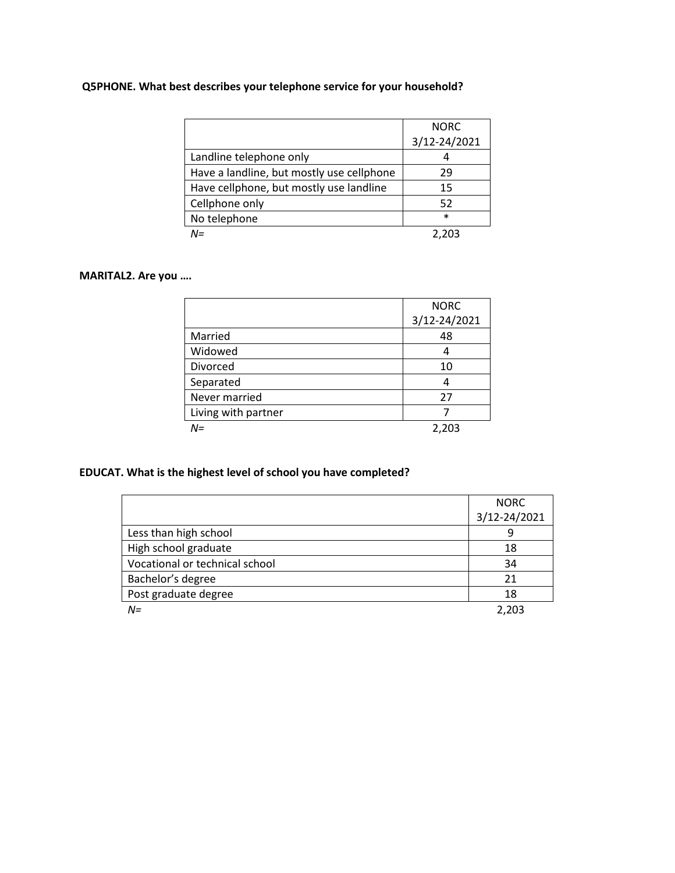### **Q5PHONE. What best describes your telephone service for your household?**

|                                           | <b>NORC</b>  |
|-------------------------------------------|--------------|
|                                           | 3/12-24/2021 |
| Landline telephone only                   |              |
| Have a landline, but mostly use cellphone | 29           |
| Have cellphone, but mostly use landline   | 15           |
| Cellphone only                            | 52           |
| No telephone                              | $\ast$       |
| M=                                        |              |

#### **MARITAL2. Are you ….**

|                     | <b>NORC</b>  |
|---------------------|--------------|
|                     | 3/12-24/2021 |
| Married             | 48           |
| Widowed             | 4            |
| Divorced            | 10           |
| Separated           | 4            |
| Never married       | 27           |
| Living with partner |              |
| N=                  | 2,203        |

### **EDUCAT. What is the highest level of school you have completed?**

|                                | <b>NORC</b>  |
|--------------------------------|--------------|
|                                | 3/12-24/2021 |
| Less than high school          | 9            |
| High school graduate           | 18           |
| Vocational or technical school | 34           |
| Bachelor's degree              | 21           |
| Post graduate degree           | 18           |
| $N =$                          | 2,203        |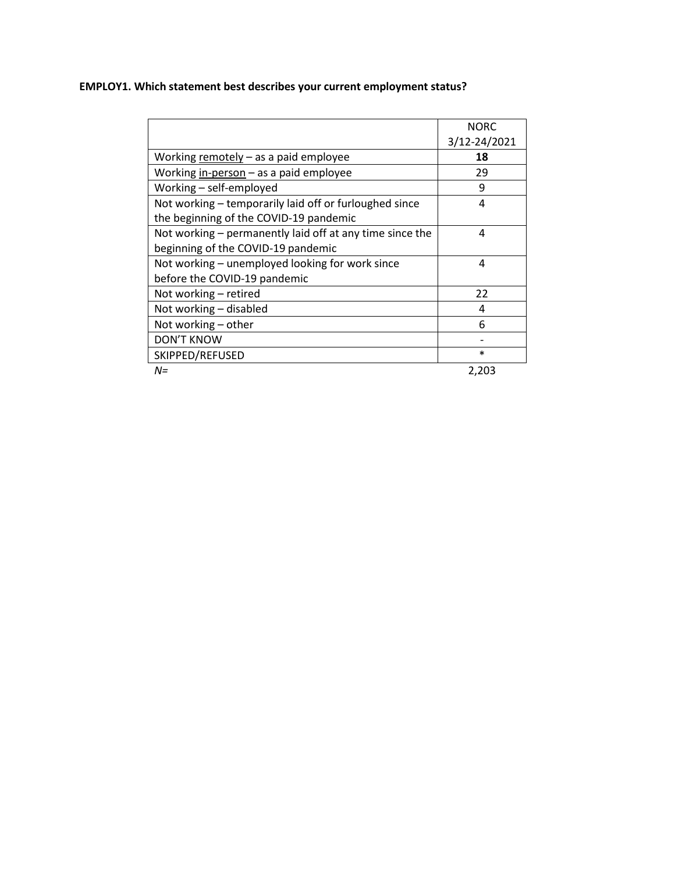### **EMPLOY1. Which statement best describes your current employment status?**

|                                                          | <b>NORC</b>  |
|----------------------------------------------------------|--------------|
|                                                          | 3/12-24/2021 |
| Working remotely $-$ as a paid employee                  | 18           |
| Working in-person - as a paid employee                   | 29           |
| Working - self-employed                                  | 9            |
| Not working – temporarily laid off or furloughed since   | 4            |
| the beginning of the COVID-19 pandemic                   |              |
| Not working – permanently laid off at any time since the | 4            |
| beginning of the COVID-19 pandemic                       |              |
| Not working - unemployed looking for work since          | 4            |
| before the COVID-19 pandemic                             |              |
| Not working - retired                                    | 22           |
| Not working - disabled                                   | 4            |
| Not working - other                                      | 6            |
| <b>DON'T KNOW</b>                                        |              |
| SKIPPED/REFUSED                                          | $\ast$       |
| $N =$                                                    | 2,203        |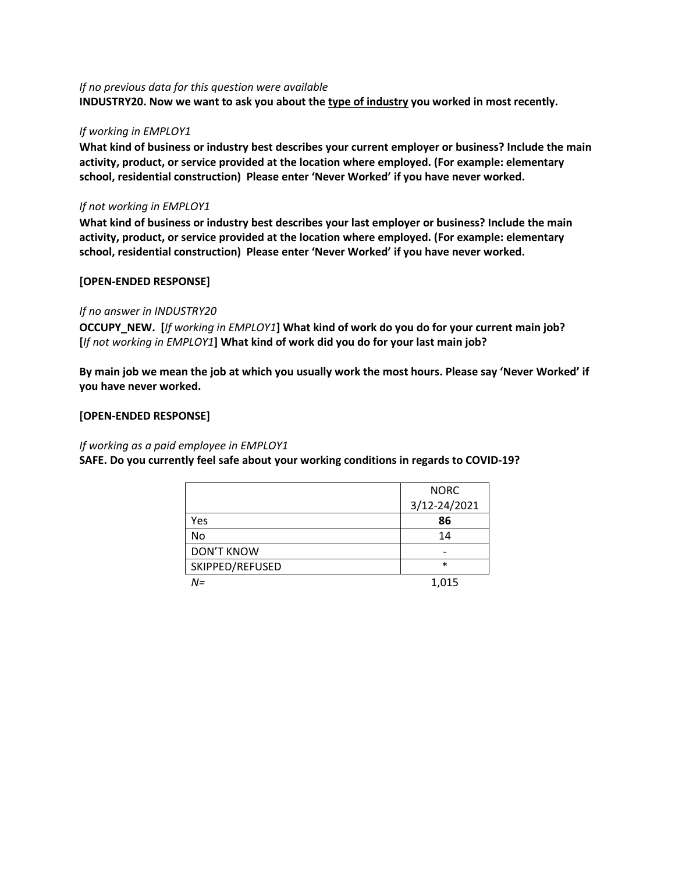#### *If no previous data for this question were available*

**INDUSTRY20. Now we want to ask you about the type of industry you worked in most recently.**

#### *If working in EMPLOY1*

**What kind of business or industry best describes your current employer or business? Include the main activity, product, or service provided at the location where employed. (For example: elementary school, residential construction) Please enter 'Never Worked' if you have never worked.**

#### *If not working in EMPLOY1*

**What kind of business or industry best describes your last employer or business? Include the main activity, product, or service provided at the location where employed. (For example: elementary school, residential construction) Please enter 'Never Worked' if you have never worked.**

#### **[OPEN-ENDED RESPONSE]**

#### *If no answer in INDUSTRY20*

**OCCUPY\_NEW. [***If working in EMPLOY1***] What kind of work do you do for your current main job? [***If not working in EMPLOY1***] What kind of work did you do for your last main job?**

**By main job we mean the job at which you usually work the most hours. Please say 'Never Worked' if you have never worked.**

#### **[OPEN-ENDED RESPONSE]**

#### *If working as a paid employee in EMPLOY1*

#### **SAFE. Do you currently feel safe about your working conditions in regards to COVID-19?**

|                   | <b>NORC</b>  |
|-------------------|--------------|
|                   | 3/12-24/2021 |
| Yes               | 86           |
| No                | 14           |
| <b>DON'T KNOW</b> |              |
| SKIPPED/REFUSED   | $\ast$       |
| N=                | 1,015        |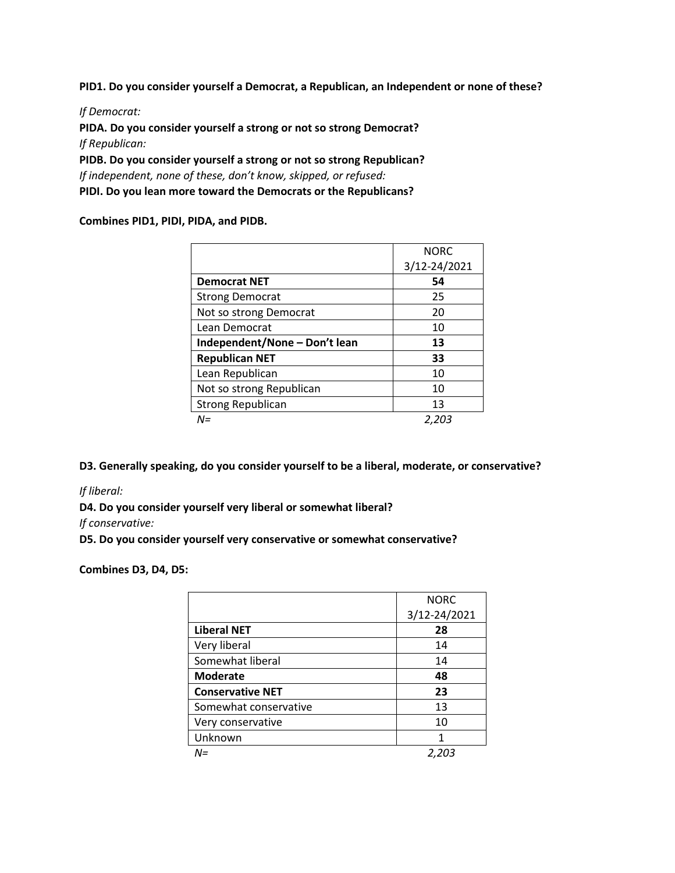**PID1. Do you consider yourself a Democrat, a Republican, an Independent or none of these?**

*If Democrat:*

**PIDA. Do you consider yourself a strong or not so strong Democrat?** *If Republican:*

**PIDB. Do you consider yourself a strong or not so strong Republican?** *If independent, none of these, don't know, skipped, or refused:*  **PIDI. Do you lean more toward the Democrats or the Republicans?**

**Combines PID1, PIDI, PIDA, and PIDB.**

|                               | <b>NORC</b>  |
|-------------------------------|--------------|
|                               | 3/12-24/2021 |
| <b>Democrat NET</b>           | 54           |
| <b>Strong Democrat</b>        | 25           |
| Not so strong Democrat        | 20           |
| Lean Democrat                 | 10           |
| Independent/None - Don't lean | 13           |
| <b>Republican NET</b>         | 33           |
| Lean Republican               | 10           |
| Not so strong Republican      | 10           |
| <b>Strong Republican</b>      | 13           |
| N=                            | 2,203        |

**D3. Generally speaking, do you consider yourself to be a liberal, moderate, or conservative?**

*If liberal:* 

**D4. Do you consider yourself very liberal or somewhat liberal?** 

*If conservative:* 

**D5. Do you consider yourself very conservative or somewhat conservative?** 

**Combines D3, D4, D5:** 

|                         | <b>NORC</b>  |
|-------------------------|--------------|
|                         | 3/12-24/2021 |
| <b>Liberal NET</b>      | 28           |
| Very liberal            | 14           |
| Somewhat liberal        | 14           |
| <b>Moderate</b>         | 48           |
| <b>Conservative NET</b> | 23           |
| Somewhat conservative   | 13           |
| Very conservative       | 10           |
| Unknown                 | 1            |
| N=                      | 2,203        |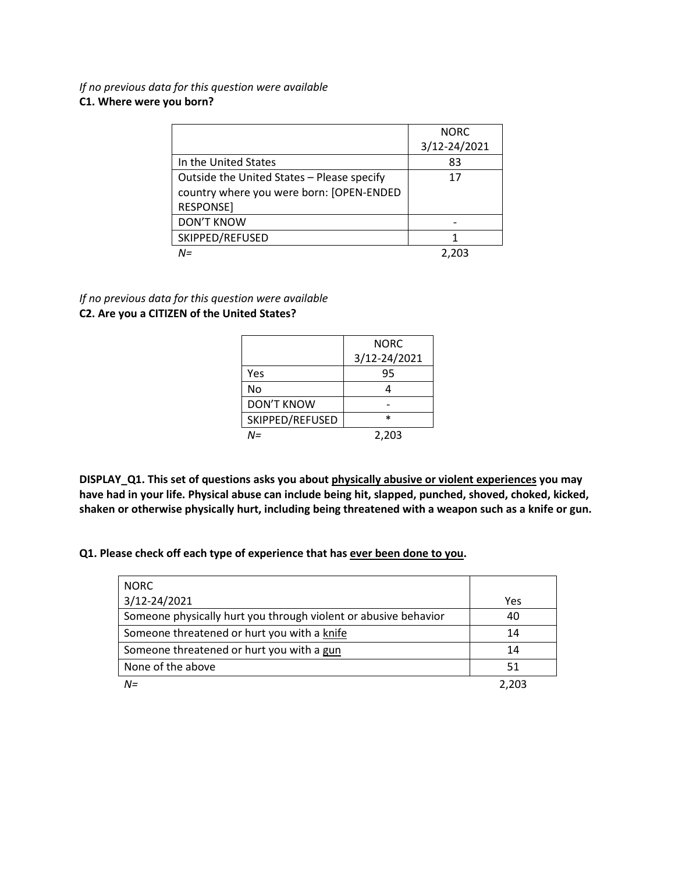*If no previous data for this question were available* **C1. Where were you born?**

|                                            | <b>NORC</b>  |
|--------------------------------------------|--------------|
|                                            | 3/12-24/2021 |
| In the United States                       | 83           |
| Outside the United States - Please specify | 17           |
| country where you were born: [OPEN-ENDED   |              |
| <b>RESPONSE]</b>                           |              |
| <b>DON'T KNOW</b>                          |              |
| SKIPPED/REFUSED                            |              |
| $N =$                                      | 2.203        |

*If no previous data for this question were available* **C2. Are you a CITIZEN of the United States?**

|                 | <b>NORC</b>  |
|-----------------|--------------|
|                 | 3/12-24/2021 |
| Yes             | 95           |
| No              |              |
| DON'T KNOW      |              |
| SKIPPED/REFUSED | $\ast$       |
| N=              | 2,203        |

**DISPLAY\_Q1. This set of questions asks you about physically abusive or violent experiences you may have had in your life. Physical abuse can include being hit, slapped, punched, shoved, choked, kicked, shaken or otherwise physically hurt, including being threatened with a weapon such as a knife or gun.**

**Q1. Please check off each type of experience that has ever been done to you.**

| <b>NORC</b>                                                     |       |
|-----------------------------------------------------------------|-------|
| 3/12-24/2021                                                    | Yes   |
| Someone physically hurt you through violent or abusive behavior | 40    |
| Someone threatened or hurt you with a knife                     | 14    |
| Someone threatened or hurt you with a gun                       | 14    |
| None of the above                                               | 51    |
| $N =$                                                           | 2.203 |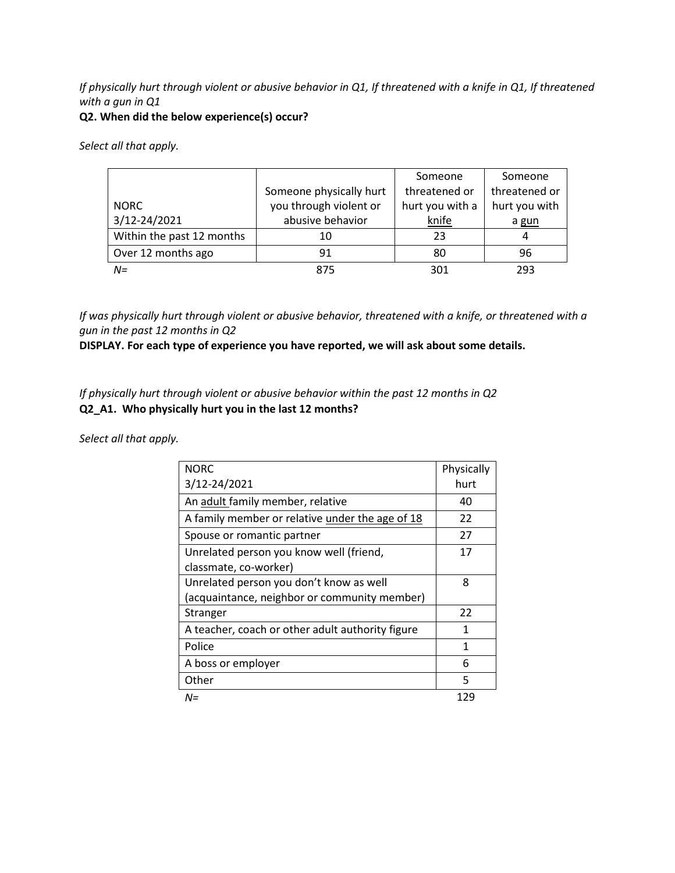### *If physically hurt through violent or abusive behavior in Q1, If threatened with a knife in Q1, If threatened with a gun in Q1*

#### **Q2. When did the below experience(s) occur?**

*Select all that apply.*

|                           |                         | Someone         | Someone       |
|---------------------------|-------------------------|-----------------|---------------|
|                           | Someone physically hurt | threatened or   | threatened or |
| <b>NORC</b>               | you through violent or  | hurt you with a | hurt you with |
| 3/12-24/2021              | abusive behavior        | knife           | a gun         |
| Within the past 12 months | 10                      | 23              | 4             |
| Over 12 months ago        | 91                      | 80              | 96            |
| $N =$                     | 875                     | 301             | 293           |

*If was physically hurt through violent or abusive behavior, threatened with a knife, or threatened with a gun in the past 12 months in Q2*

**DISPLAY. For each type of experience you have reported, we will ask about some details.** 

*If physically hurt through violent or abusive behavior within the past 12 months in Q2*  **Q2\_A1. Who physically hurt you in the last 12 months?**

| <b>NORC</b>                                      | Physically |
|--------------------------------------------------|------------|
| 3/12-24/2021                                     | hurt       |
| An adult family member, relative                 | 40         |
| A family member or relative under the age of 18  | 22         |
| Spouse or romantic partner                       | 27         |
| Unrelated person you know well (friend,          | 17         |
| classmate, co-worker)                            |            |
| Unrelated person you don't know as well          | 8          |
| (acquaintance, neighbor or community member)     |            |
| Stranger                                         | 22         |
| A teacher, coach or other adult authority figure | 1          |
| Police                                           | 1          |
| A boss or employer                               | 6          |
| Other                                            | 5          |
| N=                                               | 129        |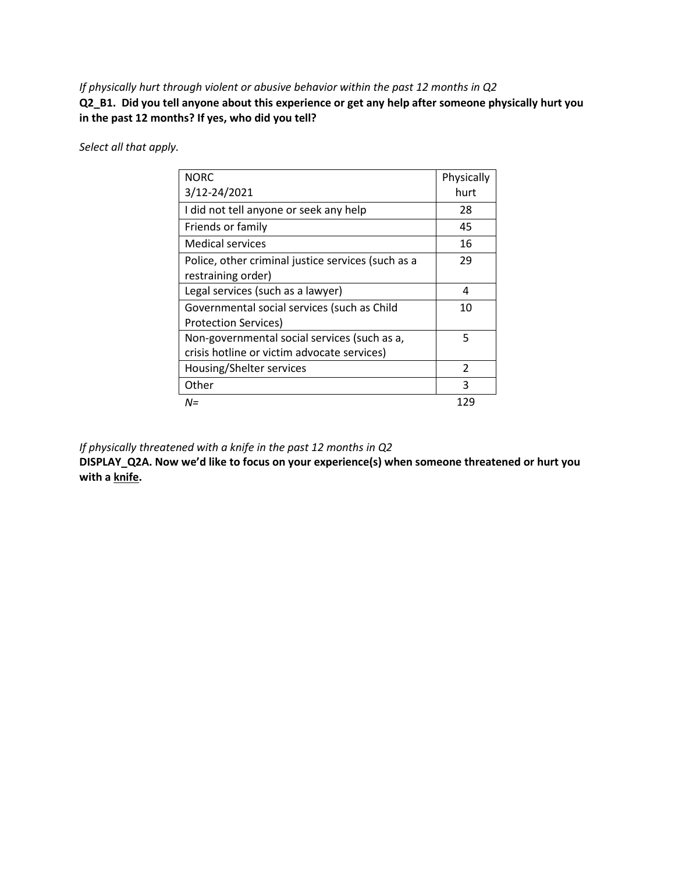*If physically hurt through violent or abusive behavior within the past 12 months in Q2*  **Q2\_B1. Did you tell anyone about this experience or get any help after someone physically hurt you in the past 12 months? If yes, who did you tell?**

*Select all that apply.*

| <b>NORC</b>                                        | Physically    |
|----------------------------------------------------|---------------|
| 3/12-24/2021                                       | hurt          |
| I did not tell anyone or seek any help             | 28            |
| Friends or family                                  | 45            |
| Medical services                                   | 16            |
| Police, other criminal justice services (such as a | 29            |
| restraining order)                                 |               |
| Legal services (such as a lawyer)                  | 4             |
| Governmental social services (such as Child        | 10            |
| Protection Services)                               |               |
| Non-governmental social services (such as a,       | 5             |
| crisis hotline or victim advocate services)        |               |
| Housing/Shelter services                           | $\mathcal{P}$ |
| Other                                              | 3             |
| N=                                                 | 129           |

*If physically threatened with a knife in the past 12 months in Q2*

**DISPLAY\_Q2A. Now we'd like to focus on your experience(s) when someone threatened or hurt you with a knife.**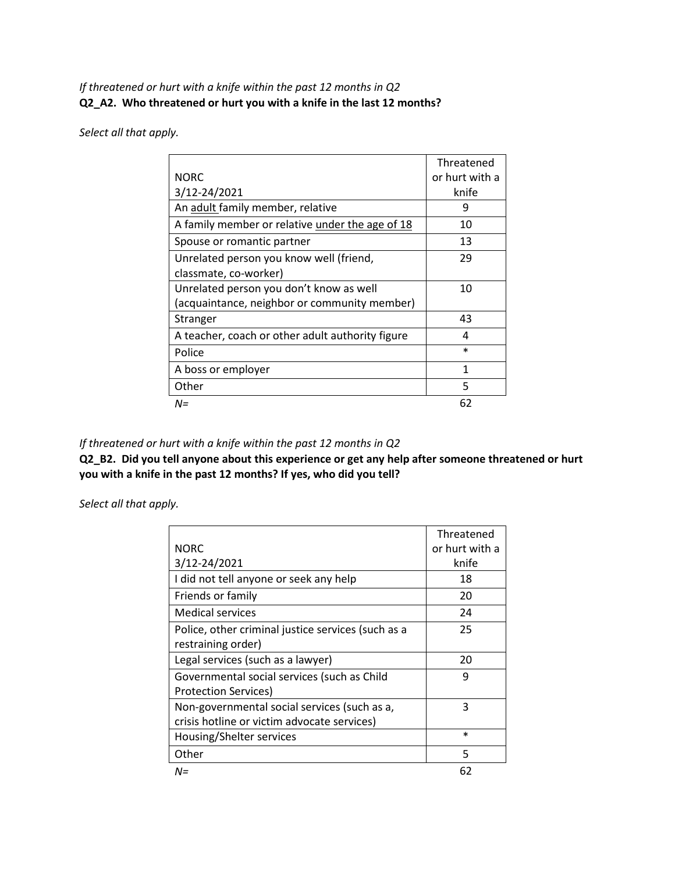### *If threatened or hurt with a knife within the past 12 months in Q2*  **Q2\_A2. Who threatened or hurt you with a knife in the last 12 months?**

*Select all that apply.*

|                                                  | Threatened     |
|--------------------------------------------------|----------------|
| <b>NORC</b>                                      | or hurt with a |
| 3/12-24/2021                                     | knife          |
| An adult family member, relative                 | 9              |
| A family member or relative under the age of 18  | 10             |
| Spouse or romantic partner                       | 13             |
| Unrelated person you know well (friend,          | 29             |
| classmate, co-worker)                            |                |
| Unrelated person you don't know as well          | 10             |
| (acquaintance, neighbor or community member)     |                |
| Stranger                                         | 43             |
| A teacher, coach or other adult authority figure | 4              |
| Police                                           | $\ast$         |
| A boss or employer                               | 1              |
| Other                                            | 5              |
| $N =$                                            | 62             |

### *If threatened or hurt with a knife within the past 12 months in Q2*

**Q2\_B2. Did you tell anyone about this experience or get any help after someone threatened or hurt you with a knife in the past 12 months? If yes, who did you tell?**

|                                                    | Threatened     |
|----------------------------------------------------|----------------|
| <b>NORC</b>                                        | or hurt with a |
| 3/12-24/2021                                       | knife          |
| I did not tell anyone or seek any help             | 18             |
| Friends or family                                  | 20             |
| Medical services                                   | 24             |
| Police, other criminal justice services (such as a | 25             |
| restraining order)                                 |                |
| Legal services (such as a lawyer)                  | 20             |
| Governmental social services (such as Child        | 9              |
| <b>Protection Services)</b>                        |                |
| Non-governmental social services (such as a,       | 3              |
| crisis hotline or victim advocate services)        |                |
| Housing/Shelter services                           | $\ast$         |
| Other                                              | 5              |
| $N =$                                              | 62             |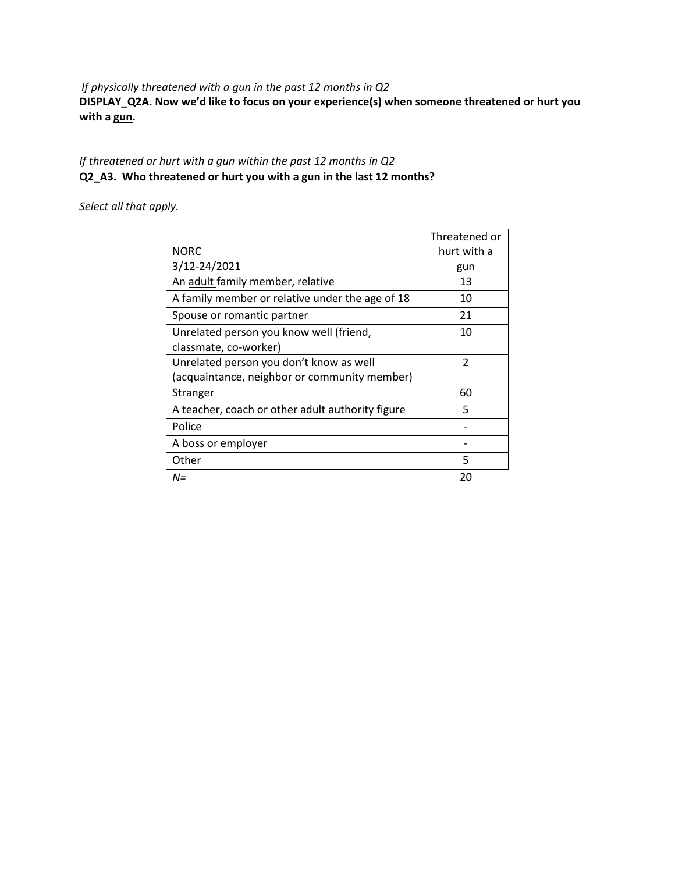*If physically threatened with a gun in the past 12 months in Q2*

**DISPLAY\_Q2A. Now we'd like to focus on your experience(s) when someone threatened or hurt you with a gun.**

### *If threatened or hurt with a gun within the past 12 months in Q2*  **Q2\_A3. Who threatened or hurt you with a gun in the last 12 months?**

|                                                  | Threatened or  |
|--------------------------------------------------|----------------|
| <b>NORC</b>                                      | hurt with a    |
| 3/12-24/2021                                     | gun            |
| An adult family member, relative                 | 13             |
| A family member or relative under the age of 18  | 10             |
| Spouse or romantic partner                       | 21             |
| Unrelated person you know well (friend,          | 10             |
| classmate, co-worker)                            |                |
| Unrelated person you don't know as well          | $\mathfrak{p}$ |
| (acquaintance, neighbor or community member)     |                |
| Stranger                                         | 60             |
| A teacher, coach or other adult authority figure | 5              |
| Police                                           |                |
| A boss or employer                               |                |
| Other                                            | 5              |
| N=                                               | 20             |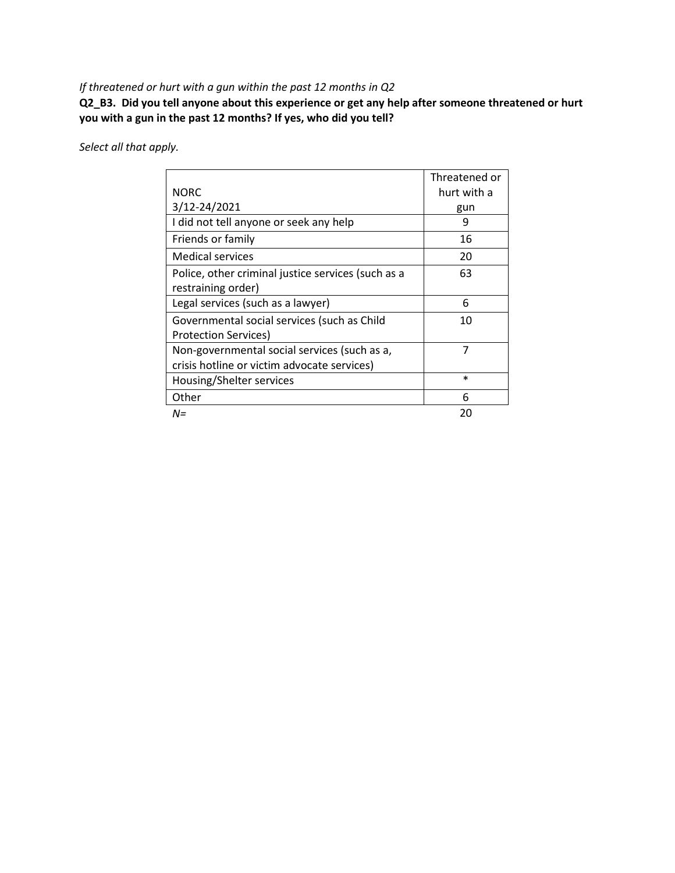### *If threatened or hurt with a gun within the past 12 months in Q2*

**Q2\_B3. Did you tell anyone about this experience or get any help after someone threatened or hurt you with a gun in the past 12 months? If yes, who did you tell?**

|                                                    | Threatened or |
|----------------------------------------------------|---------------|
| <b>NORC</b>                                        | hurt with a   |
| 3/12-24/2021                                       | gun           |
| I did not tell anyone or seek any help             | 9             |
| Friends or family                                  | 16            |
| <b>Medical services</b>                            | 20            |
| Police, other criminal justice services (such as a | 63            |
| restraining order)                                 |               |
| Legal services (such as a lawyer)                  | 6             |
| Governmental social services (such as Child        | 10            |
| <b>Protection Services)</b>                        |               |
| Non-governmental social services (such as a,       | 7             |
| crisis hotline or victim advocate services)        |               |
| Housing/Shelter services                           | $\ast$        |
| Other                                              | 6             |
| N=                                                 | 20            |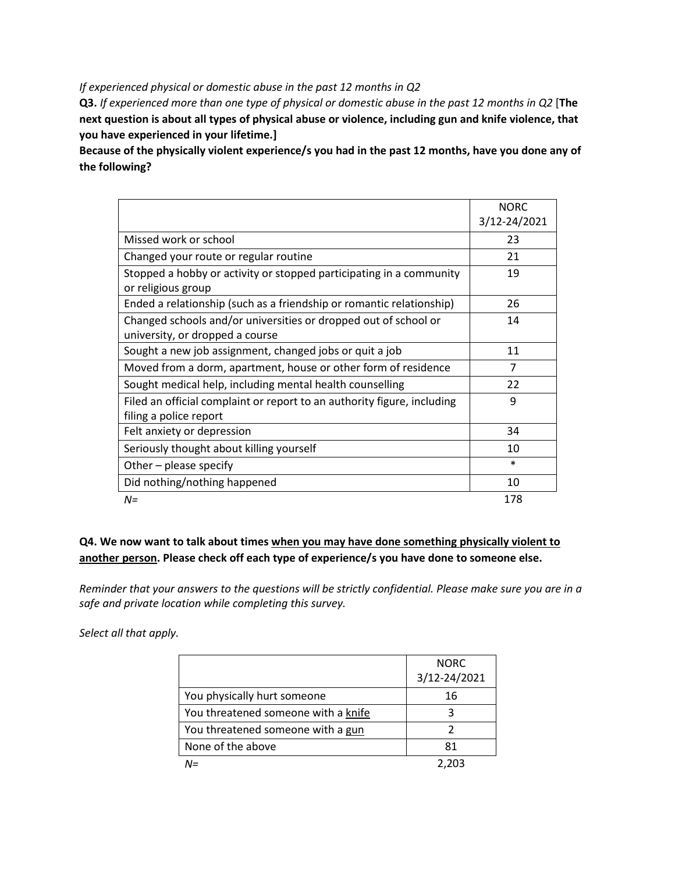*If experienced physical or domestic abuse in the past 12 months in Q2*

**Q3.** *If experienced more than one type of physical or domestic abuse in the past 12 months in Q2* [**The next question is about all types of physical abuse or violence, including gun and knife violence, that you have experienced in your lifetime.]**

**Because of the physically violent experience/s you had in the past 12 months, have you done any of the following?**

|                                                                         | <b>NORC</b>  |
|-------------------------------------------------------------------------|--------------|
|                                                                         | 3/12-24/2021 |
| Missed work or school                                                   | 23           |
| Changed your route or regular routine                                   | 21           |
| Stopped a hobby or activity or stopped participating in a community     | 19           |
| or religious group                                                      |              |
| Ended a relationship (such as a friendship or romantic relationship)    | 26           |
| Changed schools and/or universities or dropped out of school or         | 14           |
| university, or dropped a course                                         |              |
| Sought a new job assignment, changed jobs or quit a job                 | 11           |
| Moved from a dorm, apartment, house or other form of residence          | 7            |
| Sought medical help, including mental health counselling                | 22           |
| Filed an official complaint or report to an authority figure, including | 9            |
| filing a police report                                                  |              |
| Felt anxiety or depression                                              | 34           |
| Seriously thought about killing yourself                                | 10           |
| Other – please specify                                                  | $\ast$       |
| Did nothing/nothing happened                                            | 10           |
| $N =$                                                                   | 178          |

### **Q4. We now want to talk about times when you may have done something physically violent to another person. Please check off each type of experience/s you have done to someone else.**

*Reminder that your answers to the questions will be strictly confidential. Please make sure you are in a safe and private location while completing this survey.*

|                                     | <b>NORC</b><br>3/12-24/2021 |
|-------------------------------------|-----------------------------|
| You physically hurt someone         | 16                          |
| You threatened someone with a knife |                             |
| You threatened someone with a gun   |                             |
| None of the above                   | 81                          |
| $l =$                               | 2.203                       |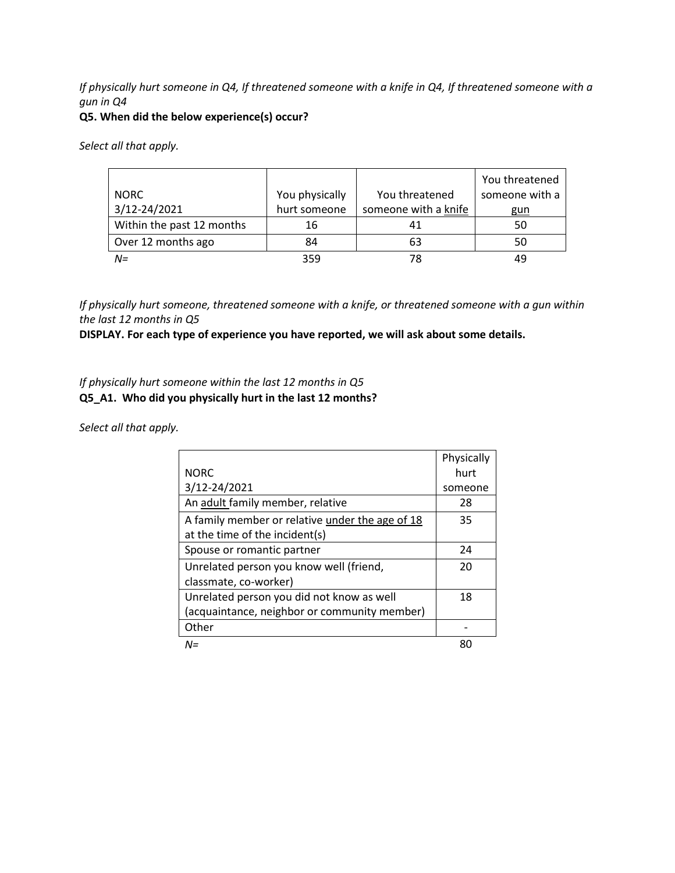### *If physically hurt someone in Q4, If threatened someone with a knife in Q4, If threatened someone with a gun in Q4*

#### **Q5. When did the below experience(s) occur?**

*Select all that apply.*

|                           |                |                      | You threatened |
|---------------------------|----------------|----------------------|----------------|
| <b>NORC</b>               | You physically | You threatened       | someone with a |
| 3/12-24/2021              | hurt someone   | someone with a knife | gun            |
| Within the past 12 months | 16             |                      | 50             |
| Over 12 months ago        | 84             | 63                   | 50             |
| $N =$                     | 359            | 78                   | 49             |

*If physically hurt someone, threatened someone with a knife, or threatened someone with a gun within the last 12 months in Q5*

**DISPLAY. For each type of experience you have reported, we will ask about some details.** 

### *If physically hurt someone within the last 12 months in Q5* **Q5\_A1. Who did you physically hurt in the last 12 months?**

|                                                 | Physically |
|-------------------------------------------------|------------|
| <b>NORC</b>                                     | hurt       |
| 3/12-24/2021                                    | someone    |
| An adult family member, relative                | 28         |
| A family member or relative under the age of 18 | 35         |
| at the time of the incident(s)                  |            |
| Spouse or romantic partner                      | 24         |
| Unrelated person you know well (friend,         | 20         |
| classmate, co-worker)                           |            |
| Unrelated person you did not know as well       | 18         |
| (acquaintance, neighbor or community member)    |            |
| Other                                           |            |
| $N =$                                           |            |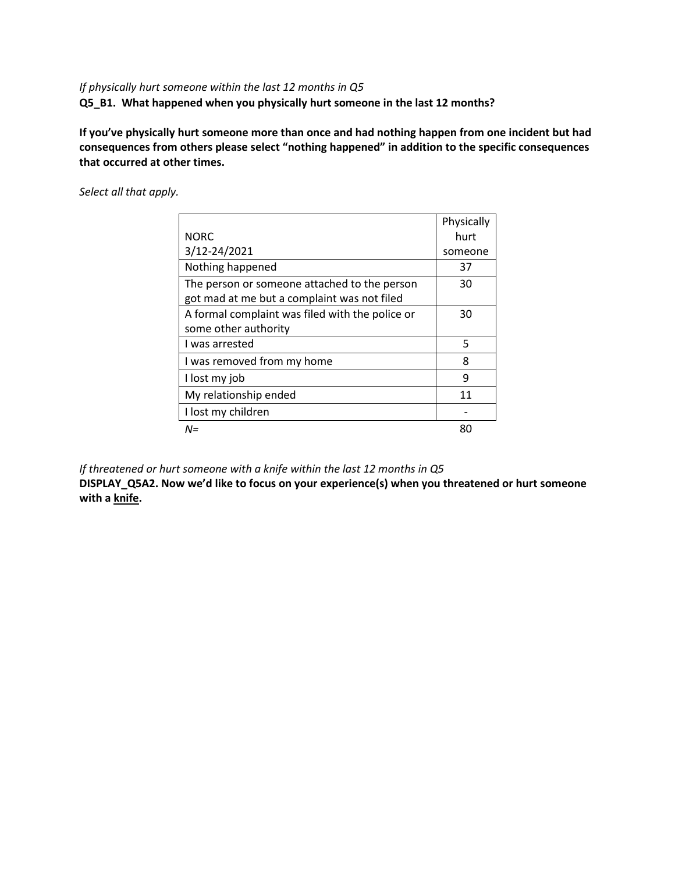### *If physically hurt someone within the last 12 months in Q5*

**Q5\_B1. What happened when you physically hurt someone in the last 12 months?**

**If you've physically hurt someone more than once and had nothing happen from one incident but had consequences from others please select "nothing happened" in addition to the specific consequences that occurred at other times.**

*Select all that apply.*

|                                                 | Physically |
|-------------------------------------------------|------------|
| <b>NORC</b>                                     | hurt       |
| 3/12-24/2021                                    | someone    |
| Nothing happened                                | 37         |
| The person or someone attached to the person    | 30         |
| got mad at me but a complaint was not filed     |            |
| A formal complaint was filed with the police or | 30         |
| some other authority                            |            |
| I was arrested                                  | 5          |
| I was removed from my home                      | 8          |
| I lost my job                                   | 9          |
| My relationship ended                           | 11         |
| I lost my children                              |            |
| N=                                              | 80         |

*If threatened or hurt someone with a knife within the last 12 months in Q5*

**DISPLAY\_Q5A2. Now we'd like to focus on your experience(s) when you threatened or hurt someone with a knife.**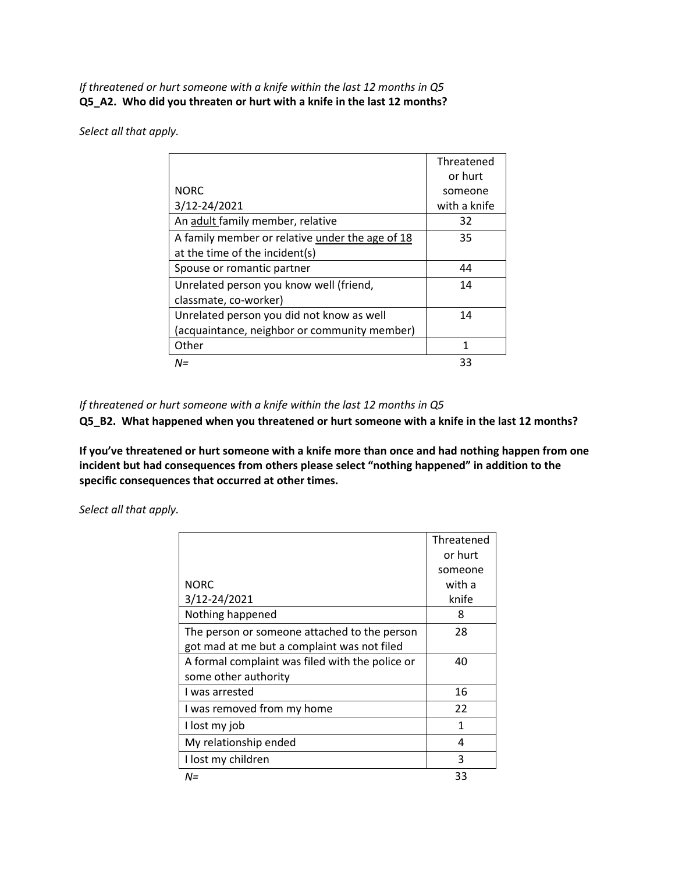*If threatened or hurt someone with a knife within the last 12 months in Q5* **Q5\_A2. Who did you threaten or hurt with a knife in the last 12 months?**

*Select all that apply.*

|                                                 | Threatened   |
|-------------------------------------------------|--------------|
|                                                 | or hurt      |
| <b>NORC</b>                                     | someone      |
| 3/12-24/2021                                    | with a knife |
| An adult family member, relative                | 32           |
| A family member or relative under the age of 18 | 35           |
| at the time of the incident(s)                  |              |
| Spouse or romantic partner                      | 44           |
| Unrelated person you know well (friend,         | 14           |
| classmate, co-worker)                           |              |
| Unrelated person you did not know as well       | 14           |
| (acquaintance, neighbor or community member)    |              |
| Other                                           | 1            |
| $N =$                                           | 33           |

*If threatened or hurt someone with a knife within the last 12 months in Q5* 

**Q5\_B2. What happened when you threatened or hurt someone with a knife in the last 12 months?**

**If you've threatened or hurt someone with a knife more than once and had nothing happen from one incident but had consequences from others please select "nothing happened" in addition to the specific consequences that occurred at other times.**

|                                                 | Threatened |
|-------------------------------------------------|------------|
|                                                 | or hurt    |
|                                                 | someone    |
| <b>NORC</b>                                     | with a     |
| 3/12-24/2021                                    | knife      |
| Nothing happened                                | 8          |
| The person or someone attached to the person    | 28         |
| got mad at me but a complaint was not filed     |            |
| A formal complaint was filed with the police or | 40         |
| some other authority                            |            |
| I was arrested                                  | 16         |
| I was removed from my home                      | 22         |
| I lost my job                                   | 1          |
| My relationship ended                           | 4          |
| I lost my children                              | 3          |
| $N =$                                           | 33         |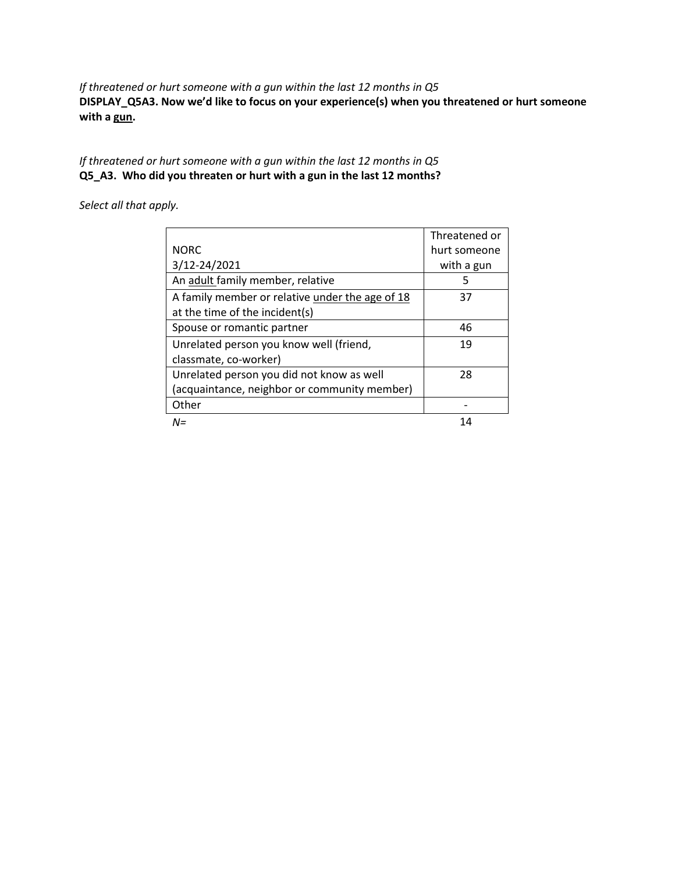*If threatened or hurt someone with a gun within the last 12 months in Q5* **DISPLAY\_Q5A3. Now we'd like to focus on your experience(s) when you threatened or hurt someone with a gun.**

*If threatened or hurt someone with a gun within the last 12 months in Q5* **Q5\_A3. Who did you threaten or hurt with a gun in the last 12 months?**

|                                                 | Threatened or |
|-------------------------------------------------|---------------|
| <b>NORC</b>                                     | hurt someone  |
| 3/12-24/2021                                    | with a gun    |
| An adult family member, relative                | 5             |
| A family member or relative under the age of 18 | 37            |
| at the time of the incident(s)                  |               |
| Spouse or romantic partner                      | 46            |
| Unrelated person you know well (friend,         | 19            |
| classmate, co-worker)                           |               |
| Unrelated person you did not know as well       | 28            |
| (acquaintance, neighbor or community member)    |               |
| Other                                           |               |
| $N =$                                           | 14            |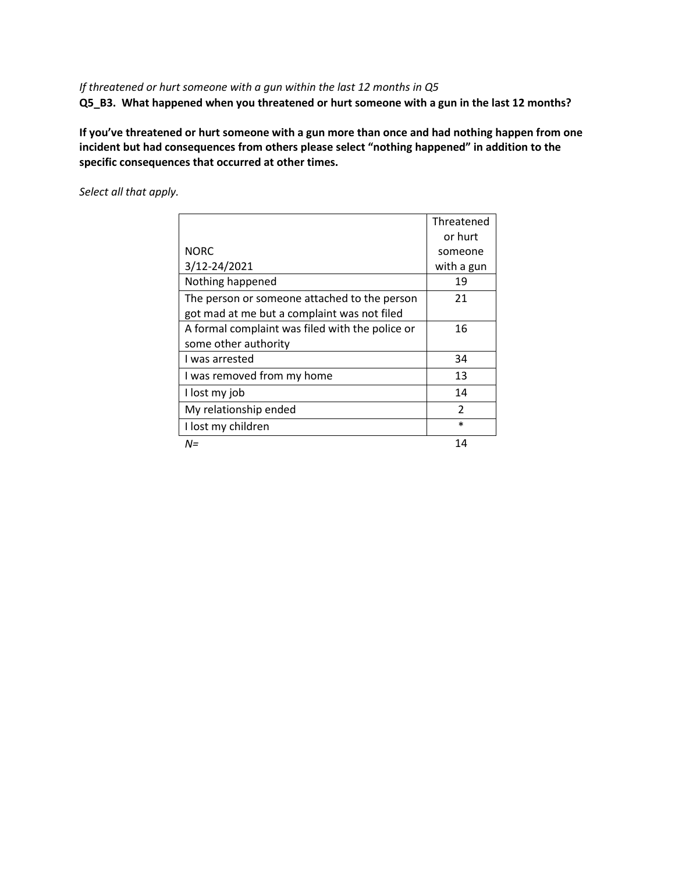### *If threatened or hurt someone with a gun within the last 12 months in Q5* **Q5\_B3. What happened when you threatened or hurt someone with a gun in the last 12 months?**

**If you've threatened or hurt someone with a gun more than once and had nothing happen from one incident but had consequences from others please select "nothing happened" in addition to the specific consequences that occurred at other times.**

|                                                 | Threatened               |
|-------------------------------------------------|--------------------------|
|                                                 | or hurt                  |
| <b>NORC</b>                                     | someone                  |
| 3/12-24/2021                                    | with a gun               |
| Nothing happened                                | 19                       |
| The person or someone attached to the person    | 21                       |
| got mad at me but a complaint was not filed     |                          |
| A formal complaint was filed with the police or | 16                       |
| some other authority                            |                          |
| I was arrested                                  | 34                       |
| I was removed from my home                      | 13                       |
| I lost my job                                   | 14                       |
| My relationship ended                           | $\overline{\mathcal{L}}$ |
| I lost my children                              | $\ast$                   |
| N=                                              | 14                       |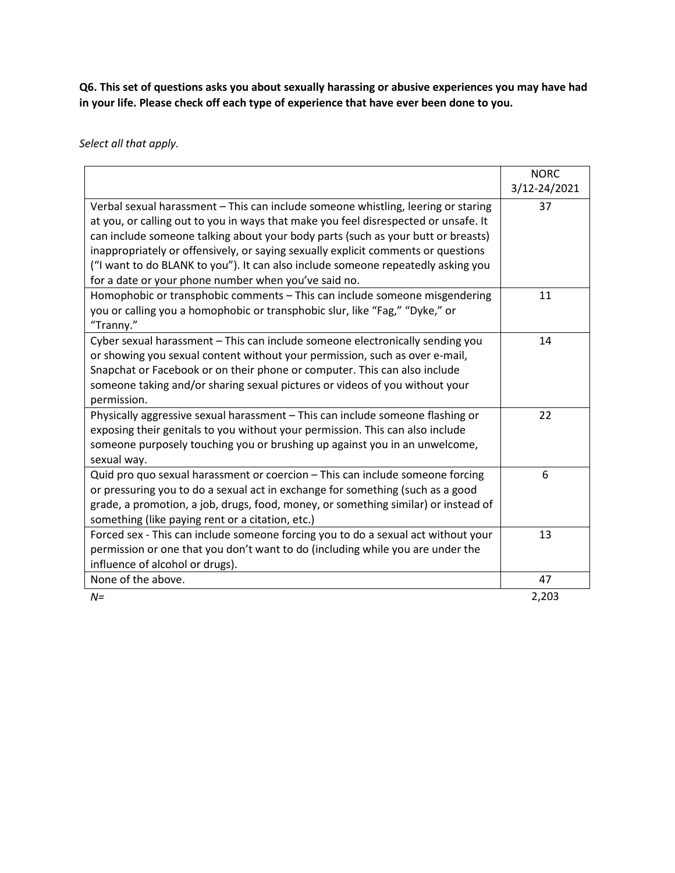**Q6. This set of questions asks you about sexually harassing or abusive experiences you may have had in your life. Please check off each type of experience that have ever been done to you.** 

|                                                                                                                                                                                                                                                              | <b>NORC</b>  |
|--------------------------------------------------------------------------------------------------------------------------------------------------------------------------------------------------------------------------------------------------------------|--------------|
|                                                                                                                                                                                                                                                              | 3/12-24/2021 |
| Verbal sexual harassment - This can include someone whistling, leering or staring<br>at you, or calling out to you in ways that make you feel disrespected or unsafe. It                                                                                     | 37           |
| can include someone talking about your body parts (such as your butt or breasts)<br>inappropriately or offensively, or saying sexually explicit comments or questions                                                                                        |              |
| ("I want to do BLANK to you"). It can also include someone repeatedly asking you<br>for a date or your phone number when you've said no.                                                                                                                     |              |
| Homophobic or transphobic comments - This can include someone misgendering<br>you or calling you a homophobic or transphobic slur, like "Fag," "Dyke," or<br>"Tranny."                                                                                       | 11           |
| Cyber sexual harassment - This can include someone electronically sending you<br>or showing you sexual content without your permission, such as over e-mail,                                                                                                 | 14           |
| Snapchat or Facebook or on their phone or computer. This can also include<br>someone taking and/or sharing sexual pictures or videos of you without your<br>permission.                                                                                      |              |
| Physically aggressive sexual harassment - This can include someone flashing or<br>exposing their genitals to you without your permission. This can also include<br>someone purposely touching you or brushing up against you in an unwelcome,<br>sexual way. | 22           |
| Quid pro quo sexual harassment or coercion - This can include someone forcing<br>or pressuring you to do a sexual act in exchange for something (such as a good<br>grade, a promotion, a job, drugs, food, money, or something similar) or instead of        | 6            |
| something (like paying rent or a citation, etc.)                                                                                                                                                                                                             |              |
| Forced sex - This can include someone forcing you to do a sexual act without your<br>permission or one that you don't want to do (including while you are under the<br>influence of alcohol or drugs).                                                       | 13           |
| None of the above.                                                                                                                                                                                                                                           | 47           |
| $N =$                                                                                                                                                                                                                                                        | 2,203        |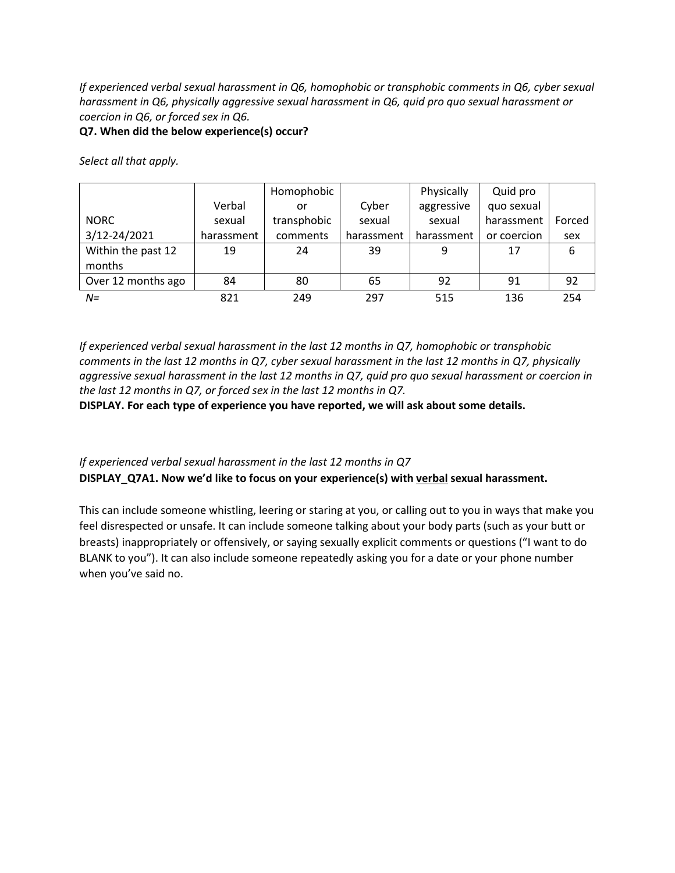*If experienced verbal sexual harassment in Q6, homophobic or transphobic comments in Q6, cyber sexual harassment in Q6, physically aggressive sexual harassment in Q6, quid pro quo sexual harassment or coercion in Q6, or forced sex in Q6.*

#### **Q7. When did the below experience(s) occur?**

*Select all that apply.*

|                    |            | Homophobic  |            | Physically | Quid pro    |        |
|--------------------|------------|-------------|------------|------------|-------------|--------|
|                    | Verbal     | or          | Cyber      | aggressive | quo sexual  |        |
| <b>NORC</b>        | sexual     | transphobic | sexual     | sexual     | harassment  | Forced |
| 3/12-24/2021       | harassment | comments    | harassment | harassment | or coercion | sex    |
| Within the past 12 | 19         | 24          | 39         | 9          | 17          | 6      |
| months             |            |             |            |            |             |        |
| Over 12 months ago | 84         | 80          | 65         | 92         | 91          | 92     |
| $N =$              | 821        | 249         | 297        | 515        | 136         | 254    |

*If experienced verbal sexual harassment in the last 12 months in Q7, homophobic or transphobic comments in the last 12 months in Q7, cyber sexual harassment in the last 12 months in Q7, physically aggressive sexual harassment in the last 12 months in Q7, quid pro quo sexual harassment or coercion in the last 12 months in Q7, or forced sex in the last 12 months in Q7.*

**DISPLAY. For each type of experience you have reported, we will ask about some details.** 

### *If experienced verbal sexual harassment in the last 12 months in Q7* **DISPLAY\_Q7A1. Now we'd like to focus on your experience(s) with verbal sexual harassment.**

This can include someone whistling, leering or staring at you, or calling out to you in ways that make you feel disrespected or unsafe. It can include someone talking about your body parts (such as your butt or breasts) inappropriately or offensively, or saying sexually explicit comments or questions ("I want to do BLANK to you"). It can also include someone repeatedly asking you for a date or your phone number when you've said no.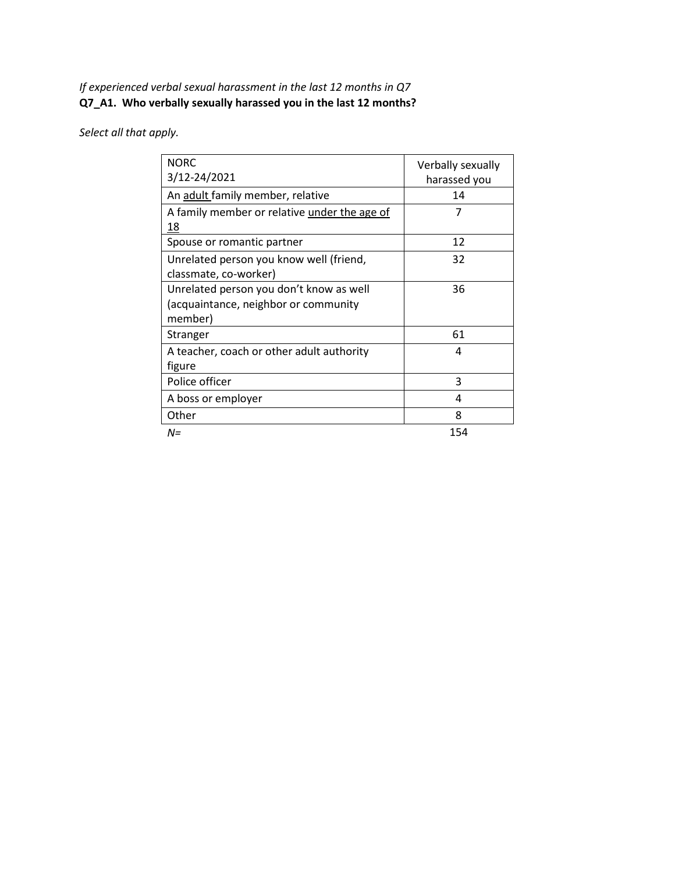### *If experienced verbal sexual harassment in the last 12 months in Q7* **Q7\_A1. Who verbally sexually harassed you in the last 12 months?**

| <b>NORC</b><br>3/12-24/2021                  | Verbally sexually |
|----------------------------------------------|-------------------|
|                                              | harassed you      |
| An adult family member, relative             | 14                |
| A family member or relative under the age of | 7                 |
| 18                                           |                   |
| Spouse or romantic partner                   | 12                |
| Unrelated person you know well (friend,      | 32                |
| classmate, co-worker)                        |                   |
| Unrelated person you don't know as well      | 36                |
| (acquaintance, neighbor or community         |                   |
| member)                                      |                   |
| Stranger                                     | 61                |
| A teacher, coach or other adult authority    | 4                 |
| figure                                       |                   |
| Police officer                               | 3                 |
| A boss or employer                           | 4                 |
| Other                                        | 8                 |
| $N =$                                        | 154               |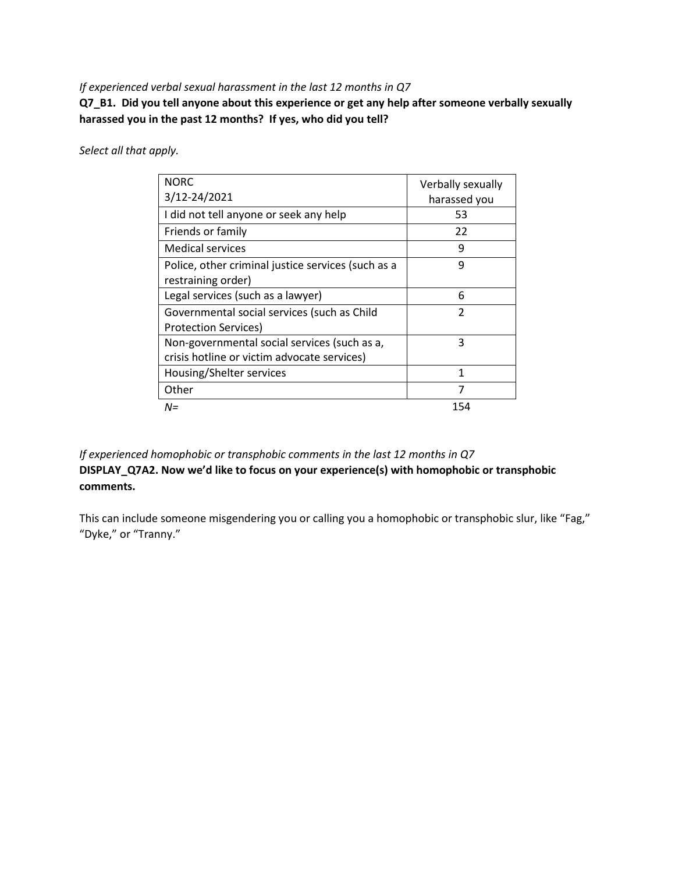#### *If experienced verbal sexual harassment in the last 12 months in Q7*

**Q7\_B1. Did you tell anyone about this experience or get any help after someone verbally sexually harassed you in the past 12 months? If yes, who did you tell?**

*Select all that apply.*

| <b>NORC</b>                                        | Verbally sexually |
|----------------------------------------------------|-------------------|
| 3/12-24/2021                                       | harassed you      |
|                                                    |                   |
| I did not tell anyone or seek any help             | 53                |
| Friends or family                                  | 22                |
| <b>Medical services</b>                            | 9                 |
| Police, other criminal justice services (such as a | 9                 |
| restraining order)                                 |                   |
| Legal services (such as a lawyer)                  | 6                 |
| Governmental social services (such as Child        | $\mathfrak{p}$    |
| <b>Protection Services)</b>                        |                   |
| Non-governmental social services (such as a,       | 3                 |
| crisis hotline or victim advocate services)        |                   |
| Housing/Shelter services                           | 1                 |
| Other                                              | 7                 |
| N=                                                 | 154               |

*If experienced homophobic or transphobic comments in the last 12 months in Q7* **DISPLAY\_Q7A2. Now we'd like to focus on your experience(s) with homophobic or transphobic comments.**

This can include someone misgendering you or calling you a homophobic or transphobic slur, like "Fag," "Dyke," or "Tranny."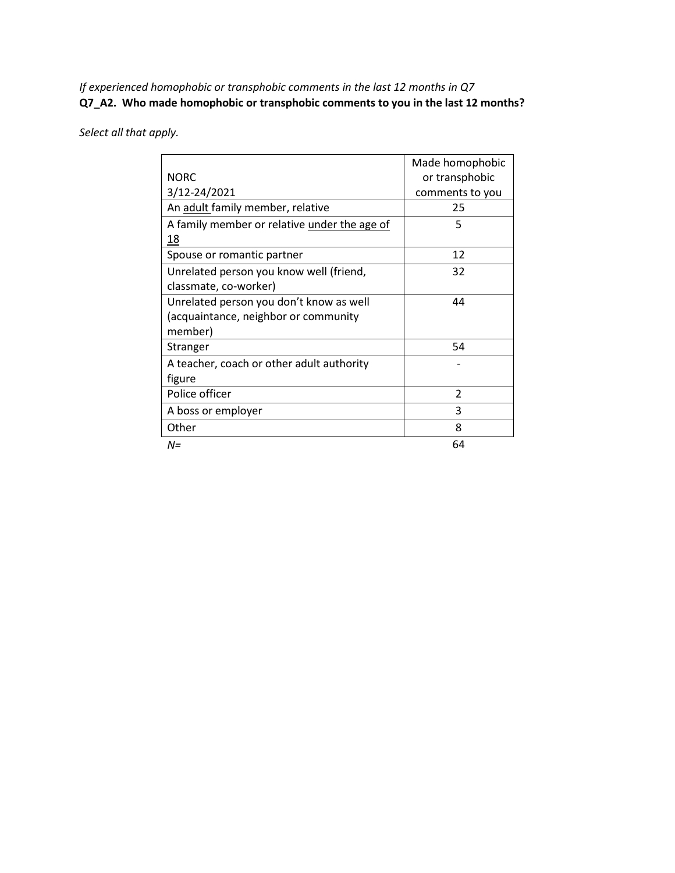*If experienced homophobic or transphobic comments in the last 12 months in Q7* **Q7\_A2. Who made homophobic or transphobic comments to you in the last 12 months?**

|                                                    | Made homophobic |
|----------------------------------------------------|-----------------|
| <b>NORC</b>                                        | or transphobic  |
| 3/12-24/2021                                       | comments to you |
| An adult family member, relative                   | 25              |
| A family member or relative under the age of<br>18 | 5               |
| Spouse or romantic partner                         | 12              |
| Unrelated person you know well (friend,            | 32              |
| classmate, co-worker)                              |                 |
| Unrelated person you don't know as well            | 44              |
| (acquaintance, neighbor or community               |                 |
| member)                                            |                 |
| Stranger                                           | 54              |
| A teacher, coach or other adult authority          |                 |
| figure                                             |                 |
| Police officer                                     | 2               |
| A boss or employer                                 | 3               |
| Other                                              | 8               |
| N=                                                 | 64              |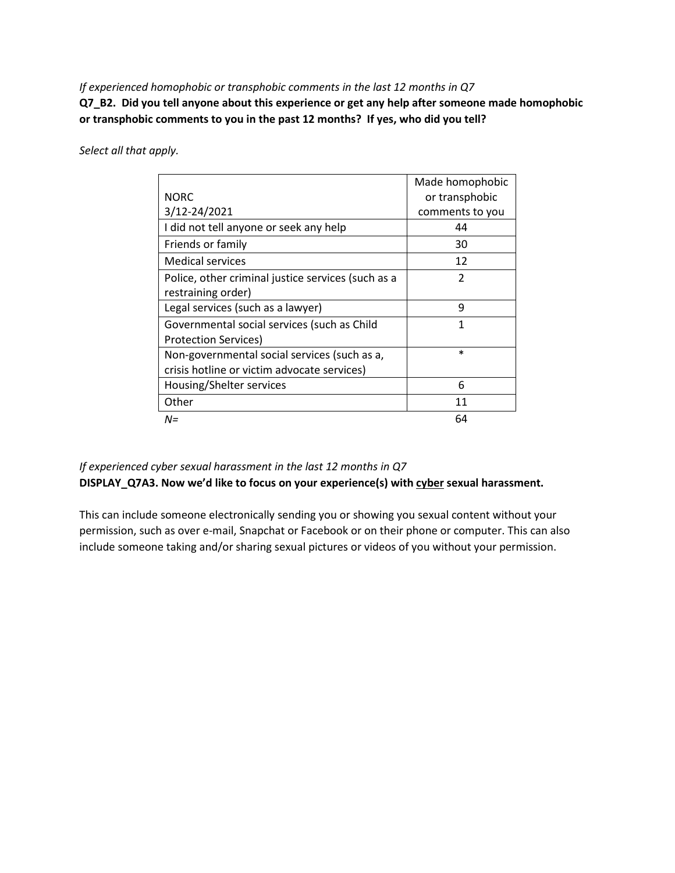*If experienced homophobic or transphobic comments in the last 12 months in Q7*

**Q7\_B2. Did you tell anyone about this experience or get any help after someone made homophobic or transphobic comments to you in the past 12 months? If yes, who did you tell?**

*Select all that apply.*

|                                                    | Made homophobic |
|----------------------------------------------------|-----------------|
| <b>NORC</b>                                        | or transphobic  |
| 3/12-24/2021                                       | comments to you |
| I did not tell anyone or seek any help             | 44              |
| Friends or family                                  | 30              |
| Medical services                                   | 12              |
| Police, other criminal justice services (such as a | $\mathfrak{p}$  |
| restraining order)                                 |                 |
| Legal services (such as a lawyer)                  | 9               |
| Governmental social services (such as Child        | 1               |
| Protection Services)                               |                 |
| Non-governmental social services (such as a,       | $\ast$          |
| crisis hotline or victim advocate services)        |                 |
| Housing/Shelter services                           | 6               |
| Other                                              | 11              |
| $N =$                                              | 64              |

### *If experienced cyber sexual harassment in the last 12 months in Q7* **DISPLAY\_Q7A3. Now we'd like to focus on your experience(s) with cyber sexual harassment.**

This can include someone electronically sending you or showing you sexual content without your permission, such as over e-mail, Snapchat or Facebook or on their phone or computer. This can also include someone taking and/or sharing sexual pictures or videos of you without your permission.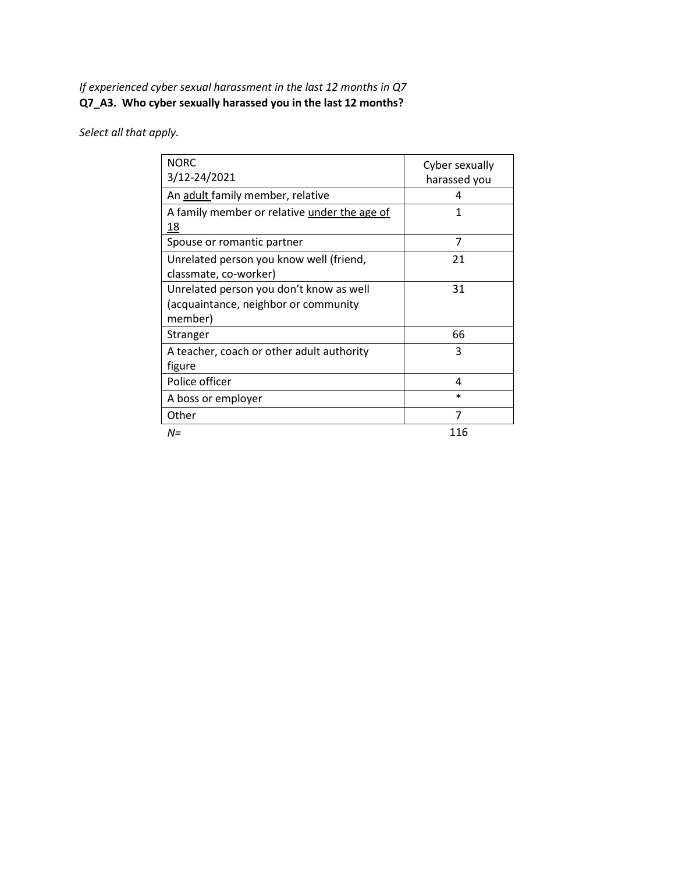### *If experienced cyber sexual harassment in the last 12 months in Q7* **Q7\_A3. Who cyber sexually harassed you in the last 12 months?**

| <b>NORC</b>                                  | Cyber sexually |
|----------------------------------------------|----------------|
| 3/12-24/2021                                 | harassed you   |
| An adult family member, relative             | 4              |
| A family member or relative under the age of | 1              |
| 18                                           |                |
| Spouse or romantic partner                   | 7              |
| Unrelated person you know well (friend,      | 21             |
| classmate, co-worker)                        |                |
| Unrelated person you don't know as well      | 31             |
| (acquaintance, neighbor or community         |                |
| member)                                      |                |
| Stranger                                     | 66             |
| A teacher, coach or other adult authority    | 3              |
| figure                                       |                |
| Police officer                               | 4              |
| A boss or employer                           | $\ast$         |
| Other                                        | 7              |
| $N =$                                        | 116            |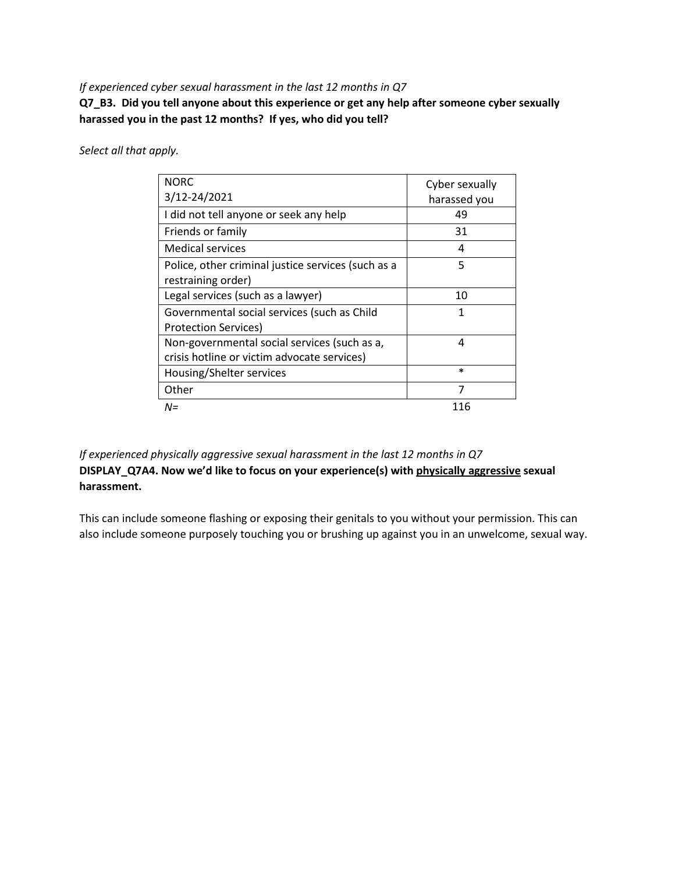#### *If experienced cyber sexual harassment in the last 12 months in Q7*

**Q7\_B3. Did you tell anyone about this experience or get any help after someone cyber sexually harassed you in the past 12 months? If yes, who did you tell?**

*Select all that apply.*

| <b>NORC</b>                                        | Cyber sexually |
|----------------------------------------------------|----------------|
| 3/12-24/2021                                       | harassed you   |
| I did not tell anyone or seek any help             | 49             |
| Friends or family                                  | 31             |
| <b>Medical services</b>                            | 4              |
| Police, other criminal justice services (such as a | 5              |
| restraining order)                                 |                |
| Legal services (such as a lawyer)                  | 10             |
| Governmental social services (such as Child        | 1              |
| <b>Protection Services)</b>                        |                |
| Non-governmental social services (such as a,       | 4              |
| crisis hotline or victim advocate services)        |                |
| Housing/Shelter services                           | $\ast$         |
| Other                                              | 7              |
| N=                                                 | 116            |

*If experienced physically aggressive sexual harassment in the last 12 months in Q7* **DISPLAY\_Q7A4. Now we'd like to focus on your experience(s) with physically aggressive sexual harassment.**

This can include someone flashing or exposing their genitals to you without your permission. This can also include someone purposely touching you or brushing up against you in an unwelcome, sexual way.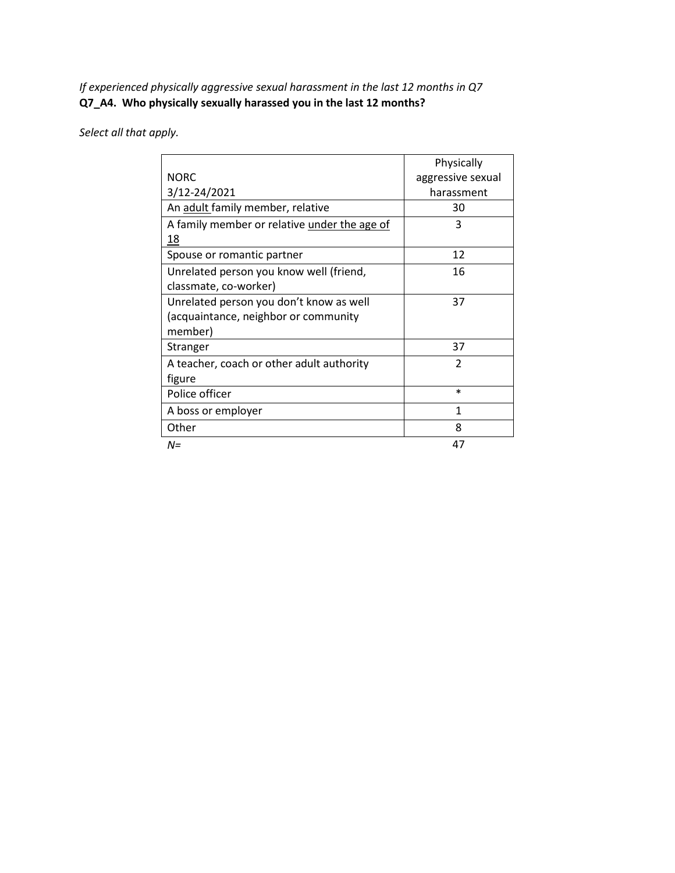*If experienced physically aggressive sexual harassment in the last 12 months in Q7* **Q7\_A4. Who physically sexually harassed you in the last 12 months?**

|                                              | Physically        |
|----------------------------------------------|-------------------|
| <b>NORC</b>                                  | aggressive sexual |
| 3/12-24/2021                                 | harassment        |
| An adult family member, relative             | 30                |
| A family member or relative under the age of | 3                 |
| 18                                           |                   |
| Spouse or romantic partner                   | 12                |
| Unrelated person you know well (friend,      | 16                |
| classmate, co-worker)                        |                   |
| Unrelated person you don't know as well      | 37                |
| (acquaintance, neighbor or community         |                   |
| member)                                      |                   |
| Stranger                                     | 37                |
| A teacher, coach or other adult authority    | $\mathfrak{p}$    |
| figure                                       |                   |
| Police officer                               | $\ast$            |
| A boss or employer                           | 1                 |
| Other                                        | 8                 |
| N=                                           | 47                |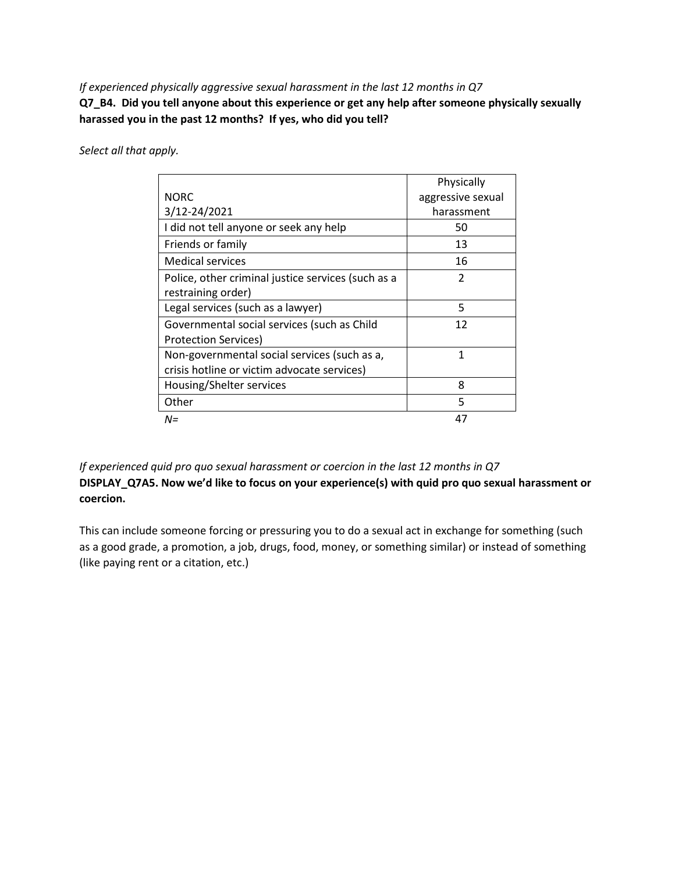#### *If experienced physically aggressive sexual harassment in the last 12 months in Q7*

**Q7\_B4. Did you tell anyone about this experience or get any help after someone physically sexually harassed you in the past 12 months? If yes, who did you tell?**

*Select all that apply.*

|                                                    | Physically        |
|----------------------------------------------------|-------------------|
| <b>NORC</b>                                        | aggressive sexual |
| 3/12-24/2021                                       | harassment        |
| I did not tell anyone or seek any help             | 50                |
| Friends or family                                  | 13                |
| <b>Medical services</b>                            | 16                |
| Police, other criminal justice services (such as a | 2                 |
| restraining order)                                 |                   |
| Legal services (such as a lawyer)                  | 5                 |
| Governmental social services (such as Child        | 12                |
| Protection Services)                               |                   |
| Non-governmental social services (such as a,       | 1                 |
| crisis hotline or victim advocate services)        |                   |
| Housing/Shelter services                           | 8                 |
| Other                                              | 5                 |
| $N =$                                              | 47                |

*If experienced quid pro quo sexual harassment or coercion in the last 12 months in Q7* **DISPLAY\_Q7A5. Now we'd like to focus on your experience(s) with quid pro quo sexual harassment or coercion.**

This can include someone forcing or pressuring you to do a sexual act in exchange for something (such as a good grade, a promotion, a job, drugs, food, money, or something similar) or instead of something (like paying rent or a citation, etc.)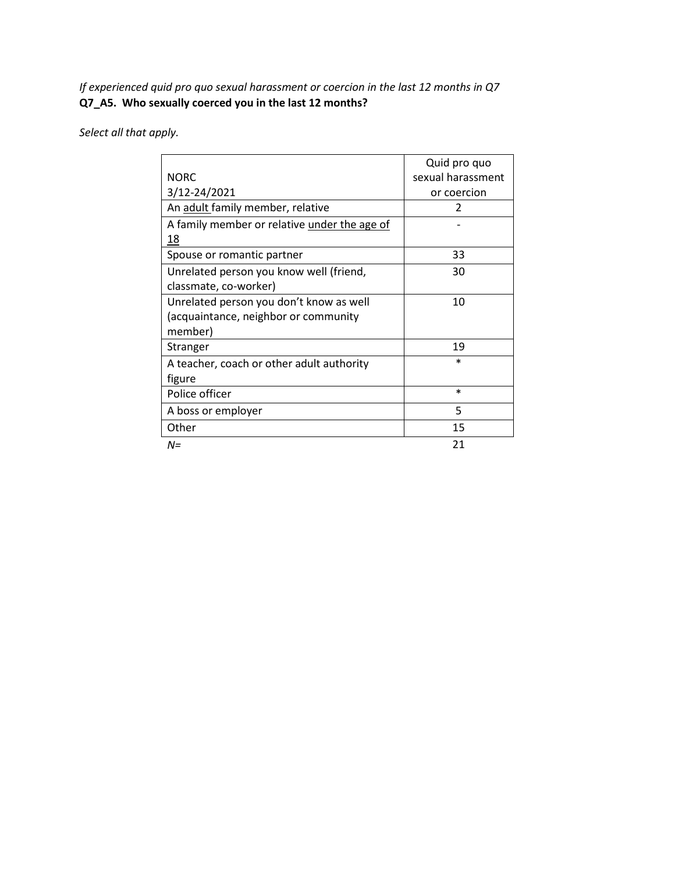*If experienced quid pro quo sexual harassment or coercion in the last 12 months in Q7* **Q7\_A5. Who sexually coerced you in the last 12 months?**

|                                              | Quid pro quo      |
|----------------------------------------------|-------------------|
| <b>NORC</b>                                  | sexual harassment |
| 3/12-24/2021                                 | or coercion       |
| An adult family member, relative             | 2                 |
| A family member or relative under the age of |                   |
| 18                                           |                   |
| Spouse or romantic partner                   | 33                |
| Unrelated person you know well (friend,      | 30                |
| classmate, co-worker)                        |                   |
| Unrelated person you don't know as well      | 10                |
| (acquaintance, neighbor or community         |                   |
| member)                                      |                   |
| Stranger                                     | 19                |
| A teacher, coach or other adult authority    | $\ast$            |
| figure                                       |                   |
| Police officer                               | $\ast$            |
| A boss or employer                           | 5                 |
| Other                                        | 15                |
| N=                                           | 21                |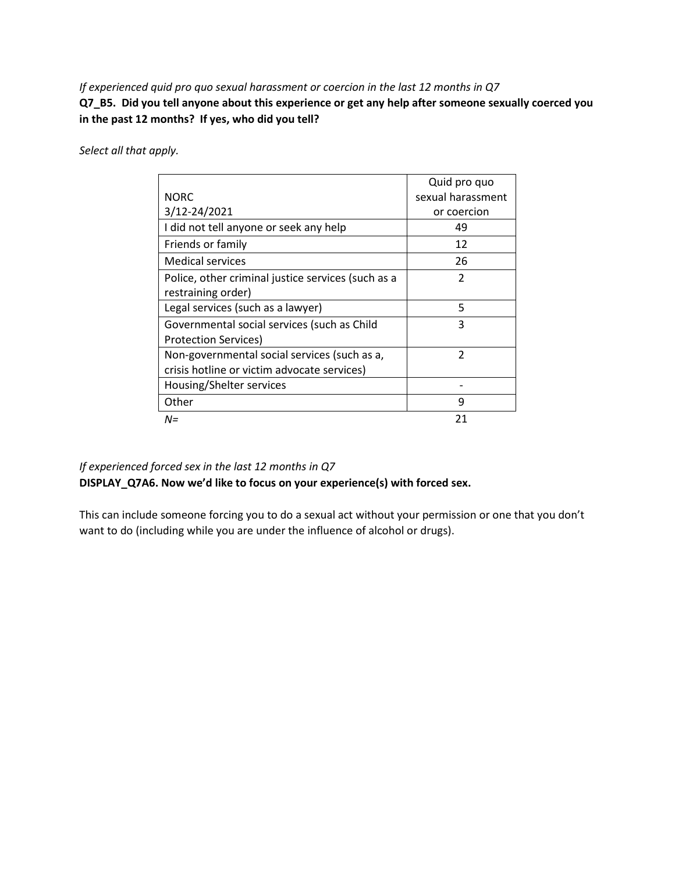*If experienced quid pro quo sexual harassment or coercion in the last 12 months in Q7*

**Q7\_B5. Did you tell anyone about this experience or get any help after someone sexually coerced you in the past 12 months? If yes, who did you tell?**

*Select all that apply.*

|                                                    | Quid pro quo      |
|----------------------------------------------------|-------------------|
| <b>NORC</b>                                        | sexual harassment |
| 3/12-24/2021                                       | or coercion       |
| I did not tell anyone or seek any help             | 49                |
| Friends or family                                  | 12                |
| Medical services                                   | 26                |
| Police, other criminal justice services (such as a | $\mathfrak z$     |
| restraining order)                                 |                   |
| Legal services (such as a lawyer)                  | 5                 |
| Governmental social services (such as Child        | 3                 |
| Protection Services)                               |                   |
| Non-governmental social services (such as a,       | 2                 |
| crisis hotline or victim advocate services)        |                   |
| Housing/Shelter services                           |                   |
| Other                                              | 9                 |
| $N =$                                              | 21                |

### *If experienced forced sex in the last 12 months in Q7* **DISPLAY\_Q7A6. Now we'd like to focus on your experience(s) with forced sex.**

This can include someone forcing you to do a sexual act without your permission or one that you don't want to do (including while you are under the influence of alcohol or drugs).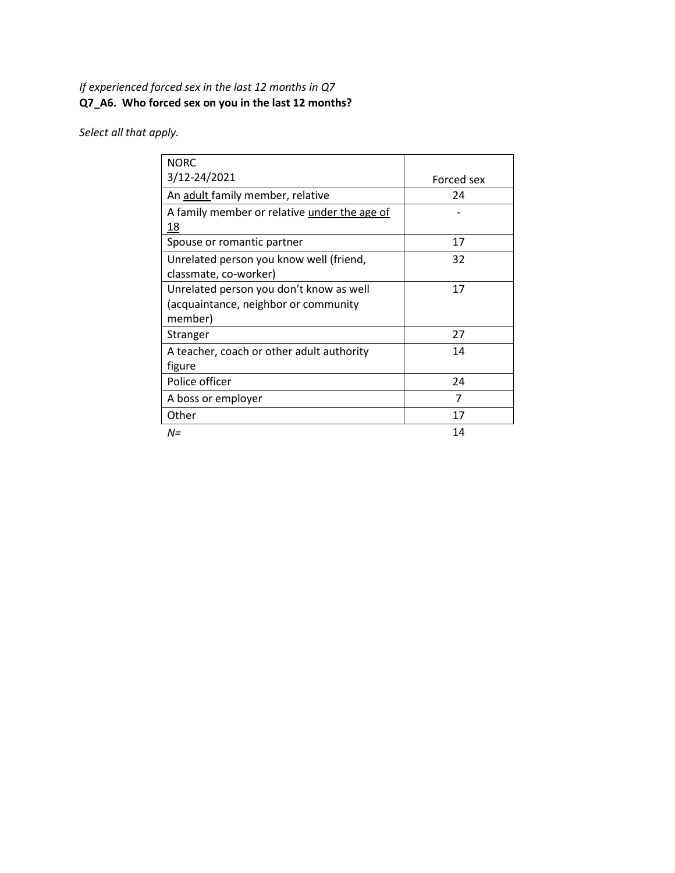### *If experienced forced sex in the last 12 months in Q7* **Q7\_A6. Who forced sex on you in the last 12 months?**

| <b>NORC</b>                                  |            |
|----------------------------------------------|------------|
| 3/12-24/2021                                 | Forced sex |
| An adult family member, relative             | 24         |
| A family member or relative under the age of |            |
| 18                                           |            |
| Spouse or romantic partner                   | 17         |
| Unrelated person you know well (friend,      | 32         |
| classmate, co-worker)                        |            |
| Unrelated person you don't know as well      | 17         |
| (acquaintance, neighbor or community         |            |
| member)                                      |            |
| Stranger                                     | 27         |
| A teacher, coach or other adult authority    | 14         |
| figure                                       |            |
| Police officer                               | 24         |
| A boss or employer                           | 7          |
| Other                                        | 17         |
| $N =$                                        | 14         |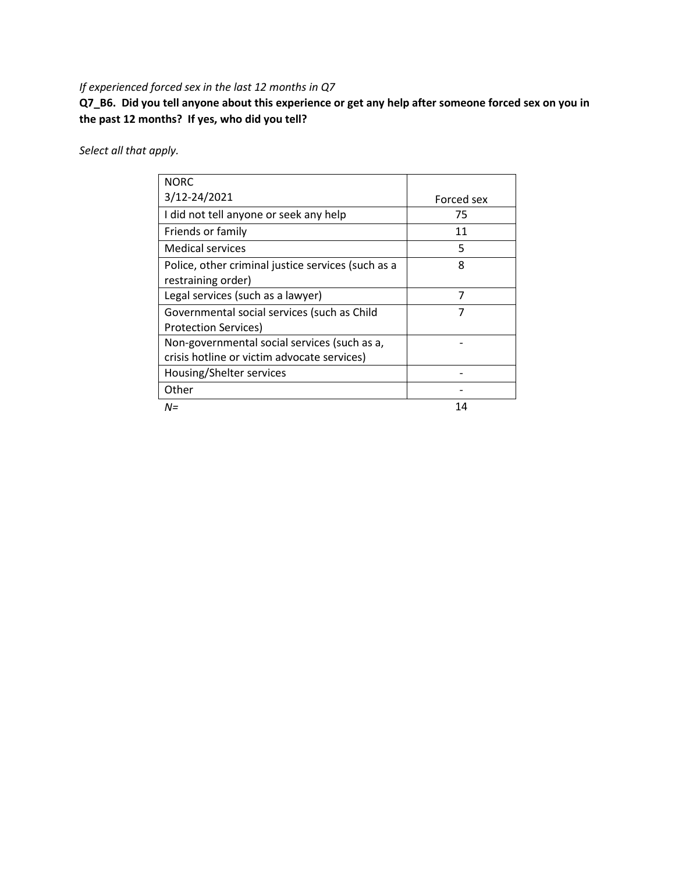### *If experienced forced sex in the last 12 months in Q7*

**Q7\_B6. Did you tell anyone about this experience or get any help after someone forced sex on you in the past 12 months? If yes, who did you tell?**

| <b>NORC</b>                                        |            |
|----------------------------------------------------|------------|
| 3/12-24/2021                                       | Forced sex |
| I did not tell anyone or seek any help             | 75         |
| Friends or family                                  | 11         |
| Medical services                                   | 5          |
| Police, other criminal justice services (such as a | 8          |
| restraining order)                                 |            |
| Legal services (such as a lawyer)                  | 7          |
| Governmental social services (such as Child        | 7          |
| <b>Protection Services)</b>                        |            |
| Non-governmental social services (such as a,       |            |
| crisis hotline or victim advocate services)        |            |
| Housing/Shelter services                           |            |
| Other                                              |            |
| N=                                                 | 14         |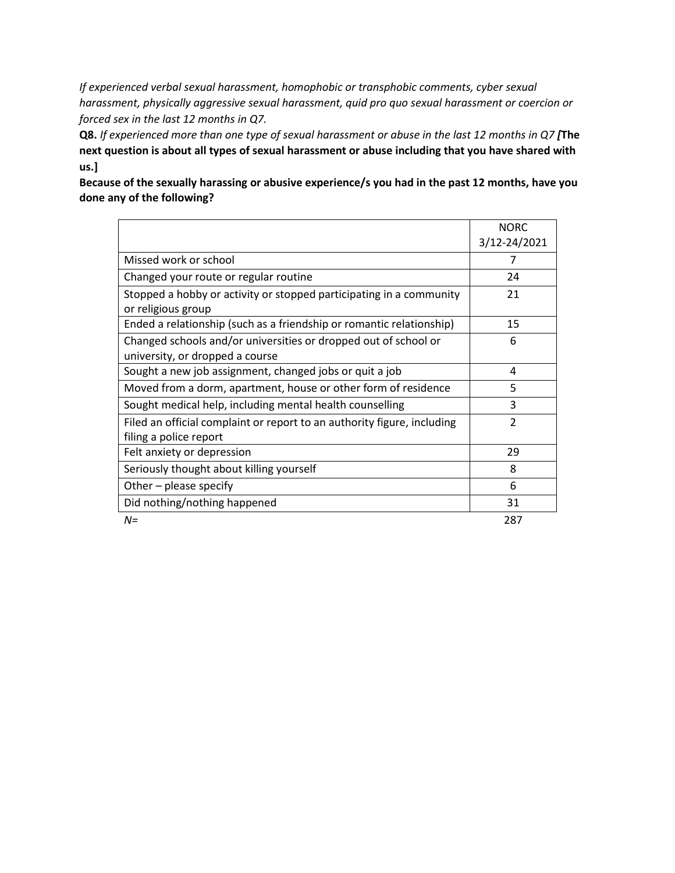*If experienced verbal sexual harassment, homophobic or transphobic comments, cyber sexual harassment, physically aggressive sexual harassment, quid pro quo sexual harassment or coercion or forced sex in the last 12 months in Q7.*

**Q8.** *If experienced more than one type of sexual harassment or abuse in the last 12 months in Q7 [***The next question is about all types of sexual harassment or abuse including that you have shared with us.]**

**Because of the sexually harassing or abusive experience/s you had in the past 12 months, have you done any of the following?** 

|                                                                         | <b>NORC</b>             |
|-------------------------------------------------------------------------|-------------------------|
|                                                                         | 3/12-24/2021            |
| Missed work or school                                                   | 7                       |
| Changed your route or regular routine                                   | 24                      |
| Stopped a hobby or activity or stopped participating in a community     | 21                      |
| or religious group                                                      |                         |
| Ended a relationship (such as a friendship or romantic relationship)    | 15                      |
| Changed schools and/or universities or dropped out of school or         | 6                       |
| university, or dropped a course                                         |                         |
| Sought a new job assignment, changed jobs or quit a job                 | 4                       |
| Moved from a dorm, apartment, house or other form of residence          | 5                       |
| Sought medical help, including mental health counselling                | 3                       |
| Filed an official complaint or report to an authority figure, including | $\overline{\mathbf{c}}$ |
| filing a police report                                                  |                         |
| Felt anxiety or depression                                              | 29                      |
| Seriously thought about killing yourself                                | 8                       |
| Other – please specify                                                  | 6                       |
| Did nothing/nothing happened                                            | 31                      |
| $N =$                                                                   | 287                     |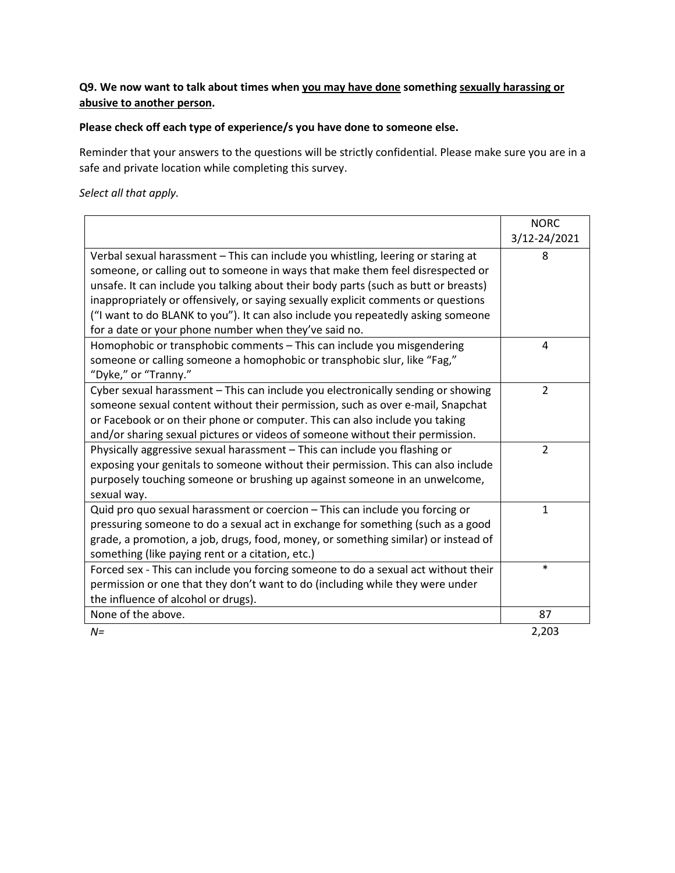### **Q9. We now want to talk about times when you may have done something sexually harassing or abusive to another person.**

### **Please check off each type of experience/s you have done to someone else.**

Reminder that your answers to the questions will be strictly confidential. Please make sure you are in a safe and private location while completing this survey.

|                                                                                     | <b>NORC</b>    |
|-------------------------------------------------------------------------------------|----------------|
|                                                                                     | 3/12-24/2021   |
| Verbal sexual harassment - This can include you whistling, leering or staring at    | 8              |
| someone, or calling out to someone in ways that make them feel disrespected or      |                |
| unsafe. It can include you talking about their body parts (such as butt or breasts) |                |
| inappropriately or offensively, or saying sexually explicit comments or questions   |                |
| ("I want to do BLANK to you"). It can also include you repeatedly asking someone    |                |
| for a date or your phone number when they've said no.                               |                |
| Homophobic or transphobic comments - This can include you misgendering              | 4              |
| someone or calling someone a homophobic or transphobic slur, like "Fag,"            |                |
| "Dyke," or "Tranny."                                                                |                |
| Cyber sexual harassment - This can include you electronically sending or showing    | $\overline{2}$ |
| someone sexual content without their permission, such as over e-mail, Snapchat      |                |
| or Facebook or on their phone or computer. This can also include you taking         |                |
| and/or sharing sexual pictures or videos of someone without their permission.       |                |
| Physically aggressive sexual harassment - This can include you flashing or          | $\overline{2}$ |
| exposing your genitals to someone without their permission. This can also include   |                |
| purposely touching someone or brushing up against someone in an unwelcome,          |                |
| sexual way.                                                                         |                |
| Quid pro quo sexual harassment or coercion - This can include you forcing or        | $\mathbf{1}$   |
| pressuring someone to do a sexual act in exchange for something (such as a good     |                |
| grade, a promotion, a job, drugs, food, money, or something similar) or instead of  |                |
| something (like paying rent or a citation, etc.)                                    |                |
| Forced sex - This can include you forcing someone to do a sexual act without their  | $\ast$         |
| permission or one that they don't want to do (including while they were under       |                |
| the influence of alcohol or drugs).                                                 |                |
| None of the above.                                                                  | 87             |
| $N =$                                                                               | 2,203          |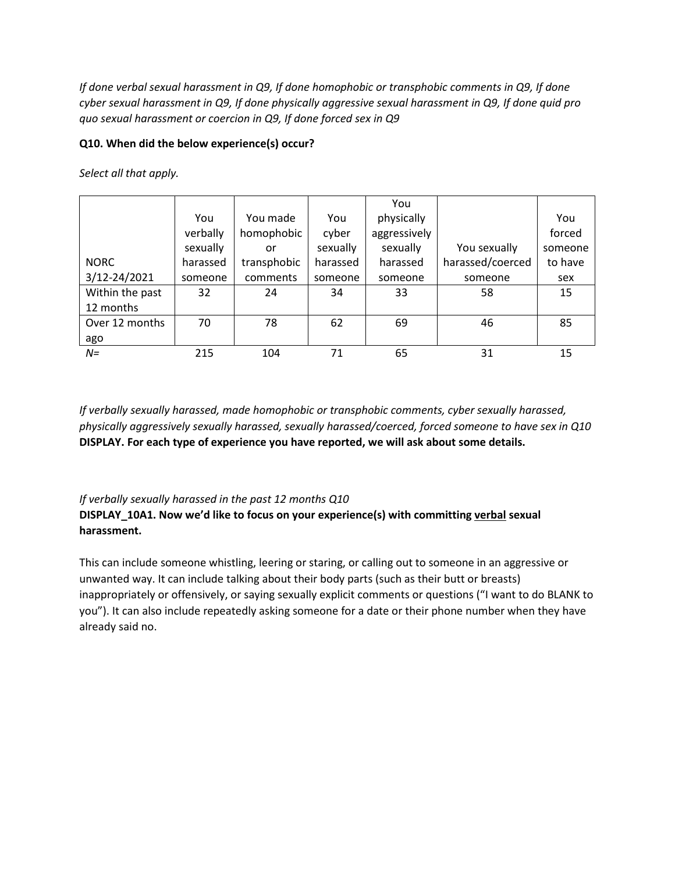*If done verbal sexual harassment in Q9, If done homophobic or transphobic comments in Q9, If done cyber sexual harassment in Q9, If done physically aggressive sexual harassment in Q9, If done quid pro quo sexual harassment or coercion in Q9, If done forced sex in Q9*

### **Q10. When did the below experience(s) occur?**

*Select all that apply.*

|                 |          |             |          | You          |                  |         |
|-----------------|----------|-------------|----------|--------------|------------------|---------|
|                 | You      | You made    | You      | physically   |                  | You     |
|                 | verbally | homophobic  | cyber    | aggressively |                  | forced  |
|                 | sexually | or          | sexually | sexually     | You sexually     | someone |
| <b>NORC</b>     | harassed | transphobic | harassed | harassed     | harassed/coerced | to have |
| 3/12-24/2021    | someone  | comments    | someone  | someone      | someone          | sex     |
| Within the past | 32       | 24          | 34       | 33           | 58               | 15      |
| 12 months       |          |             |          |              |                  |         |
| Over 12 months  | 70       | 78          | 62       | 69           | 46               | 85      |
| ago             |          |             |          |              |                  |         |
| $N =$           | 215      | 104         | 71       | 65           | 31               | 15      |

*If verbally sexually harassed, made homophobic or transphobic comments, cyber sexually harassed, physically aggressively sexually harassed, sexually harassed/coerced, forced someone to have sex in Q10* **DISPLAY. For each type of experience you have reported, we will ask about some details.**

### *If verbally sexually harassed in the past 12 months Q10*

**DISPLAY\_10A1. Now we'd like to focus on your experience(s) with committing verbal sexual harassment.**

This can include someone whistling, leering or staring, or calling out to someone in an aggressive or unwanted way. It can include talking about their body parts (such as their butt or breasts) inappropriately or offensively, or saying sexually explicit comments or questions ("I want to do BLANK to you"). It can also include repeatedly asking someone for a date or their phone number when they have already said no.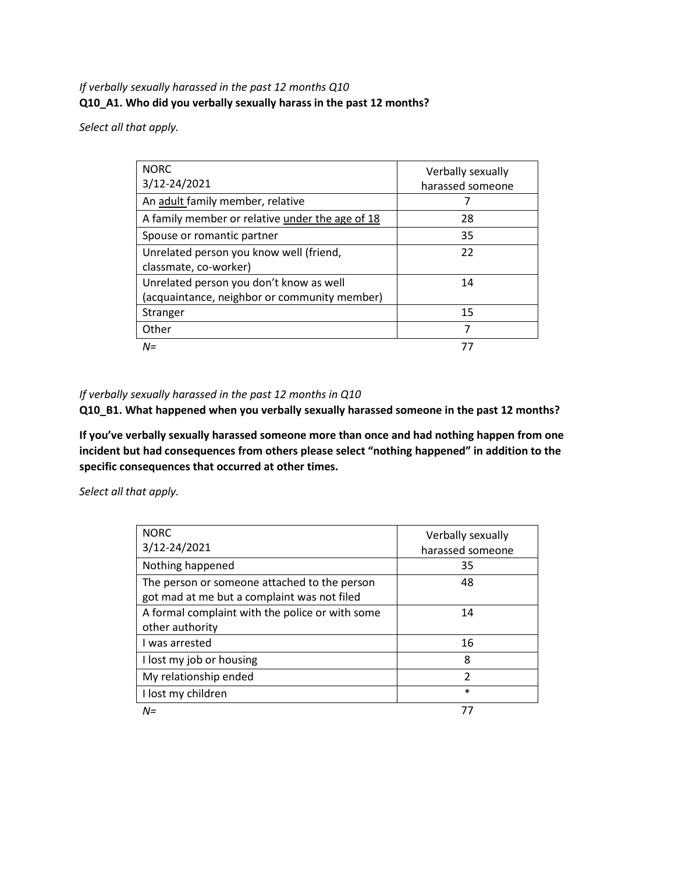### *If verbally sexually harassed in the past 12 months Q10* **Q10\_A1. Who did you verbally sexually harass in the past 12 months?**

*Select all that apply.*

| <b>NORC</b><br>3/12-24/2021                     | Verbally sexually<br>harassed someone |
|-------------------------------------------------|---------------------------------------|
| An adult family member, relative                |                                       |
| A family member or relative under the age of 18 | 28                                    |
| Spouse or romantic partner                      | 35                                    |
| Unrelated person you know well (friend,         | 22                                    |
| classmate, co-worker)                           |                                       |
| Unrelated person you don't know as well         | 14                                    |
| (acquaintance, neighbor or community member)    |                                       |
| Stranger                                        | 15                                    |
| Other                                           | 7                                     |
| $N =$                                           | 77                                    |

#### *If verbally sexually harassed in the past 12 months in Q10*

**Q10\_B1. What happened when you verbally sexually harassed someone in the past 12 months?**

**If you've verbally sexually harassed someone more than once and had nothing happen from one incident but had consequences from others please select "nothing happened" in addition to the specific consequences that occurred at other times.**

| <b>NORC</b><br>3/12-24/2021                                                                 | Verbally sexually<br>harassed someone |
|---------------------------------------------------------------------------------------------|---------------------------------------|
| Nothing happened                                                                            | 35                                    |
| The person or someone attached to the person<br>got mad at me but a complaint was not filed | 48                                    |
| A formal complaint with the police or with some<br>other authority                          | 14                                    |
| I was arrested                                                                              | 16                                    |
| I lost my job or housing                                                                    | 8                                     |
| My relationship ended                                                                       | $\mathfrak{p}$                        |
| I lost my children                                                                          | $\ast$                                |
| $N =$                                                                                       |                                       |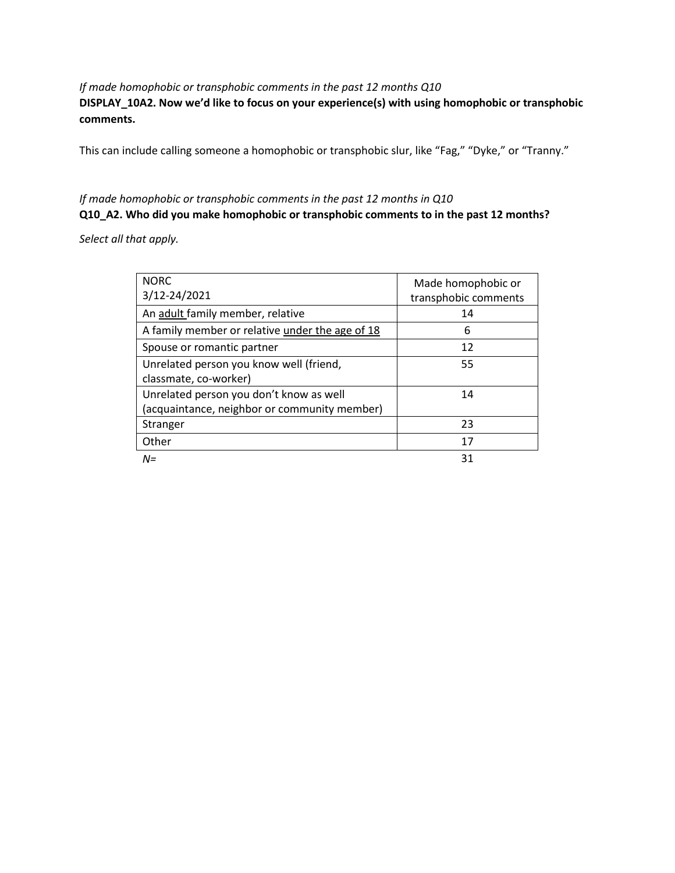### *If made homophobic or transphobic comments in the past 12 months Q10* **DISPLAY\_10A2. Now we'd like to focus on your experience(s) with using homophobic or transphobic comments.**

This can include calling someone a homophobic or transphobic slur, like "Fag," "Dyke," or "Tranny."

## *If made homophobic or transphobic comments in the past 12 months in Q10*

### **Q10\_A2. Who did you make homophobic or transphobic comments to in the past 12 months?**

| <b>NORC</b>                                     | Made homophobic or   |
|-------------------------------------------------|----------------------|
| 3/12-24/2021                                    | transphobic comments |
| An adult family member, relative                | 14                   |
| A family member or relative under the age of 18 | 6                    |
| Spouse or romantic partner                      | 12                   |
| Unrelated person you know well (friend,         | 55                   |
| classmate, co-worker)                           |                      |
| Unrelated person you don't know as well         | 14                   |
| (acquaintance, neighbor or community member)    |                      |
| Stranger                                        | 23                   |
| Other                                           | 17                   |
| $N =$                                           | 31                   |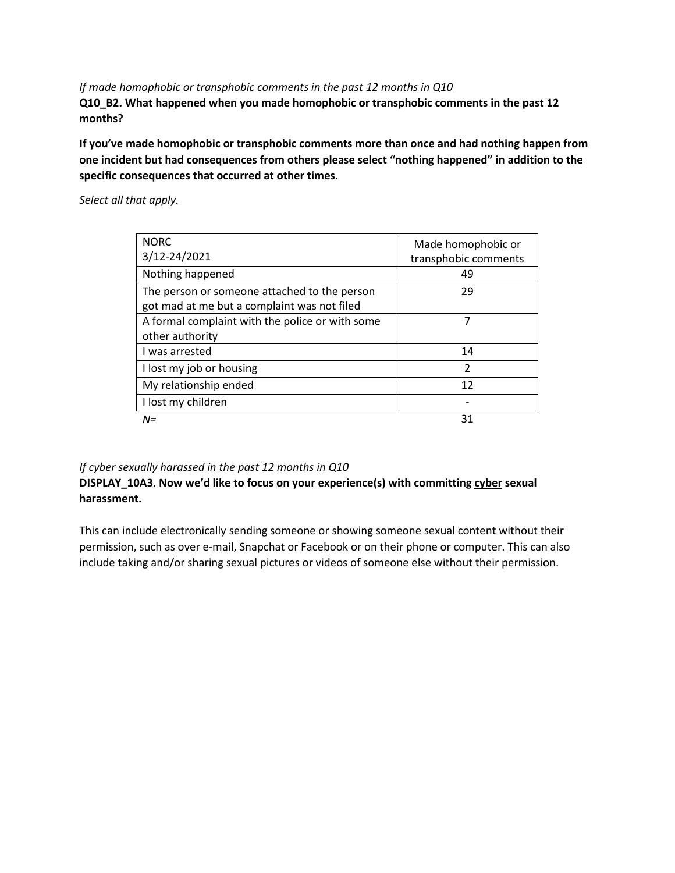*If made homophobic or transphobic comments in the past 12 months in Q10* **Q10\_B2. What happened when you made homophobic or transphobic comments in the past 12 months?**

**If you've made homophobic or transphobic comments more than once and had nothing happen from one incident but had consequences from others please select "nothing happened" in addition to the specific consequences that occurred at other times.**

*Select all that apply.*

| <b>NORC</b><br>3/12-24/2021                                                                 | Made homophobic or<br>transphobic comments |
|---------------------------------------------------------------------------------------------|--------------------------------------------|
| Nothing happened                                                                            | 49                                         |
| The person or someone attached to the person<br>got mad at me but a complaint was not filed | 29                                         |
| A formal complaint with the police or with some<br>other authority                          |                                            |
| I was arrested                                                                              | 14                                         |
| I lost my job or housing                                                                    | $\mathfrak{p}$                             |
| My relationship ended                                                                       | 12                                         |
| I lost my children                                                                          |                                            |
| $N =$                                                                                       | 31                                         |

#### *If cyber sexually harassed in the past 12 months in Q10*

### **DISPLAY\_10A3. Now we'd like to focus on your experience(s) with committing cyber sexual harassment.**

This can include electronically sending someone or showing someone sexual content without their permission, such as over e-mail, Snapchat or Facebook or on their phone or computer. This can also include taking and/or sharing sexual pictures or videos of someone else without their permission.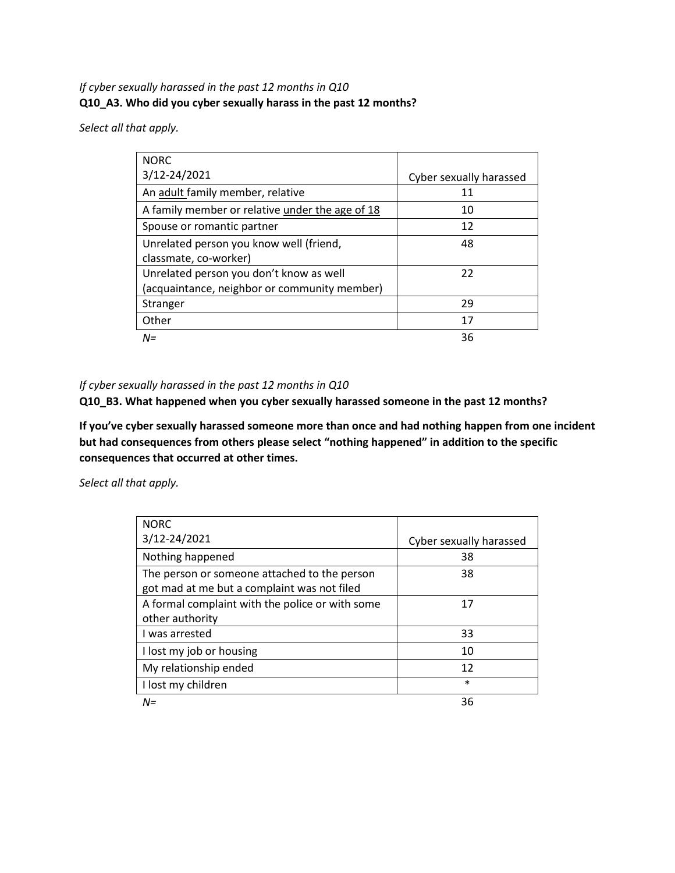### *If cyber sexually harassed in the past 12 months in Q10* **Q10\_A3. Who did you cyber sexually harass in the past 12 months?**

*Select all that apply.*

| <b>NORC</b>                                     |                         |
|-------------------------------------------------|-------------------------|
| 3/12-24/2021                                    | Cyber sexually harassed |
| An adult family member, relative                | 11                      |
| A family member or relative under the age of 18 | 10                      |
| Spouse or romantic partner                      | 12                      |
| Unrelated person you know well (friend,         | 48                      |
| classmate, co-worker)                           |                         |
| Unrelated person you don't know as well         | 22                      |
| (acquaintance, neighbor or community member)    |                         |
| Stranger                                        | 29                      |
| Other                                           | 17                      |
| $N =$                                           | 36                      |

#### *If cyber sexually harassed in the past 12 months in Q10*

**Q10\_B3. What happened when you cyber sexually harassed someone in the past 12 months?**

**If you've cyber sexually harassed someone more than once and had nothing happen from one incident but had consequences from others please select "nothing happened" in addition to the specific consequences that occurred at other times.**

| <b>NORC</b>                                     |                         |
|-------------------------------------------------|-------------------------|
| 3/12-24/2021                                    | Cyber sexually harassed |
| Nothing happened                                | 38                      |
| The person or someone attached to the person    | 38                      |
| got mad at me but a complaint was not filed     |                         |
| A formal complaint with the police or with some | 17                      |
| other authority                                 |                         |
| I was arrested                                  | 33                      |
| I lost my job or housing                        | 10                      |
| My relationship ended                           | 12                      |
| I lost my children                              | $\ast$                  |
| $N =$                                           | 36                      |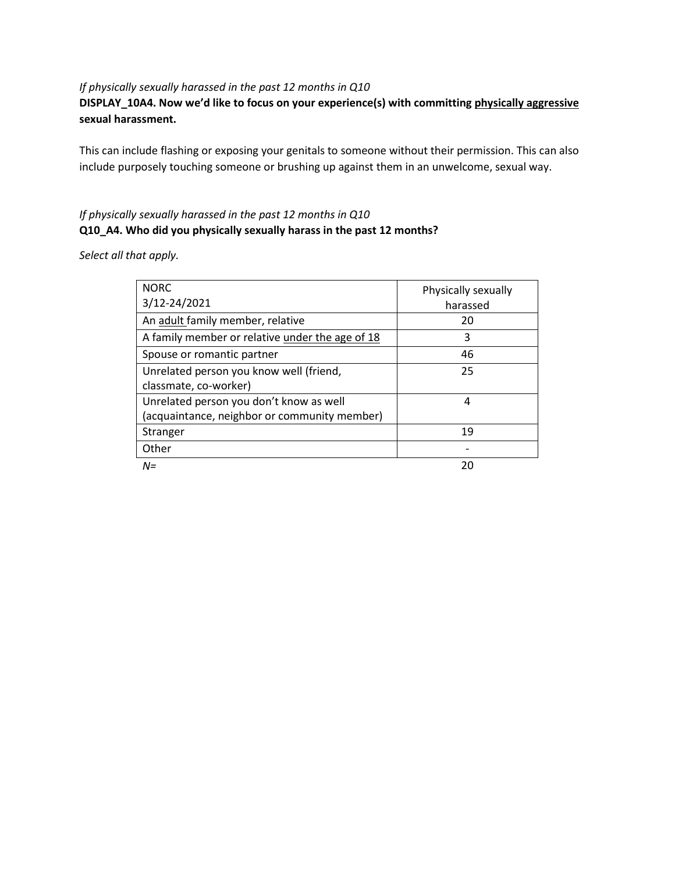#### *If physically sexually harassed in the past 12 months in Q10*

### **DISPLAY\_10A4. Now we'd like to focus on your experience(s) with committing physically aggressive sexual harassment.**

This can include flashing or exposing your genitals to someone without their permission. This can also include purposely touching someone or brushing up against them in an unwelcome, sexual way.

### *If physically sexually harassed in the past 12 months in Q10* **Q10\_A4. Who did you physically sexually harass in the past 12 months?**

| <b>NORC</b><br>3/12-24/2021                     | Physically sexually<br>harassed |
|-------------------------------------------------|---------------------------------|
| An adult family member, relative                | 20                              |
| A family member or relative under the age of 18 | 3                               |
| Spouse or romantic partner                      | 46                              |
| Unrelated person you know well (friend,         | 25                              |
| classmate, co-worker)                           |                                 |
| Unrelated person you don't know as well         | 4                               |
| (acquaintance, neighbor or community member)    |                                 |
| Stranger                                        | 19                              |
| Other                                           |                                 |
| $N =$                                           | 20                              |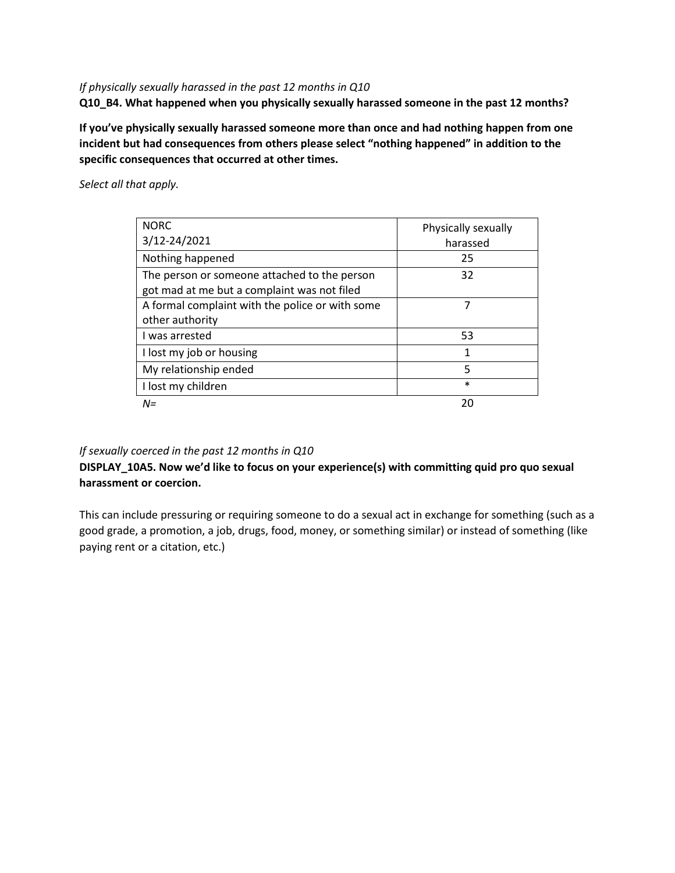#### *If physically sexually harassed in the past 12 months in Q10*

**Q10\_B4. What happened when you physically sexually harassed someone in the past 12 months?**

**If you've physically sexually harassed someone more than once and had nothing happen from one incident but had consequences from others please select "nothing happened" in addition to the specific consequences that occurred at other times.**

*Select all that apply.*

| <b>NORC</b><br>3/12-24/2021                                                                 | Physically sexually<br>harassed |
|---------------------------------------------------------------------------------------------|---------------------------------|
| Nothing happened                                                                            | 25                              |
| The person or someone attached to the person<br>got mad at me but a complaint was not filed | 32                              |
| A formal complaint with the police or with some                                             | 7                               |
| other authority<br>I was arrested                                                           | 53                              |
| I lost my job or housing                                                                    | 1                               |
| My relationship ended                                                                       | 5                               |
| I lost my children                                                                          | $\ast$                          |
| $N =$                                                                                       | 20                              |

### *If sexually coerced in the past 12 months in Q10*

**DISPLAY\_10A5. Now we'd like to focus on your experience(s) with committing quid pro quo sexual harassment or coercion.**

This can include pressuring or requiring someone to do a sexual act in exchange for something (such as a good grade, a promotion, a job, drugs, food, money, or something similar) or instead of something (like paying rent or a citation, etc.)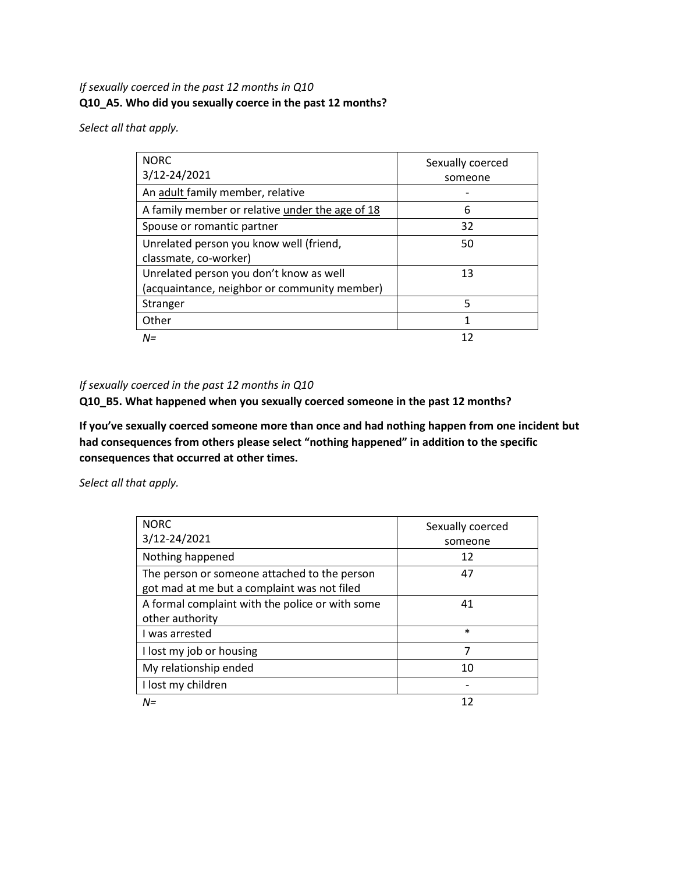### *If sexually coerced in the past 12 months in Q10* **Q10\_A5. Who did you sexually coerce in the past 12 months?**

*Select all that apply.*

| <b>NORC</b><br>3/12-24/2021                     | Sexually coerced<br>someone |
|-------------------------------------------------|-----------------------------|
| An adult family member, relative                |                             |
| A family member or relative under the age of 18 | 6                           |
| Spouse or romantic partner                      | 32                          |
| Unrelated person you know well (friend,         | 50                          |
| classmate, co-worker)                           |                             |
| Unrelated person you don't know as well         | 13                          |
| (acquaintance, neighbor or community member)    |                             |
| Stranger                                        | 5                           |
| Other                                           | 1                           |
| $N =$                                           |                             |

### *If sexually coerced in the past 12 months in Q10*

**Q10\_B5. What happened when you sexually coerced someone in the past 12 months?**

**If you've sexually coerced someone more than once and had nothing happen from one incident but had consequences from others please select "nothing happened" in addition to the specific consequences that occurred at other times.**

| <b>NORC</b>                                     | Sexually coerced |
|-------------------------------------------------|------------------|
| 3/12-24/2021                                    | someone          |
| Nothing happened                                | 12               |
| The person or someone attached to the person    | 47               |
| got mad at me but a complaint was not filed     |                  |
| A formal complaint with the police or with some | 41               |
| other authority                                 |                  |
| I was arrested                                  | $\ast$           |
| I lost my job or housing                        | 7                |
| My relationship ended                           | 10               |
| I lost my children                              |                  |
| $N =$                                           | 12               |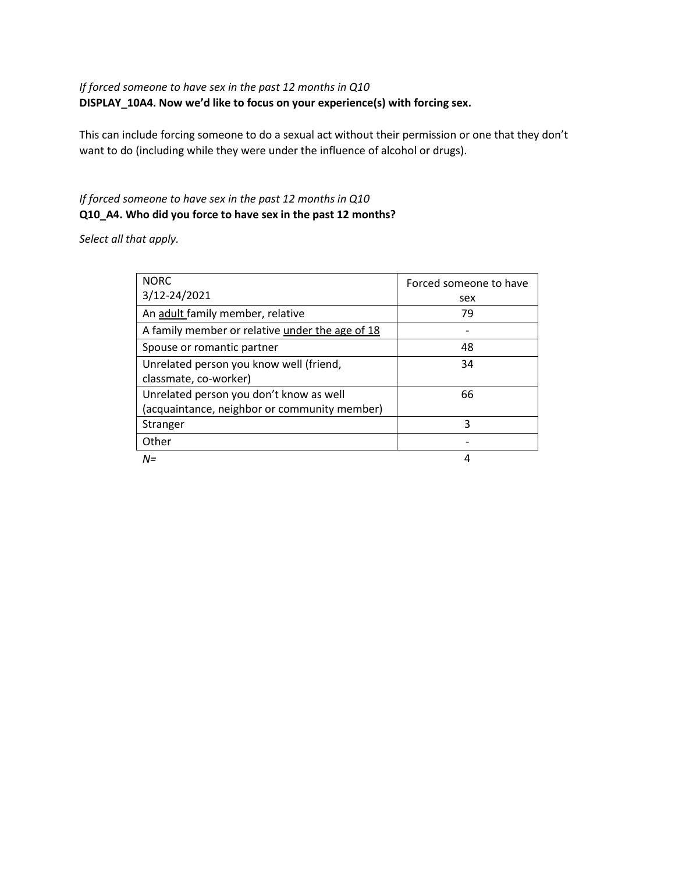### *If forced someone to have sex in the past 12 months in Q10* **DISPLAY\_10A4. Now we'd like to focus on your experience(s) with forcing sex.**

This can include forcing someone to do a sexual act without their permission or one that they don't want to do (including while they were under the influence of alcohol or drugs).

### *If forced someone to have sex in the past 12 months in Q10* **Q10\_A4. Who did you force to have sex in the past 12 months?**

| <b>NORC</b>                                     | Forced someone to have |
|-------------------------------------------------|------------------------|
| 3/12-24/2021                                    | sex                    |
| An adult family member, relative                | 79                     |
| A family member or relative under the age of 18 |                        |
| Spouse or romantic partner                      | 48                     |
| Unrelated person you know well (friend,         | 34                     |
| classmate, co-worker)                           |                        |
| Unrelated person you don't know as well         | 66                     |
| (acquaintance, neighbor or community member)    |                        |
| Stranger                                        | 3                      |
| Other                                           |                        |
| $N =$                                           | 4                      |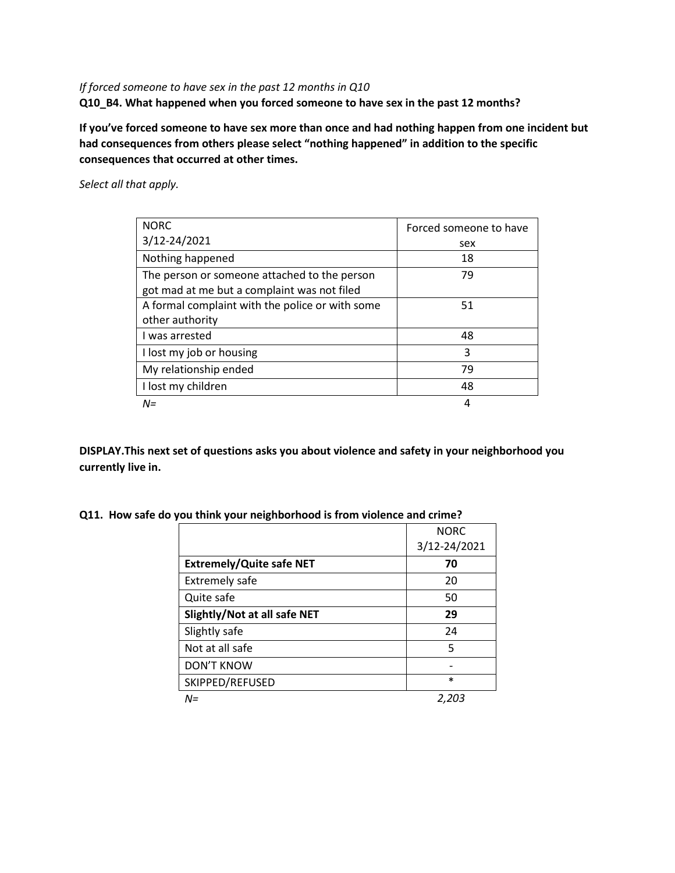### *If forced someone to have sex in the past 12 months in Q10* **Q10\_B4. What happened when you forced someone to have sex in the past 12 months?**

**If you've forced someone to have sex more than once and had nothing happen from one incident but had consequences from others please select "nothing happened" in addition to the specific consequences that occurred at other times.**

*Select all that apply.*

| <b>NORC</b>                                     | Forced someone to have |
|-------------------------------------------------|------------------------|
| 3/12-24/2021                                    | sex                    |
| Nothing happened                                | 18                     |
| The person or someone attached to the person    | 79                     |
| got mad at me but a complaint was not filed     |                        |
| A formal complaint with the police or with some | 51                     |
| other authority                                 |                        |
| I was arrested                                  | 48                     |
| I lost my job or housing                        | 3                      |
| My relationship ended                           | 79                     |
| I lost my children                              | 48                     |
| $N =$                                           | 4                      |

**DISPLAY.This next set of questions asks you about violence and safety in your neighborhood you currently live in.**

**Q11. How safe do you think your neighborhood is from violence and crime?**

|                                 | <b>NORC</b>  |
|---------------------------------|--------------|
|                                 | 3/12-24/2021 |
| <b>Extremely/Quite safe NET</b> | 70           |
| <b>Extremely safe</b>           | 20           |
| Quite safe                      | 50           |
| Slightly/Not at all safe NET    | 29           |
| Slightly safe                   | 24           |
| Not at all safe                 | 5            |
| <b>DON'T KNOW</b>               |              |
| SKIPPED/REFUSED                 | $\ast$       |
| $N =$                           | 2,203        |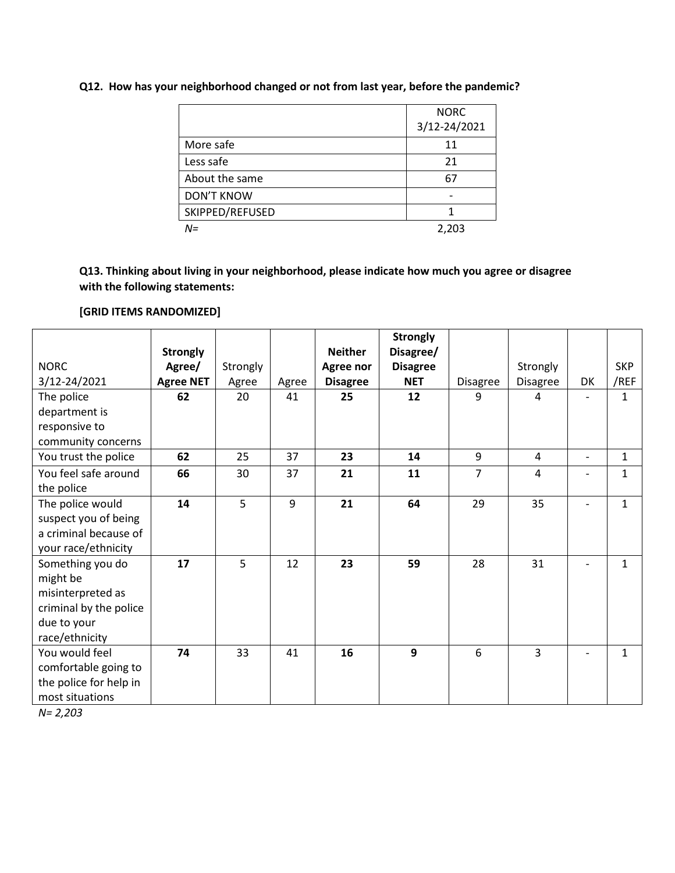### **Q12. How has your neighborhood changed or not from last year, before the pandemic?**

|                   | <b>NORC</b><br>3/12-24/2021 |
|-------------------|-----------------------------|
| More safe         | 11                          |
| Less safe         | 21                          |
| About the same    | 67                          |
| <b>DON'T KNOW</b> |                             |
| SKIPPED/REFUSED   |                             |
| N=                | 2,203                       |

**Q13. Thinking about living in your neighborhood, please indicate how much you agree or disagree with the following statements:**

#### **[GRID ITEMS RANDOMIZED]**

|                        |                  |          |       |                 | <b>Strongly</b> |                 |          |                          |              |
|------------------------|------------------|----------|-------|-----------------|-----------------|-----------------|----------|--------------------------|--------------|
|                        | <b>Strongly</b>  |          |       | <b>Neither</b>  | Disagree/       |                 |          |                          |              |
| <b>NORC</b>            | Agree/           | Strongly |       | Agree nor       | <b>Disagree</b> |                 | Strongly |                          | <b>SKP</b>   |
| 3/12-24/2021           | <b>Agree NET</b> | Agree    | Agree | <b>Disagree</b> | <b>NET</b>      | <b>Disagree</b> | Disagree | DK                       | /REF         |
| The police             | 62               | 20       | 41    | 25              | 12              | 9               | 4        |                          | $\mathbf{1}$ |
| department is          |                  |          |       |                 |                 |                 |          |                          |              |
| responsive to          |                  |          |       |                 |                 |                 |          |                          |              |
| community concerns     |                  |          |       |                 |                 |                 |          |                          |              |
| You trust the police   | 62               | 25       | 37    | 23              | 14              | 9               | 4        | $\overline{\phantom{a}}$ | $\mathbf{1}$ |
| You feel safe around   | 66               | 30       | 37    | 21              | 11              | $\overline{7}$  | 4        | $\overline{\phantom{0}}$ | $\mathbf{1}$ |
| the police             |                  |          |       |                 |                 |                 |          |                          |              |
| The police would       | 14               | 5        | 9     | 21              | 64              | 29              | 35       | $\overline{\phantom{0}}$ | $\mathbf{1}$ |
| suspect you of being   |                  |          |       |                 |                 |                 |          |                          |              |
| a criminal because of  |                  |          |       |                 |                 |                 |          |                          |              |
| your race/ethnicity    |                  |          |       |                 |                 |                 |          |                          |              |
| Something you do       | 17               | 5        | 12    | 23              | 59              | 28              | 31       | $\overline{\phantom{0}}$ | $\mathbf{1}$ |
| might be               |                  |          |       |                 |                 |                 |          |                          |              |
| misinterpreted as      |                  |          |       |                 |                 |                 |          |                          |              |
| criminal by the police |                  |          |       |                 |                 |                 |          |                          |              |
| due to your            |                  |          |       |                 |                 |                 |          |                          |              |
| race/ethnicity         |                  |          |       |                 |                 |                 |          |                          |              |
| You would feel         | 74               | 33       | 41    | 16              | $\mathbf{9}$    | 6               | 3        |                          | $\mathbf{1}$ |
| comfortable going to   |                  |          |       |                 |                 |                 |          |                          |              |
| the police for help in |                  |          |       |                 |                 |                 |          |                          |              |
| most situations        |                  |          |       |                 |                 |                 |          |                          |              |

*N= 2,203*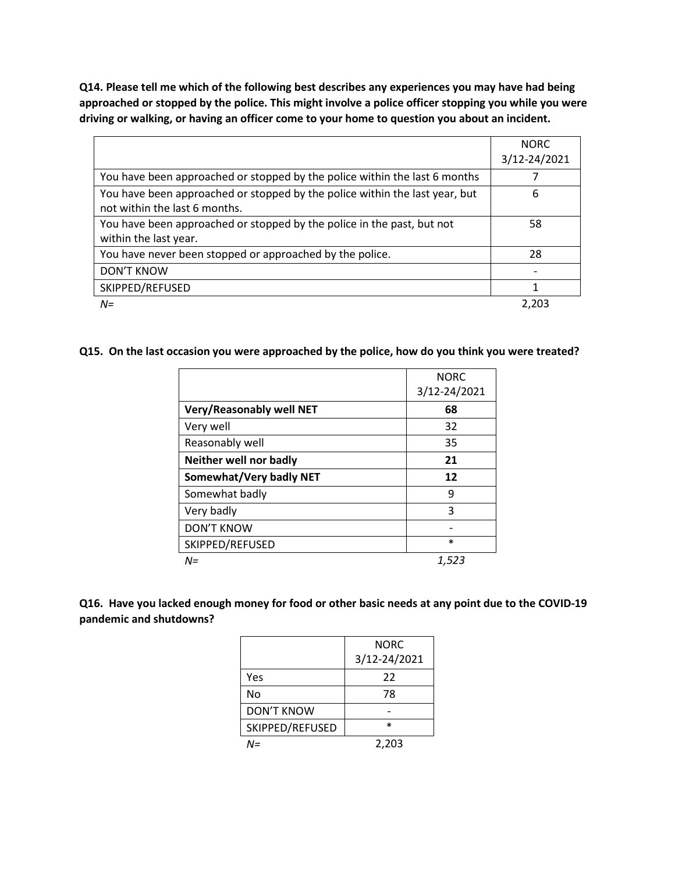**Q14. Please tell me which of the following best describes any experiences you may have had being approached or stopped by the police. This might involve a police officer stopping you while you were driving or walking, or having an officer come to your home to question you about an incident.**

|                                                                             | <b>NORC</b>  |
|-----------------------------------------------------------------------------|--------------|
|                                                                             | 3/12-24/2021 |
| You have been approached or stopped by the police within the last 6 months  |              |
| You have been approached or stopped by the police within the last year, but | 6            |
| not within the last 6 months.                                               |              |
| You have been approached or stopped by the police in the past, but not      | 58           |
| within the last year.                                                       |              |
| You have never been stopped or approached by the police.                    | 28           |
| DON'T KNOW                                                                  |              |
| SKIPPED/REFUSED                                                             | 1            |
| $N =$                                                                       | 2.203        |

**Q15. On the last occasion you were approached by the police, how do you think you were treated?**

|                          | <b>NORC</b>  |
|--------------------------|--------------|
|                          | 3/12-24/2021 |
| Very/Reasonably well NET | 68           |
| Very well                | 32           |
| Reasonably well          | 35           |
| Neither well nor badly   | 21           |
| Somewhat/Very badly NET  | 12           |
| Somewhat badly           | 9            |
| Very badly               | 3            |
| <b>DON'T KNOW</b>        |              |
| SKIPPED/REFUSED          | $\ast$       |
| N=                       | 1.523        |

**Q16. Have you lacked enough money for food or other basic needs at any point due to the COVID-19 pandemic and shutdowns?**

|                   | <b>NORC</b>  |
|-------------------|--------------|
|                   | 3/12-24/2021 |
| Yes               | 22           |
| No                | 78           |
| <b>DON'T KNOW</b> |              |
| SKIPPED/REFUSED   | *            |
| NΞ                | 2,203        |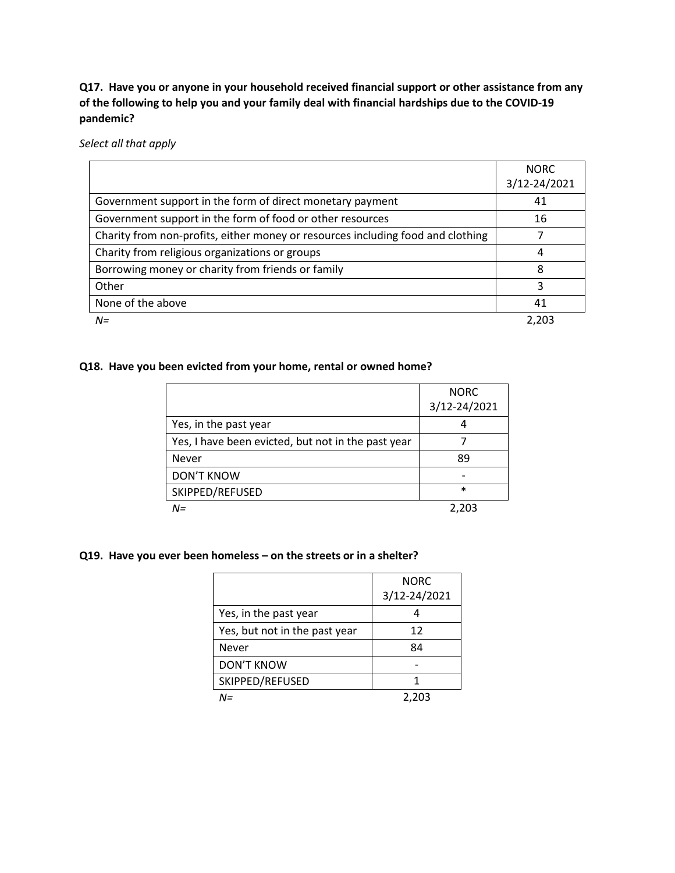**Q17. Have you or anyone in your household received financial support or other assistance from any of the following to help you and your family deal with financial hardships due to the COVID-19 pandemic?**

*Select all that apply*

|                                                                                 | <b>NORC</b>  |
|---------------------------------------------------------------------------------|--------------|
|                                                                                 | 3/12-24/2021 |
| Government support in the form of direct monetary payment                       | 41           |
| Government support in the form of food or other resources                       | 16           |
| Charity from non-profits, either money or resources including food and clothing |              |
| Charity from religious organizations or groups                                  | 4            |
| Borrowing money or charity from friends or family                               | 8            |
| Other                                                                           | 3            |
| None of the above                                                               | 41           |
| $N =$                                                                           | 2.203        |

#### **Q18. Have you been evicted from your home, rental or owned home?**

|                                                    | <b>NORC</b><br>3/12-24/2021 |
|----------------------------------------------------|-----------------------------|
| Yes, in the past year                              |                             |
| Yes, I have been evicted, but not in the past year |                             |
| <b>Never</b>                                       | 89                          |
| <b>DON'T KNOW</b>                                  |                             |
| SKIPPED/REFUSED                                    | $\ast$                      |
| $N =$                                              | 2,203                       |

#### **Q19. Have you ever been homeless – on the streets or in a shelter?**

|                               | <b>NORC</b>  |
|-------------------------------|--------------|
|                               | 3/12-24/2021 |
| Yes, in the past year         |              |
| Yes, but not in the past year | 12           |
| Never                         | 84           |
| <b>DON'T KNOW</b>             |              |
| SKIPPED/REFUSED               |              |
| N=                            | 2,203        |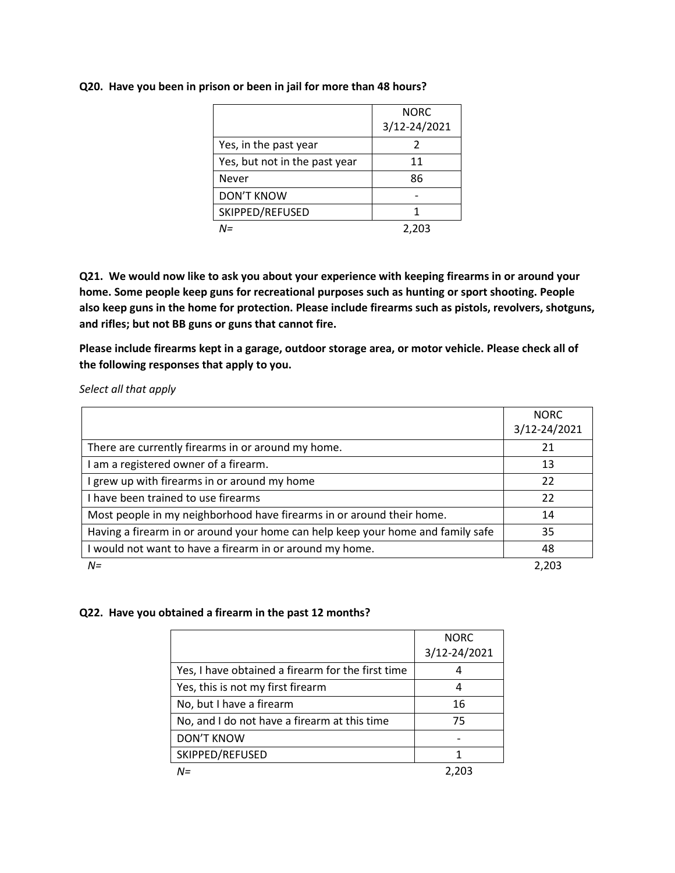#### **Q20. Have you been in prison or been in jail for more than 48 hours?**

|                               | <b>NORC</b>  |
|-------------------------------|--------------|
|                               | 3/12-24/2021 |
| Yes, in the past year         |              |
| Yes, but not in the past year | 11           |
| Never                         | 86           |
| <b>DON'T KNOW</b>             |              |
| SKIPPED/REFUSED               |              |
| N=                            | 2,203        |

**Q21. We would now like to ask you about your experience with keeping firearms in or around your home. Some people keep guns for recreational purposes such as hunting or sport shooting. People also keep guns in the home for protection. Please include firearms such as pistols, revolvers, shotguns, and rifles; but not BB guns or guns that cannot fire.**

**Please include firearms kept in a garage, outdoor storage area, or motor vehicle. Please check all of the following responses that apply to you.**

*Select all that apply*

|                                                                                 | <b>NORC</b>  |
|---------------------------------------------------------------------------------|--------------|
|                                                                                 | 3/12-24/2021 |
| There are currently firearms in or around my home.                              | 21           |
| am a registered owner of a firearm.                                             | 13           |
| grew up with firearms in or around my home                                      | 22           |
| have been trained to use firearms                                               | 22           |
| Most people in my neighborhood have firearms in or around their home.           | 14           |
| Having a firearm in or around your home can help keep your home and family safe | 35           |
| I would not want to have a firearm in or around my home.                        | 48           |
| $N =$                                                                           | 2.203        |

#### **Q22. Have you obtained a firearm in the past 12 months?**

|                                                   | <b>NORC</b><br>3/12-24/2021 |
|---------------------------------------------------|-----------------------------|
| Yes, I have obtained a firearm for the first time |                             |
| Yes, this is not my first firearm                 |                             |
| No, but I have a firearm                          | 16                          |
| No, and I do not have a firearm at this time      | 75                          |
| <b>DON'T KNOW</b>                                 |                             |
| SKIPPED/REFUSED                                   |                             |
| N=                                                |                             |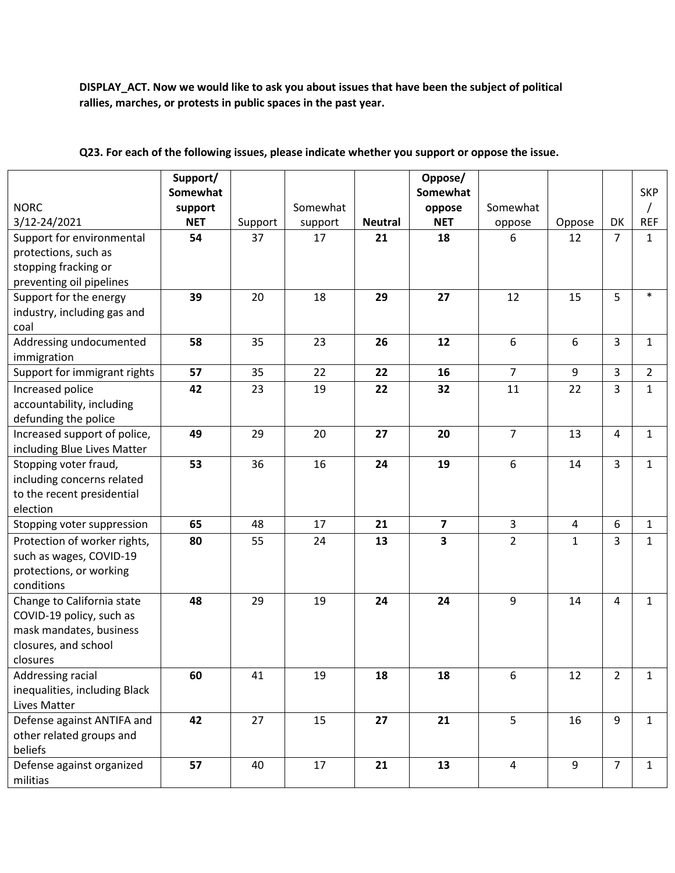**DISPLAY\_ACT. Now we would like to ask you about issues that have been the subject of political rallies, marches, or protests in public spaces in the past year.**

|                               | Support/   |         |          |                | Oppose/                 |                |        |                |                |
|-------------------------------|------------|---------|----------|----------------|-------------------------|----------------|--------|----------------|----------------|
|                               | Somewhat   |         |          |                | Somewhat                |                |        |                | <b>SKP</b>     |
| <b>NORC</b>                   | support    |         | Somewhat |                | oppose                  | Somewhat       |        |                |                |
| 3/12-24/2021                  | <b>NET</b> | Support | support  | <b>Neutral</b> | <b>NET</b>              | oppose         | Oppose | DK             | <b>REF</b>     |
| Support for environmental     | 54         | 37      | 17       | 21             | 18                      | 6              | 12     | $\overline{7}$ | $\mathbf{1}$   |
| protections, such as          |            |         |          |                |                         |                |        |                |                |
| stopping fracking or          |            |         |          |                |                         |                |        |                |                |
| preventing oil pipelines      |            |         |          |                |                         |                |        |                |                |
| Support for the energy        | 39         | 20      | 18       | 29             | 27                      | 12             | 15     | 5              | $\ast$         |
| industry, including gas and   |            |         |          |                |                         |                |        |                |                |
| coal                          |            |         |          |                |                         |                |        |                |                |
| Addressing undocumented       | 58         | 35      | 23       | 26             | 12                      | 6              | 6      | 3              | $\mathbf{1}$   |
| immigration                   |            |         |          |                |                         |                |        |                |                |
| Support for immigrant rights  | 57         | 35      | 22       | 22             | 16                      | $\overline{7}$ | 9      | 3              | $\overline{2}$ |
| Increased police              | 42         | 23      | 19       | 22             | 32                      | 11             | 22     | 3              | $\mathbf{1}$   |
| accountability, including     |            |         |          |                |                         |                |        |                |                |
| defunding the police          |            |         |          |                |                         |                |        |                |                |
| Increased support of police,  | 49         | 29      | 20       | 27             | 20                      | $\overline{7}$ | 13     | 4              | $\mathbf{1}$   |
| including Blue Lives Matter   |            |         |          |                |                         |                |        |                |                |
| Stopping voter fraud,         | 53         | 36      | 16       | 24             | 19                      | 6              | 14     | 3              | $\mathbf{1}$   |
| including concerns related    |            |         |          |                |                         |                |        |                |                |
| to the recent presidential    |            |         |          |                |                         |                |        |                |                |
| election                      |            |         |          |                |                         |                |        |                |                |
| Stopping voter suppression    | 65         | 48      | 17       | 21             | $\overline{\mathbf{z}}$ | 3              | 4      | 6              | $\mathbf{1}$   |
| Protection of worker rights,  | 80         | 55      | 24       | 13             | 3                       | $\overline{2}$ | 1      | 3              | $\mathbf{1}$   |
| such as wages, COVID-19       |            |         |          |                |                         |                |        |                |                |
| protections, or working       |            |         |          |                |                         |                |        |                |                |
| conditions                    |            |         |          |                |                         |                |        |                |                |
| Change to California state    | 48         | 29      | 19       | 24             | 24                      | 9              | 14     | 4              | $\mathbf{1}$   |
| COVID-19 policy, such as      |            |         |          |                |                         |                |        |                |                |
| mask mandates, business       |            |         |          |                |                         |                |        |                |                |
| closures, and school          |            |         |          |                |                         |                |        |                |                |
| closures                      |            |         |          |                |                         |                |        |                |                |
| Addressing racial             | 60         | 41      | 19       | 18             | 18                      | 6              | 12     | $2^{\circ}$    | $\mathbf{1}$   |
| inequalities, including Black |            |         |          |                |                         |                |        |                |                |
| <b>Lives Matter</b>           |            |         |          |                |                         |                |        |                |                |
| Defense against ANTIFA and    | 42         | 27      | 15       | 27             | 21                      | 5              | 16     | 9              | $\mathbf{1}$   |
| other related groups and      |            |         |          |                |                         |                |        |                |                |
| beliefs                       |            |         |          |                |                         |                |        |                |                |
| Defense against organized     | 57         | 40      | 17       | 21             | 13                      | $\overline{4}$ | 9      | $\overline{7}$ | $\mathbf{1}$   |
| militias                      |            |         |          |                |                         |                |        |                |                |

**Q23. For each of the following issues, please indicate whether you support or oppose the issue.**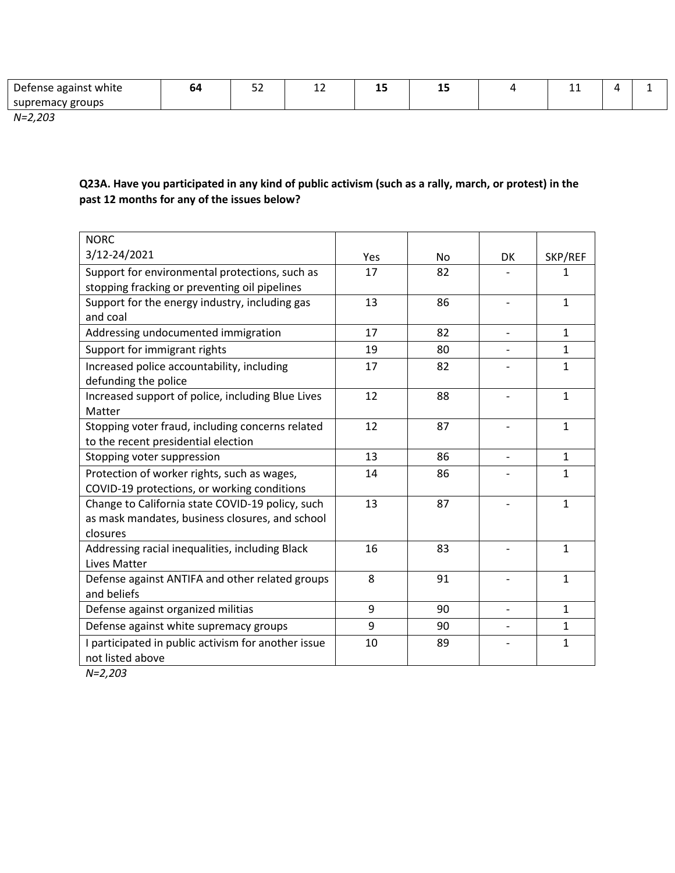| groups<br>remac۱<br>sup | -<br>: white<br>agail<br>- סכו | m | $ \sim$<br>-- | -- | - -<br>-- | -- | . |  |
|-------------------------|--------------------------------|---|---------------|----|-----------|----|---|--|
|                         |                                |   |               |    |           |    |   |  |

*N=2,203*

### **Q23A. Have you participated in any kind of public activism (such as a rally, march, or protest) in the past 12 months for any of the issues below?**

| <b>NORC</b>                                                                                                     |     |           |                          |              |
|-----------------------------------------------------------------------------------------------------------------|-----|-----------|--------------------------|--------------|
| 3/12-24/2021                                                                                                    | Yes | <b>No</b> | DK                       | SKP/REF      |
| Support for environmental protections, such as                                                                  | 17  | 82        |                          | 1            |
| stopping fracking or preventing oil pipelines                                                                   |     |           |                          |              |
| Support for the energy industry, including gas<br>and coal                                                      | 13  | 86        |                          | $\mathbf{1}$ |
| Addressing undocumented immigration                                                                             | 17  | 82        | $\overline{a}$           | $\mathbf{1}$ |
| Support for immigrant rights                                                                                    | 19  | 80        |                          | $\mathbf 1$  |
| Increased police accountability, including<br>defunding the police                                              | 17  | 82        |                          | 1            |
| Increased support of police, including Blue Lives<br>Matter                                                     | 12  | 88        |                          | $\mathbf{1}$ |
| Stopping voter fraud, including concerns related<br>to the recent presidential election                         | 12  | 87        |                          | $\mathbf{1}$ |
| Stopping voter suppression                                                                                      | 13  | 86        | $\overline{\phantom{0}}$ | $\mathbf{1}$ |
| Protection of worker rights, such as wages,                                                                     | 14  | 86        |                          | $\mathbf{1}$ |
| COVID-19 protections, or working conditions                                                                     |     |           |                          |              |
| Change to California state COVID-19 policy, such<br>as mask mandates, business closures, and school<br>closures | 13  | 87        |                          | $\mathbf{1}$ |
| Addressing racial inequalities, including Black<br><b>Lives Matter</b>                                          | 16  | 83        |                          | $\mathbf{1}$ |
| Defense against ANTIFA and other related groups<br>and beliefs                                                  | 8   | 91        |                          | $\mathbf{1}$ |
| Defense against organized militias                                                                              | 9   | 90        | $\overline{a}$           | $\mathbf{1}$ |
| Defense against white supremacy groups                                                                          | 9   | 90        |                          | $\mathbf{1}$ |
| I participated in public activism for another issue<br>not listed above                                         | 10  | 89        |                          | $\mathbf{1}$ |

*N=2,203*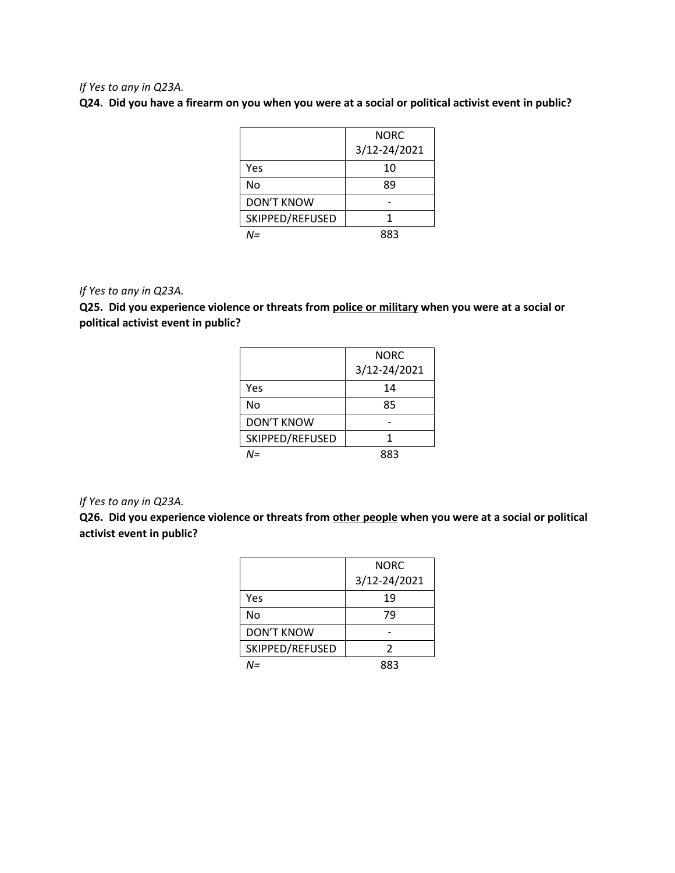#### *If Yes to any in Q23A.*

**Q24. Did you have a firearm on you when you were at a social or political activist event in public?**

|                 | NORC         |
|-----------------|--------------|
|                 | 3/12-24/2021 |
| Yes             | 10           |
| No              | 89           |
| DON'T KNOW      |              |
| SKIPPED/REFUSED | 1            |
| NΞ              | 883          |

#### *If Yes to any in Q23A.*

**Q25. Did you experience violence or threats from police or military when you were at a social or political activist event in public?**

|                   | NORC         |
|-------------------|--------------|
|                   | 3/12-24/2021 |
| Yes               | 14           |
| No                | 85           |
| <b>DON'T KNOW</b> |              |
| SKIPPED/REFUSED   | 1            |
| N=                | 883          |

#### *If Yes to any in Q23A.*

**Q26. Did you experience violence or threats from other people when you were at a social or political activist event in public?**

|                   | NORC         |
|-------------------|--------------|
|                   | 3/12-24/2021 |
| Yes               | 19           |
| No                | 79           |
| <b>DON'T KNOW</b> |              |
| SKIPPED/REFUSED   | 2            |
| M=                | 883          |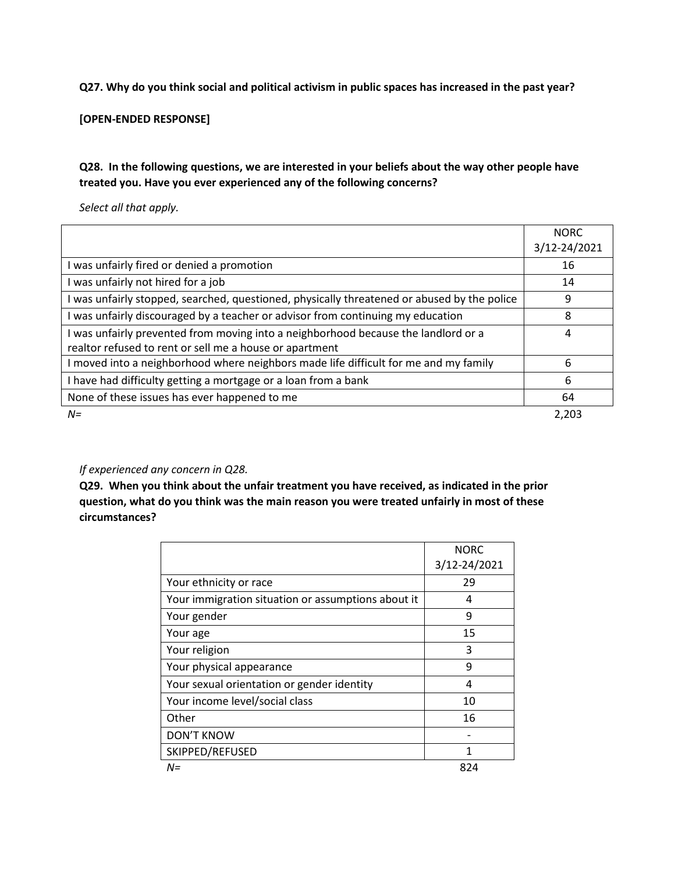#### **Q27. Why do you think social and political activism in public spaces has increased in the past year?**

**[OPEN-ENDED RESPONSE]**

### **Q28. In the following questions, we are interested in your beliefs about the way other people have treated you. Have you ever experienced any of the following concerns?**

*Select all that apply.*

|                                                                                                                                             | <b>NORC</b><br>3/12-24/2021 |
|---------------------------------------------------------------------------------------------------------------------------------------------|-----------------------------|
| was unfairly fired or denied a promotion                                                                                                    | 16                          |
| was unfairly not hired for a job                                                                                                            | 14                          |
| was unfairly stopped, searched, questioned, physically threatened or abused by the police                                                   | 9                           |
| was unfairly discouraged by a teacher or advisor from continuing my education                                                               | 8                           |
| was unfairly prevented from moving into a neighborhood because the landlord or a<br>realtor refused to rent or sell me a house or apartment | 4                           |
| moved into a neighborhood where neighbors made life difficult for me and my family                                                          | 6                           |
| have had difficulty getting a mortgage or a loan from a bank                                                                                | 6                           |
| None of these issues has ever happened to me                                                                                                | 64                          |
| $N =$                                                                                                                                       | 2,203                       |

#### *If experienced any concern in Q28.*

**Q29. When you think about the unfair treatment you have received, as indicated in the prior question, what do you think was the main reason you were treated unfairly in most of these circumstances?** 

|                                                    | <b>NORC</b>  |
|----------------------------------------------------|--------------|
|                                                    | 3/12-24/2021 |
| Your ethnicity or race                             | 29           |
| Your immigration situation or assumptions about it | 4            |
| Your gender                                        | 9            |
| Your age                                           | 15           |
| Your religion                                      | 3            |
| Your physical appearance                           | 9            |
| Your sexual orientation or gender identity         | 4            |
| Your income level/social class                     | 10           |
| Other                                              | 16           |
| <b>DON'T KNOW</b>                                  |              |
| SKIPPED/REFUSED                                    |              |
| $N =$                                              | 824          |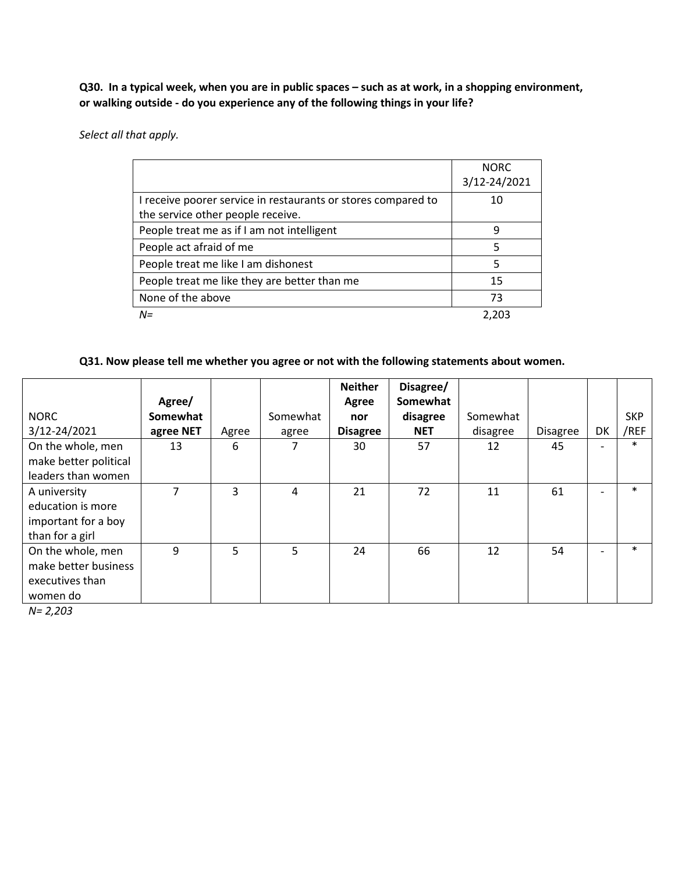**Q30. In a typical week, when you are in public spaces – such as at work, in a shopping environment, or walking outside - do you experience any of the following things in your life?** 

*Select all that apply.*

|                                                               | <b>NORC</b>  |
|---------------------------------------------------------------|--------------|
|                                                               | 3/12-24/2021 |
| I receive poorer service in restaurants or stores compared to | 10           |
| the service other people receive.                             |              |
| People treat me as if I am not intelligent                    | q            |
| People act afraid of me                                       | 5            |
| People treat me like I am dishonest                           | 5            |
| People treat me like they are better than me                  | 15           |
| None of the above                                             | 73           |
| $N =$                                                         | 2.203        |

#### **Q31. Now please tell me whether you agree or not with the following statements about women.**

|                       |           |       |          | <b>Neither</b>  | Disagree/  |          |                 |    |            |
|-----------------------|-----------|-------|----------|-----------------|------------|----------|-----------------|----|------------|
|                       | Agree/    |       |          | Agree           | Somewhat   |          |                 |    |            |
| <b>NORC</b>           | Somewhat  |       | Somewhat | nor             | disagree   | Somewhat |                 |    | <b>SKP</b> |
| 3/12-24/2021          | agree NET | Agree | agree    | <b>Disagree</b> | <b>NET</b> | disagree | <b>Disagree</b> | DK | /REF       |
| On the whole, men     | 13        | 6     |          | 30              | 57         | 12       | 45              |    | $\ast$     |
| make better political |           |       |          |                 |            |          |                 |    |            |
| leaders than women    |           |       |          |                 |            |          |                 |    |            |
| A university          | 7         | 3     | 4        | 21              | 72         | 11       | 61              |    | $\ast$     |
| education is more     |           |       |          |                 |            |          |                 |    |            |
| important for a boy   |           |       |          |                 |            |          |                 |    |            |
| than for a girl       |           |       |          |                 |            |          |                 |    |            |
| On the whole, men     | 9         | 5     | 5        | 24              | 66         | 12       | 54              |    | $\ast$     |
| make better business  |           |       |          |                 |            |          |                 |    |            |
| executives than       |           |       |          |                 |            |          |                 |    |            |
| women do              |           |       |          |                 |            |          |                 |    |            |

*N= 2,203*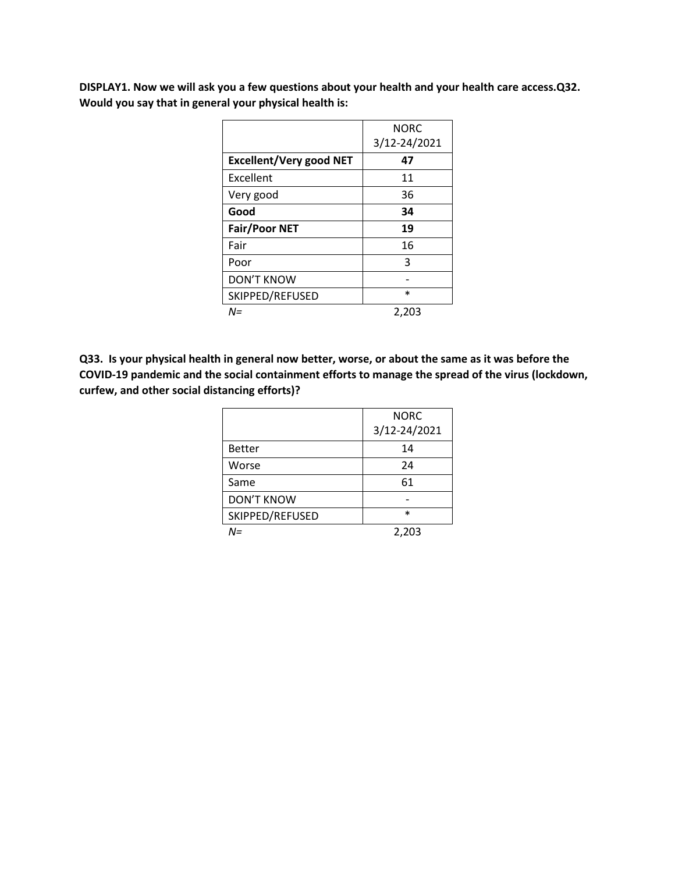**DISPLAY1. Now we will ask you a few questions about your health and your health care access.Q32. Would you say that in general your physical health is:**

|                                | <b>NORC</b><br>3/12-24/2021 |
|--------------------------------|-----------------------------|
| <b>Excellent/Very good NET</b> | 47                          |
| Excellent                      | 11                          |
| Very good                      | 36                          |
| Good                           | 34                          |
| <b>Fair/Poor NET</b>           | 19                          |
| Fair                           | 16                          |
| Poor                           | 3                           |
| <b>DON'T KNOW</b>              |                             |
| SKIPPED/REFUSED                | $\ast$                      |
| N=                             | 2.203                       |

**Q33. Is your physical health in general now better, worse, or about the same as it was before the COVID-19 pandemic and the social containment efforts to manage the spread of the virus (lockdown, curfew, and other social distancing efforts)?** 

|                   | <b>NORC</b>  |
|-------------------|--------------|
|                   | 3/12-24/2021 |
| <b>Better</b>     | 14           |
| Worse             | 24           |
| Same              | 61           |
| <b>DON'T KNOW</b> |              |
| SKIPPED/REFUSED   | $\ast$       |
| N=                | 2,203        |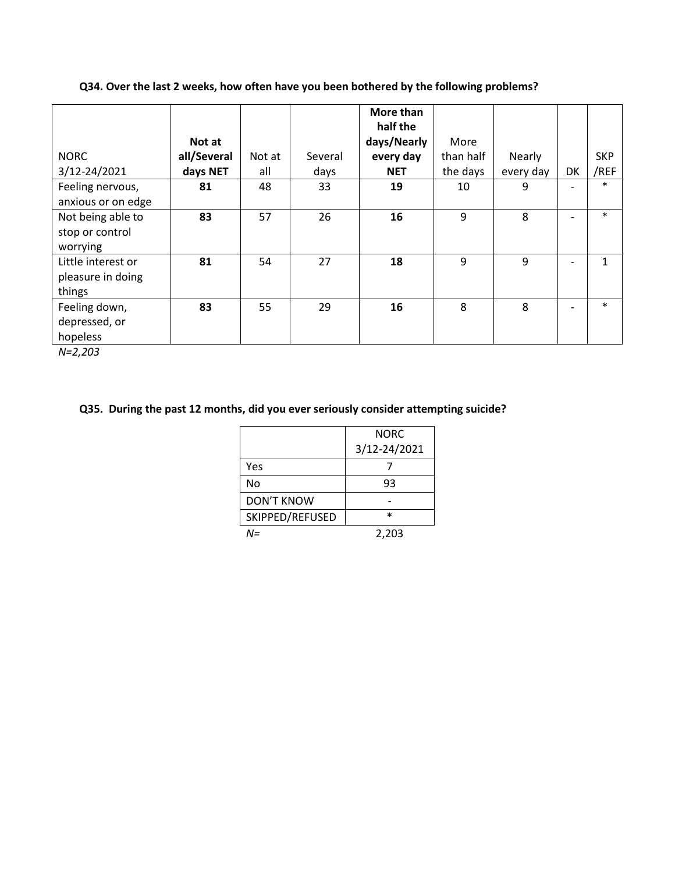**Q34. Over the last 2 weeks, how often have you been bothered by the following problems?**

|                    |             |        |         | More than<br>half the |           |           |                          |            |
|--------------------|-------------|--------|---------|-----------------------|-----------|-----------|--------------------------|------------|
|                    | Not at      |        |         | days/Nearly           | More      |           |                          |            |
| <b>NORC</b>        | all/Several | Not at | Several | every day             | than half | Nearly    |                          | <b>SKP</b> |
| 3/12-24/2021       | days NET    | all    | days    | <b>NET</b>            | the days  | every day | DK                       | /REF       |
| Feeling nervous,   | 81          | 48     | 33      | 19                    | 10        | 9         |                          | $\ast$     |
| anxious or on edge |             |        |         |                       |           |           |                          |            |
| Not being able to  | 83          | 57     | 26      | 16                    | 9         | 8         | $\overline{\phantom{0}}$ | $\ast$     |
| stop or control    |             |        |         |                       |           |           |                          |            |
| worrying           |             |        |         |                       |           |           |                          |            |
| Little interest or | 81          | 54     | 27      | 18                    | 9         | 9         |                          | 1          |
| pleasure in doing  |             |        |         |                       |           |           |                          |            |
| things             |             |        |         |                       |           |           |                          |            |
| Feeling down,      | 83          | 55     | 29      | 16                    | 8         | 8         | $\overline{\phantom{0}}$ | $\ast$     |
| depressed, or      |             |        |         |                       |           |           |                          |            |
| hopeless           |             |        |         |                       |           |           |                          |            |

*N=2,203*

### **Q35. During the past 12 months, did you ever seriously consider attempting suicide?**

|                   | NORC         |
|-------------------|--------------|
|                   | 3/12-24/2021 |
| Yes               |              |
| No                | 93           |
| <b>DON'T KNOW</b> |              |
| SKIPPED/REFUSED   | $\ast$       |
|                   | 2,203        |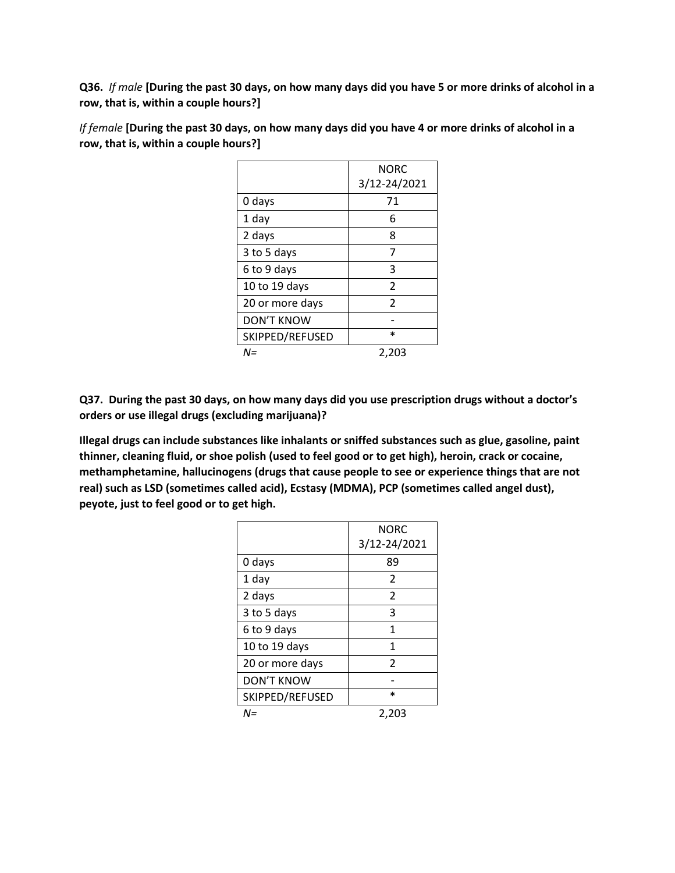**Q36.** *If male* **[During the past 30 days, on how many days did you have 5 or more drinks of alcohol in a row, that is, within a couple hours?]**

|                 | <b>NORC</b>   |
|-----------------|---------------|
|                 | 3/12-24/2021  |
| 0 days          | 71            |
| 1 day           | 6             |
| 2 days          | 8             |
| 3 to 5 days     | 7             |
| 6 to 9 days     | 3             |
| 10 to 19 days   | $\mathcal{P}$ |
| 20 or more days | $\mathcal{P}$ |
| DON'T KNOW      |               |
| SKIPPED/REFUSED | $\ast$        |
| N=              | 2,203         |

*If female* **[During the past 30 days, on how many days did you have 4 or more drinks of alcohol in a row, that is, within a couple hours?]**

**Q37. During the past 30 days, on how many days did you use prescription drugs without a doctor's orders or use illegal drugs (excluding marijuana)?** 

**Illegal drugs can include substances like inhalants or sniffed substances such as glue, gasoline, paint thinner, cleaning fluid, or shoe polish (used to feel good or to get high), heroin, crack or cocaine, methamphetamine, hallucinogens (drugs that cause people to see or experience things that are not real) such as LSD (sometimes called acid), Ecstasy (MDMA), PCP (sometimes called angel dust), peyote, just to feel good or to get high.**

|                 | <b>NORC</b><br>3/12-24/2021 |
|-----------------|-----------------------------|
| 0 days          | 89                          |
| 1 day           | 2                           |
| 2 days          | $\overline{\phantom{a}}$    |
| 3 to 5 days     | 3                           |
| 6 to 9 days     | 1                           |
| 10 to 19 days   | 1                           |
| 20 or more days | $\mathfrak{p}$              |
| DON'T KNOW      |                             |
| SKIPPED/REFUSED | $\ast$                      |
| N=              | 2,203                       |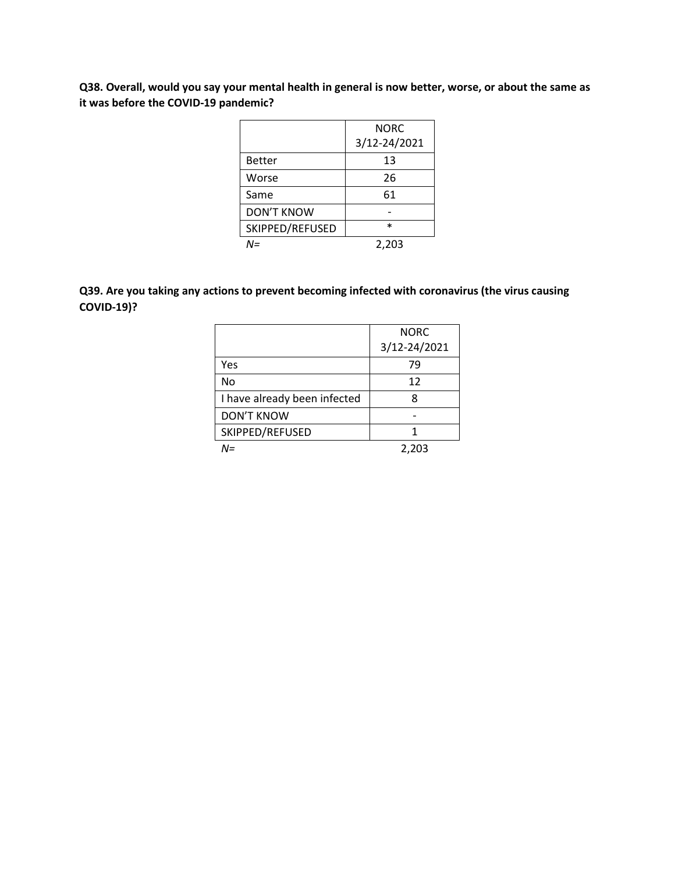**Q38. Overall, would you say your mental health in general is now better, worse, or about the same as it was before the COVID-19 pandemic?** 

|                   | NORC         |
|-------------------|--------------|
|                   | 3/12-24/2021 |
| <b>Better</b>     | 13           |
| Worse             | 26           |
| Same              | 61           |
| <b>DON'T KNOW</b> |              |
| SKIPPED/REFUSED   | $\ast$       |
| $M =$             | 2,203        |

### **Q39. Are you taking any actions to prevent becoming infected with coronavirus (the virus causing COVID-19)?**

|                              | <b>NORC</b>  |
|------------------------------|--------------|
|                              | 3/12-24/2021 |
| Yes                          | 79           |
| No                           | 12           |
| I have already been infected | 8            |
| <b>DON'T KNOW</b>            |              |
| SKIPPED/REFUSED              | 1            |
| N=                           | 2,203        |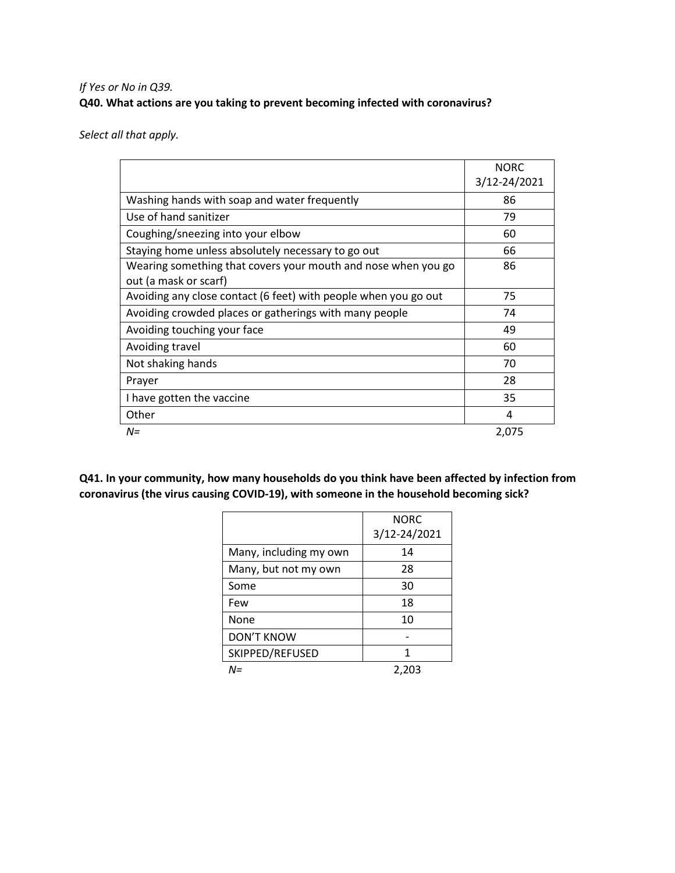### *If Yes or No in Q39.* **Q40. What actions are you taking to prevent becoming infected with coronavirus?**

*Select all that apply.*

|                                                                 | <b>NORC</b><br>3/12-24/2021 |
|-----------------------------------------------------------------|-----------------------------|
| Washing hands with soap and water frequently                    | 86                          |
| Use of hand sanitizer                                           | 79                          |
| Coughing/sneezing into your elbow                               | 60                          |
| Staying home unless absolutely necessary to go out              | 66                          |
| Wearing something that covers your mouth and nose when you go   | 86                          |
| out (a mask or scarf)                                           |                             |
| Avoiding any close contact (6 feet) with people when you go out | 75                          |
| Avoiding crowded places or gatherings with many people          | 74                          |
| Avoiding touching your face                                     | 49                          |
| Avoiding travel                                                 | 60                          |
| Not shaking hands                                               | 70                          |
| Prayer                                                          | 28                          |
| I have gotten the vaccine                                       | 35                          |
| Other                                                           | 4                           |
| $N =$                                                           | 2,075                       |

**Q41. In your community, how many households do you think have been affected by infection from coronavirus (the virus causing COVID-19), with someone in the household becoming sick?**

|                        | <b>NORC</b><br>3/12-24/2021 |
|------------------------|-----------------------------|
| Many, including my own | 14                          |
| Many, but not my own   | 28                          |
| Some                   | 30                          |
| Few                    | 18                          |
| None                   | 10                          |
| <b>DON'T KNOW</b>      |                             |
| SKIPPED/REFUSED        | 1                           |
| $N =$                  | 2.203                       |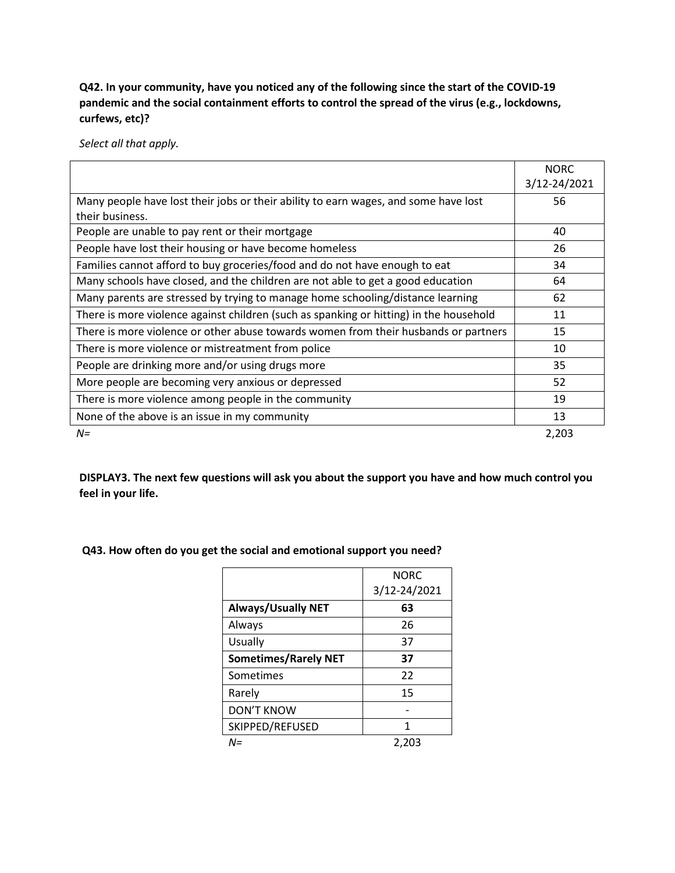**Q42. In your community, have you noticed any of the following since the start of the COVID-19 pandemic and the social containment efforts to control the spread of the virus (e.g., lockdowns, curfews, etc)?** 

*Select all that apply.*

|                                                                                        | <b>NORC</b>  |
|----------------------------------------------------------------------------------------|--------------|
|                                                                                        | 3/12-24/2021 |
| Many people have lost their jobs or their ability to earn wages, and some have lost    | 56           |
| their business.                                                                        |              |
| People are unable to pay rent or their mortgage                                        | 40           |
| People have lost their housing or have become homeless                                 | 26           |
| Families cannot afford to buy groceries/food and do not have enough to eat             | 34           |
| Many schools have closed, and the children are not able to get a good education        | 64           |
| Many parents are stressed by trying to manage home schooling/distance learning         | 62           |
| There is more violence against children (such as spanking or hitting) in the household | 11           |
| There is more violence or other abuse towards women from their husbands or partners    | 15           |
| There is more violence or mistreatment from police                                     | 10           |
| People are drinking more and/or using drugs more                                       | 35           |
| More people are becoming very anxious or depressed                                     | 52           |
| There is more violence among people in the community                                   | 19           |
| None of the above is an issue in my community                                          | 13           |
| $N =$                                                                                  | 2,203        |

**DISPLAY3. The next few questions will ask you about the support you have and how much control you feel in your life.**

| Q43. How often do you get the social and emotional support you need? |  |  |  |  |  |
|----------------------------------------------------------------------|--|--|--|--|--|
|----------------------------------------------------------------------|--|--|--|--|--|

|                             | <b>NORC</b>  |
|-----------------------------|--------------|
|                             | 3/12-24/2021 |
| <b>Always/Usually NET</b>   | 63           |
| Always                      | 26           |
| <b>Usually</b>              | 37           |
| <b>Sometimes/Rarely NET</b> | 37           |
| Sometimes                   | 22           |
| Rarely                      | 15           |
| <b>DON'T KNOW</b>           |              |
| SKIPPED/REFUSED             | 1            |
| $N =$                       | 2,203        |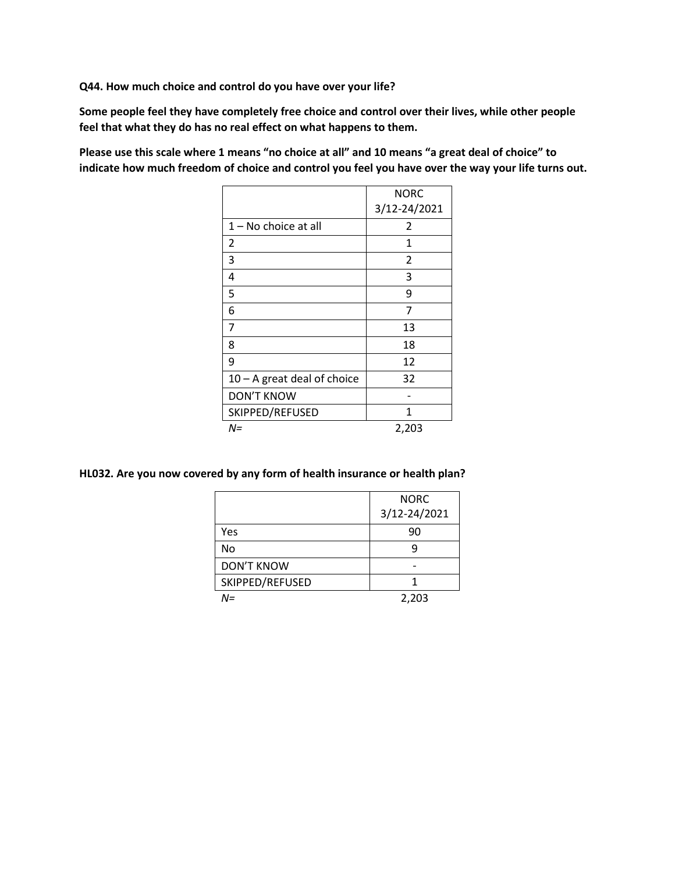**Q44. How much choice and control do you have over your life?**

**Some people feel they have completely free choice and control over their lives, while other people feel that what they do has no real effect on what happens to them.** 

**Please use this scale where 1 means "no choice at all" and 10 means "a great deal of choice" to indicate how much freedom of choice and control you feel you have over the way your life turns out.** 

|                               | <b>NORC</b>    |
|-------------------------------|----------------|
|                               | 3/12-24/2021   |
| 1 – No choice at all          | $\overline{2}$ |
| 2                             | 1              |
| 3                             | 2              |
| 4                             | 3              |
| 5                             | 9              |
| 6                             | 7              |
| 7                             | 13             |
| 8                             | 18             |
| 9                             | 12             |
| $10 - A$ great deal of choice | 32             |
| <b>DON'T KNOW</b>             |                |
| SKIPPED/REFUSED               | 1              |
| $N =$                         | 2,203          |

#### **HL032. Are you now covered by any form of health insurance or health plan?**

|                   | <b>NORC</b>  |
|-------------------|--------------|
|                   | 3/12-24/2021 |
| Yes               | 90           |
| No                |              |
| <b>DON'T KNOW</b> |              |
| SKIPPED/REFUSED   |              |
| N=                | 2,203        |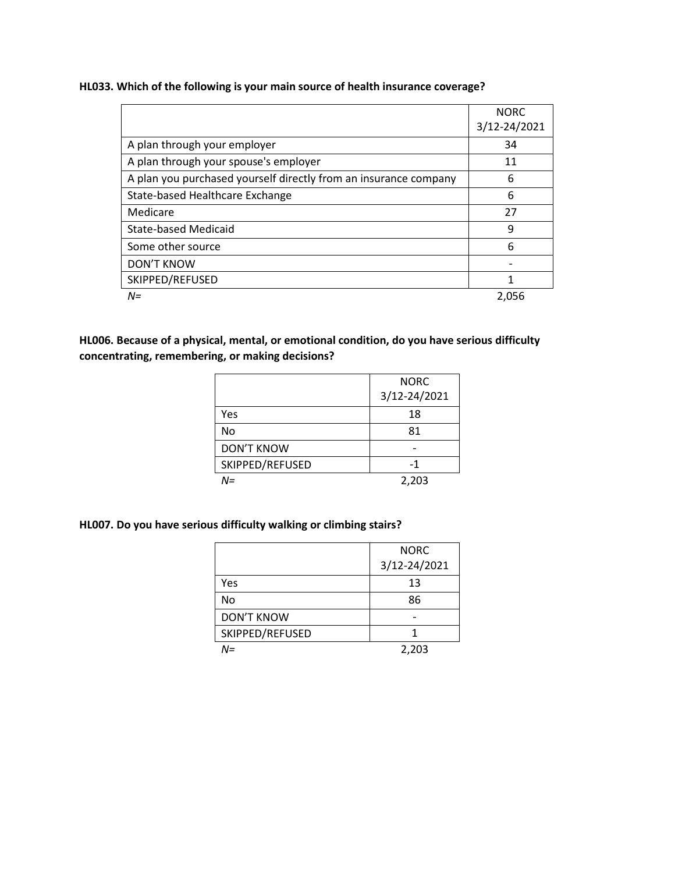**HL033. Which of the following is your main source of health insurance coverage?**

|                                                                  | <b>NORC</b>  |
|------------------------------------------------------------------|--------------|
|                                                                  | 3/12-24/2021 |
| A plan through your employer                                     | 34           |
| A plan through your spouse's employer                            | 11           |
| A plan you purchased yourself directly from an insurance company | 6            |
| State-based Healthcare Exchange                                  | 6            |
| Medicare                                                         | 27           |
| <b>State-based Medicaid</b>                                      | 9            |
| Some other source                                                | 6            |
| <b>DON'T KNOW</b>                                                |              |
| SKIPPED/REFUSED                                                  | 1            |
| $N =$                                                            | 2,056        |

**HL006. Because of a physical, mental, or emotional condition, do you have serious difficulty concentrating, remembering, or making decisions?** 

|                   | <b>NORC</b>  |
|-------------------|--------------|
|                   | 3/12-24/2021 |
| Yes               | 18           |
| No                | 81           |
| <b>DON'T KNOW</b> |              |
| SKIPPED/REFUSED   | -1           |
| N=                | 2,203        |

### **HL007. Do you have serious difficulty walking or climbing stairs?**

|                   | <b>NORC</b>  |
|-------------------|--------------|
|                   | 3/12-24/2021 |
| Yes               | 13           |
| No                | 86           |
| <b>DON'T KNOW</b> |              |
| SKIPPED/REFUSED   |              |
| V=                | 2,203        |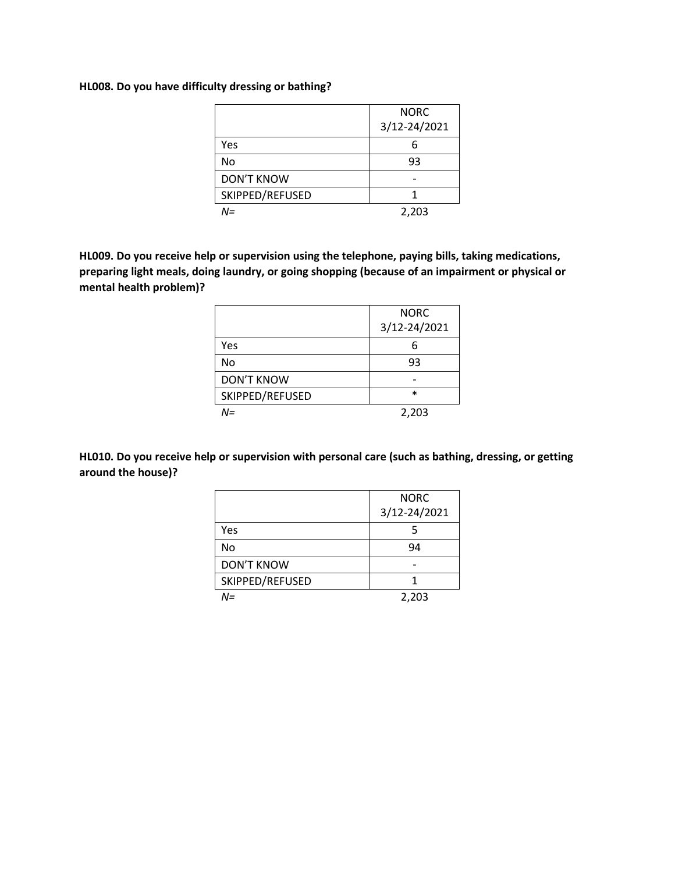**HL008. Do you have difficulty dressing or bathing?**

|                   | <b>NORC</b>  |
|-------------------|--------------|
|                   | 3/12-24/2021 |
| Yes               |              |
| No                | 93           |
| <b>DON'T KNOW</b> |              |
| SKIPPED/REFUSED   |              |
| N=                | 2,203        |

**HL009. Do you receive help or supervision using the telephone, paying bills, taking medications, preparing light meals, doing laundry, or going shopping (because of an impairment or physical or mental health problem)?**

|                   | <b>NORC</b>  |
|-------------------|--------------|
|                   | 3/12-24/2021 |
| Yes               |              |
| No                | 93           |
| <b>DON'T KNOW</b> |              |
| SKIPPED/REFUSED   | $\ast$       |
| N=                | 2,203        |

**HL010. Do you receive help or supervision with personal care (such as bathing, dressing, or getting around the house)?**

|                   | <b>NORC</b>  |
|-------------------|--------------|
|                   | 3/12-24/2021 |
| Yes               |              |
| No                | 94           |
| <b>DON'T KNOW</b> |              |
| SKIPPED/REFUSED   |              |
| N=                | 2,203        |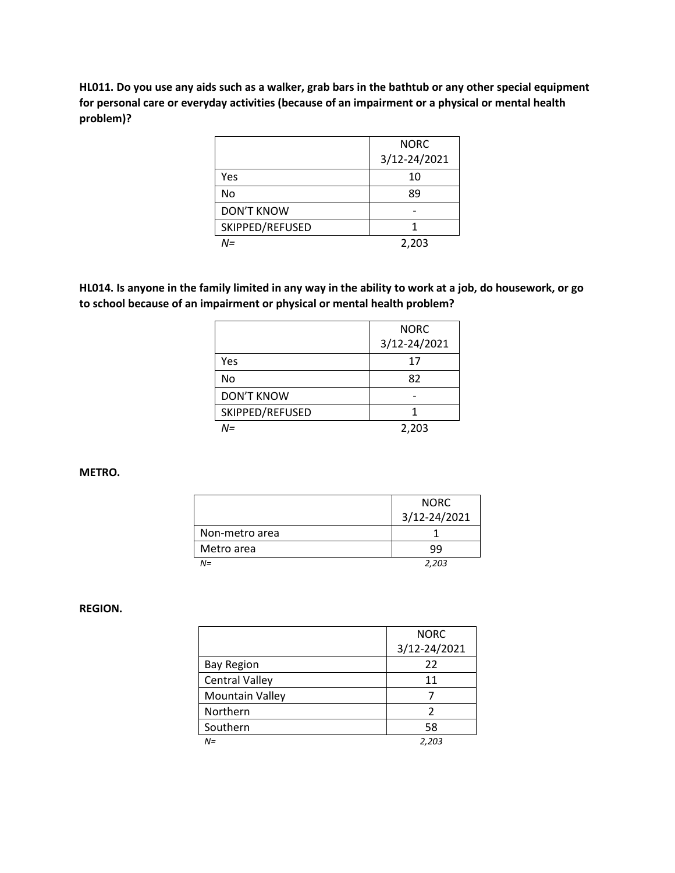**HL011. Do you use any aids such as a walker, grab bars in the bathtub or any other special equipment for personal care or everyday activities (because of an impairment or a physical or mental health problem)?**

|                   | <b>NORC</b>  |
|-------------------|--------------|
|                   | 3/12-24/2021 |
| Yes               | 10           |
| No                | 89           |
| <b>DON'T KNOW</b> |              |
| SKIPPED/REFUSED   |              |
| N=                | 2,203        |

**HL014. Is anyone in the family limited in any way in the ability to work at a job, do housework, or go to school because of an impairment or physical or mental health problem?**

|                   | <b>NORC</b>  |
|-------------------|--------------|
|                   | 3/12-24/2021 |
| Yes               | 17           |
| No                | 82           |
| <b>DON'T KNOW</b> |              |
| SKIPPED/REFUSED   |              |
| N=                | 2,203        |

#### **METRO.**

|                | <b>NORC</b>  |
|----------------|--------------|
|                | 3/12-24/2021 |
| Non-metro area |              |
| Metro area     | ٩q           |
| $N =$          | 2,203        |

#### **REGION.**

|                        | <b>NORC</b>  |
|------------------------|--------------|
|                        | 3/12-24/2021 |
| <b>Bay Region</b>      | 22           |
| <b>Central Valley</b>  | 11           |
| <b>Mountain Valley</b> |              |
| Northern               | 2            |
| Southern               | 58           |
| $N =$                  | 2,203        |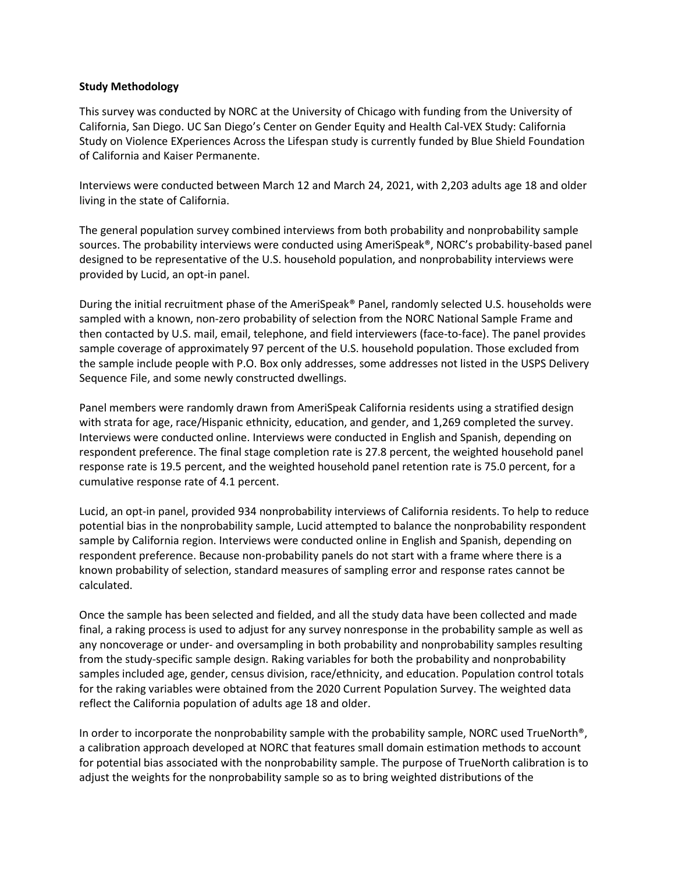#### **Study Methodology**

This survey was conducted by NORC at the University of Chicago with funding from the University of California, San Diego. UC San Diego's Center on Gender Equity and Health Cal-VEX Study: California Study on Violence EXperiences Across the Lifespan study is currently funded by Blue Shield Foundation of California and Kaiser Permanente.

Interviews were conducted between March 12 and March 24, 2021, with 2,203 adults age 18 and older living in the state of California.

The general population survey combined interviews from both probability and nonprobability sample sources. The probability interviews were conducted using AmeriSpeak®, NORC's probability-based panel designed to be representative of the U.S. household population, and nonprobability interviews were provided by Lucid, an opt-in panel.

During the initial recruitment phase of the AmeriSpeak® Panel, randomly selected U.S. households were sampled with a known, non-zero probability of selection from the NORC National Sample Frame and then contacted by U.S. mail, email, telephone, and field interviewers (face-to-face). The panel provides sample coverage of approximately 97 percent of the U.S. household population. Those excluded from the sample include people with P.O. Box only addresses, some addresses not listed in the USPS Delivery Sequence File, and some newly constructed dwellings.

Panel members were randomly drawn from AmeriSpeak California residents using a stratified design with strata for age, race/Hispanic ethnicity, education, and gender, and 1,269 completed the survey. Interviews were conducted online. Interviews were conducted in English and Spanish, depending on respondent preference. The final stage completion rate is 27.8 percent, the weighted household panel response rate is 19.5 percent, and the weighted household panel retention rate is 75.0 percent, for a cumulative response rate of 4.1 percent.

Lucid, an opt-in panel, provided 934 nonprobability interviews of California residents. To help to reduce potential bias in the nonprobability sample, Lucid attempted to balance the nonprobability respondent sample by California region. Interviews were conducted online in English and Spanish, depending on respondent preference. Because non-probability panels do not start with a frame where there is a known probability of selection, standard measures of sampling error and response rates cannot be calculated.

Once the sample has been selected and fielded, and all the study data have been collected and made final, a raking process is used to adjust for any survey nonresponse in the probability sample as well as any noncoverage or under- and oversampling in both probability and nonprobability samples resulting from the study-specific sample design. Raking variables for both the probability and nonprobability samples included age, gender, census division, race/ethnicity, and education. Population control totals for the raking variables were obtained from the 2020 Current Population Survey. The weighted data reflect the California population of adults age 18 and older.

In order to incorporate the nonprobability sample with the probability sample, NORC used TrueNorth®, a calibration approach developed at NORC that features small domain estimation methods to account for potential bias associated with the nonprobability sample. The purpose of TrueNorth calibration is to adjust the weights for the nonprobability sample so as to bring weighted distributions of the